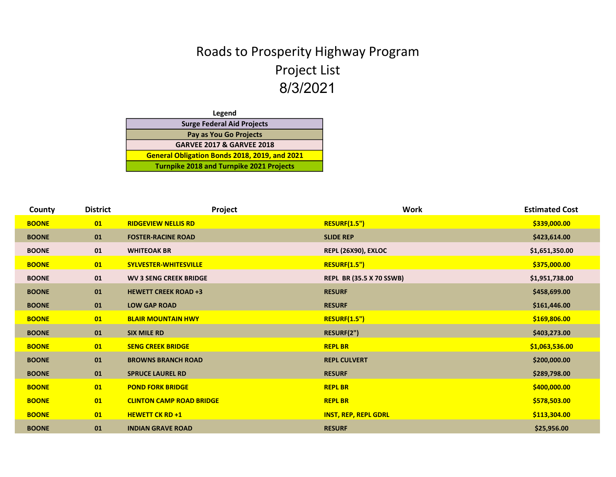## Roads to Prosperity Highway Program Project List 8/3/2021

| Legend                                          |  |
|-------------------------------------------------|--|
| <b>Surge Federal Aid Projects</b>               |  |
| Pay as You Go Projects                          |  |
| <b>GARVEE 2017 &amp; GARVEE 2018</b>            |  |
| General Obligation Bonds 2018, 2019, and 2021   |  |
| <b>Turnpike 2018 and Turnpike 2021 Projects</b> |  |

| County       | <b>District</b> | Project                         | <b>Work</b>                     | <b>Estimated Cost</b> |
|--------------|-----------------|---------------------------------|---------------------------------|-----------------------|
| <b>BOONE</b> | 01              | <b>RIDGEVIEW NELLIS RD</b>      | <b>RESURF(1.5")</b>             | \$339,000.00          |
| <b>BOONE</b> | 01              | <b>FOSTER-RACINE ROAD</b>       | <b>SLIDE REP</b>                | \$423,614.00          |
| <b>BOONE</b> | 01              | <b>WHITEOAK BR</b>              | <b>REPL (26X90), EXLOC</b>      | \$1,651,350.00        |
| <b>BOONE</b> | 01              | <b>SYLVESTER-WHITESVILLE</b>    | <b>RESURF(1.5")</b>             | \$375,000.00          |
| <b>BOONE</b> | 01              | <b>WV 3 SENG CREEK BRIDGE</b>   | <b>REPL BR (35.5 X 70 SSWB)</b> | \$1,951,738.00        |
| <b>BOONE</b> | 01              | <b>HEWETT CREEK ROAD +3</b>     | <b>RESURF</b>                   | \$458,699.00          |
| <b>BOONE</b> | 01              | <b>LOW GAP ROAD</b>             | <b>RESURF</b>                   | \$161,446.00          |
| <b>BOONE</b> | 01              | <b>BLAIR MOUNTAIN HWY</b>       | <b>RESURF(1.5")</b>             | \$169,806.00          |
| <b>BOONE</b> | 01              | <b>SIX MILE RD</b>              | RESURF(2")                      | \$403,273.00          |
| <b>BOONE</b> | 01              | <b>SENG CREEK BRIDGE</b>        | <b>REPL BR</b>                  | \$1,063,536.00        |
| <b>BOONE</b> | 01              | <b>BROWNS BRANCH ROAD</b>       | <b>REPL CULVERT</b>             | \$200,000.00          |
| <b>BOONE</b> | 01              | <b>SPRUCE LAUREL RD</b>         | <b>RESURF</b>                   | \$289,798.00          |
| <b>BOONE</b> | 01              | <b>POND FORK BRIDGE</b>         | <b>REPL BR</b>                  | \$400,000.00          |
| <b>BOONE</b> | 01              | <b>CLINTON CAMP ROAD BRIDGE</b> | <b>REPL BR</b>                  | \$578,503.00          |
| <b>BOONE</b> | 01              | <b>HEWETT CK RD +1</b>          | <b>INST, REP, REPL GDRL</b>     | \$113,304.00          |
| <b>BOONE</b> | 01              | <b>INDIAN GRAVE ROAD</b>        | <b>RESURF</b>                   | \$25,956.00           |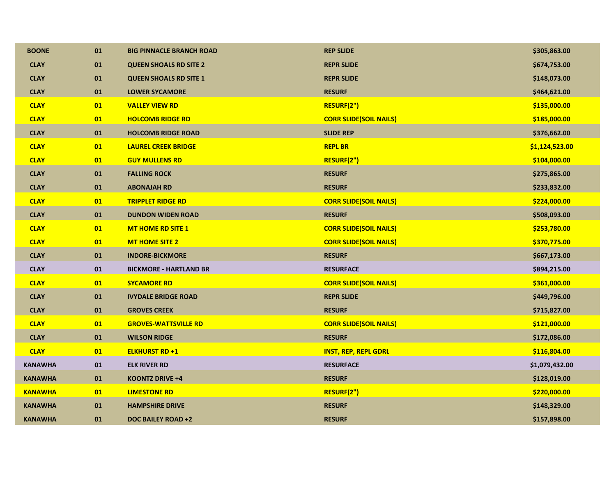| <b>BOONE</b>   | 01 | <b>BIG PINNACLE BRANCH ROAD</b> | <b>REP SLIDE</b>              | \$305,863.00   |
|----------------|----|---------------------------------|-------------------------------|----------------|
| <b>CLAY</b>    | 01 | <b>QUEEN SHOALS RD SITE 2</b>   | <b>REPR SLIDE</b>             | \$674,753.00   |
| <b>CLAY</b>    | 01 | <b>QUEEN SHOALS RD SITE 1</b>   | <b>REPR SLIDE</b>             | \$148,073.00   |
| <b>CLAY</b>    | 01 | <b>LOWER SYCAMORE</b>           | <b>RESURF</b>                 | \$464,621.00   |
| <b>CLAY</b>    | 01 | <b>VALLEY VIEW RD</b>           | RESURF(2")                    | \$135,000.00   |
| <b>CLAY</b>    | 01 | <b>HOLCOMB RIDGE RD</b>         | <b>CORR SLIDE(SOIL NAILS)</b> | \$185,000.00   |
| <b>CLAY</b>    | 01 | <b>HOLCOMB RIDGE ROAD</b>       | <b>SLIDE REP</b>              | \$376,662.00   |
| <b>CLAY</b>    | 01 | <b>LAUREL CREEK BRIDGE</b>      | <b>REPL BR</b>                | \$1,124,523.00 |
| <b>CLAY</b>    | 01 | <b>GUY MULLENS RD</b>           | RESURF(2")                    | \$104,000.00   |
| <b>CLAY</b>    | 01 | <b>FALLING ROCK</b>             | <b>RESURF</b>                 | \$275,865.00   |
| <b>CLAY</b>    | 01 | <b>ABONAJAH RD</b>              | <b>RESURF</b>                 | \$233,832.00   |
| <b>CLAY</b>    | 01 | <b>TRIPPLET RIDGE RD</b>        | <b>CORR SLIDE(SOIL NAILS)</b> | \$224,000.00   |
| <b>CLAY</b>    | 01 | <b>DUNDON WIDEN ROAD</b>        | <b>RESURF</b>                 | \$508,093.00   |
| <b>CLAY</b>    | 01 | <b>MT HOME RD SITE 1</b>        | <b>CORR SLIDE(SOIL NAILS)</b> | \$253,780.00   |
| <b>CLAY</b>    | 01 | <b>MT HOME SITE 2</b>           | <b>CORR SLIDE(SOIL NAILS)</b> | \$370,775.00   |
| <b>CLAY</b>    | 01 | <b>INDORE-BICKMORE</b>          | <b>RESURF</b>                 | \$667,173.00   |
| <b>CLAY</b>    | 01 | <b>BICKMORE - HARTLAND BR</b>   | <b>RESURFACE</b>              | \$894,215.00   |
| <b>CLAY</b>    | 01 | <b>SYCAMORE RD</b>              | <b>CORR SLIDE(SOIL NAILS)</b> | \$361,000.00   |
| <b>CLAY</b>    | 01 | <b>IVYDALE BRIDGE ROAD</b>      | <b>REPR SLIDE</b>             | \$449,796.00   |
| <b>CLAY</b>    | 01 | <b>GROVES CREEK</b>             | <b>RESURF</b>                 | \$715,827.00   |
| <b>CLAY</b>    | 01 | <b>GROVES-WATTSVILLE RD</b>     | <b>CORR SLIDE(SOIL NAILS)</b> | \$121,000.00   |
| <b>CLAY</b>    | 01 | <b>WILSON RIDGE</b>             | <b>RESURF</b>                 | \$172,086.00   |
| <b>CLAY</b>    | 01 | <b>ELKHURST RD +1</b>           | <b>INST, REP, REPL GDRL</b>   | \$116,804.00   |
| <b>KANAWHA</b> | 01 | <b>ELK RIVER RD</b>             | <b>RESURFACE</b>              | \$1,079,432.00 |
| <b>KANAWHA</b> | 01 | <b>KOONTZ DRIVE +4</b>          | <b>RESURF</b>                 | \$128,019.00   |
| <b>KANAWHA</b> | 01 | <b>LIMESTONE RD</b>             | RESURF(2")                    | \$220,000.00   |
| <b>KANAWHA</b> | 01 | <b>HAMPSHIRE DRIVE</b>          | <b>RESURF</b>                 | \$148,329.00   |
| <b>KANAWHA</b> | 01 | DOC BAILEY ROAD +2              | <b>RESURF</b>                 | \$157,898.00   |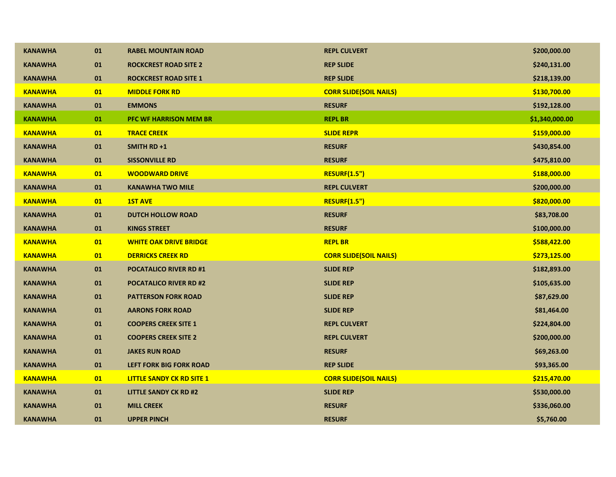| <b>KANAWHA</b> | 01       | <b>RABEL MOUNTAIN ROAD</b>       | <b>REPL CULVERT</b>           | \$200,000.00   |
|----------------|----------|----------------------------------|-------------------------------|----------------|
| <b>KANAWHA</b> | 01       | <b>ROCKCREST ROAD SITE 2</b>     | <b>REP SLIDE</b>              | \$240,131.00   |
| <b>KANAWHA</b> | 01       | <b>ROCKCREST ROAD SITE 1</b>     | <b>REP SLIDE</b>              | \$218,139.00   |
| <b>KANAWHA</b> | 01       | <b>MIDDLE FORK RD</b>            | <b>CORR SLIDE(SOIL NAILS)</b> | \$130,700.00   |
| <b>KANAWHA</b> | 01       | <b>EMMONS</b>                    | <b>RESURF</b>                 | \$192,128.00   |
| <b>KANAWHA</b> | 01       | <b>PFC WF HARRISON MEM BR</b>    | <b>REPL BR</b>                | \$1,340,000.00 |
| <b>KANAWHA</b> | 01       | <b>TRACE CREEK</b>               | <b>SLIDE REPR</b>             | \$159,000.00   |
| <b>KANAWHA</b> | 01       | <b>SMITH RD +1</b>               | <b>RESURF</b>                 | \$430,854.00   |
| <b>KANAWHA</b> | 01       | <b>SISSONVILLE RD</b>            | <b>RESURF</b>                 | \$475,810.00   |
| <b>KANAWHA</b> | 01       | <b>WOODWARD DRIVE</b>            | <b>RESURF(1.5")</b>           | \$188,000.00   |
| <b>KANAWHA</b> | 01       | <b>KANAWHA TWO MILE</b>          | <b>REPL CULVERT</b>           | \$200,000.00   |
| <b>KANAWHA</b> | 01       | <b>1ST AVE</b>                   | <b>RESURF(1.5")</b>           | \$820,000.00   |
| <b>KANAWHA</b> | 01       | <b>DUTCH HOLLOW ROAD</b>         | <b>RESURF</b>                 | \$83,708.00    |
| <b>KANAWHA</b> | 01       | <b>KINGS STREET</b>              | <b>RESURF</b>                 | \$100,000.00   |
| <b>KANAWHA</b> | 01       | <b>WHITE OAK DRIVE BRIDGE</b>    | <b>REPL BR</b>                | \$588,422.00   |
| <b>KANAWHA</b> | 01       | <b>DERRICKS CREEK RD</b>         | <b>CORR SLIDE(SOIL NAILS)</b> | \$273,125.00   |
| <b>KANAWHA</b> | 01       | <b>POCATALICO RIVER RD #1</b>    | <b>SLIDE REP</b>              | \$182,893.00   |
| <b>KANAWHA</b> | 01       | <b>POCATALICO RIVER RD #2</b>    | <b>SLIDE REP</b>              | \$105,635.00   |
| <b>KANAWHA</b> | 01       | <b>PATTERSON FORK ROAD</b>       | <b>SLIDE REP</b>              | \$87,629.00    |
| <b>KANAWHA</b> | 01       | <b>AARONS FORK ROAD</b>          | <b>SLIDE REP</b>              | \$81,464.00    |
| <b>KANAWHA</b> | 01       | <b>COOPERS CREEK SITE 1</b>      | <b>REPL CULVERT</b>           | \$224,804.00   |
| <b>KANAWHA</b> | $\bf 01$ | <b>COOPERS CREEK SITE 2</b>      | <b>REPL CULVERT</b>           | \$200,000.00   |
| <b>KANAWHA</b> | $\bf 01$ | <b>JAKES RUN ROAD</b>            | <b>RESURF</b>                 | \$69,263.00    |
| <b>KANAWHA</b> | 01       | <b>LEFT FORK BIG FORK ROAD</b>   | <b>REP SLIDE</b>              | \$93,365.00    |
| <b>KANAWHA</b> | 01       | <b>LITTLE SANDY CK RD SITE 1</b> | <b>CORR SLIDE(SOIL NAILS)</b> | \$215,470.00   |
| <b>KANAWHA</b> | 01       | <b>LITTLE SANDY CK RD #2</b>     | <b>SLIDE REP</b>              | \$530,000.00   |
| <b>KANAWHA</b> | 01       | <b>MILL CREEK</b>                | <b>RESURF</b>                 | \$336,060.00   |
| KANAWHA        | 01       | <b>UPPER PINCH</b>               | <b>RESURF</b>                 | \$5,760.00     |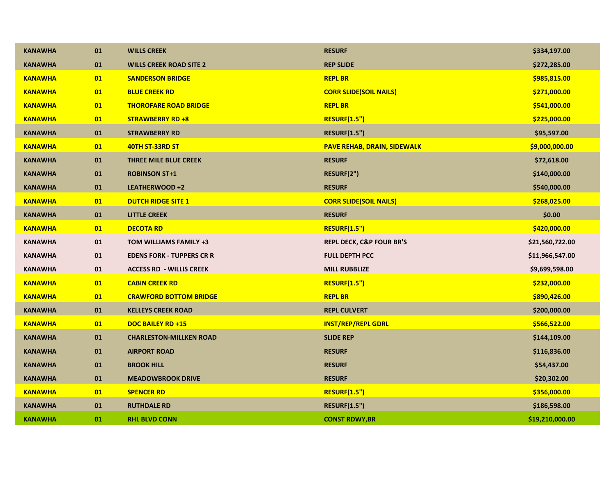| <b>KANAWHA</b> | 01 | <b>WILLS CREEK</b>               | <b>RESURF</b>                       | \$334,197.00    |
|----------------|----|----------------------------------|-------------------------------------|-----------------|
| <b>KANAWHA</b> | 01 | <b>WILLS CREEK ROAD SITE 2</b>   | <b>REP SLIDE</b>                    | \$272,285.00    |
| <b>KANAWHA</b> | 01 | <b>SANDERSON BRIDGE</b>          | <b>REPL BR</b>                      | \$985,815.00    |
| <b>KANAWHA</b> | 01 | <b>BLUE CREEK RD</b>             | <b>CORR SLIDE(SOIL NAILS)</b>       | \$271,000.00    |
| <b>KANAWHA</b> | 01 | <b>THOROFARE ROAD BRIDGE</b>     | <b>REPL BR</b>                      | \$541,000.00    |
| <b>KANAWHA</b> | 01 | <b>STRAWBERRY RD +8</b>          | <b>RESURF(1.5")</b>                 | \$225,000.00    |
| <b>KANAWHA</b> | 01 | <b>STRAWBERRY RD</b>             | <b>RESURF(1.5")</b>                 | \$95,597.00     |
| <b>KANAWHA</b> | 01 | 40TH ST-33RD ST                  | <b>PAVE REHAB, DRAIN, SIDEWALK</b>  | \$9,000,000.00  |
| <b>KANAWHA</b> | 01 | <b>THREE MILE BLUE CREEK</b>     | <b>RESURF</b>                       | \$72,618.00     |
| <b>KANAWHA</b> | 01 | <b>ROBINSON ST+1</b>             | RESURF(2")                          | \$140,000.00    |
| <b>KANAWHA</b> | 01 | LEATHERWOOD +2                   | <b>RESURF</b>                       | \$540,000.00    |
| <b>KANAWHA</b> | 01 | <b>DUTCH RIDGE SITE 1</b>        | <b>CORR SLIDE(SOIL NAILS)</b>       | \$268,025.00    |
| <b>KANAWHA</b> | 01 | <b>LITTLE CREEK</b>              | <b>RESURF</b>                       | \$0.00          |
| <b>KANAWHA</b> | 01 | <b>DECOTA RD</b>                 | <b>RESURF(1.5")</b>                 | \$420,000.00    |
| <b>KANAWHA</b> | 01 | TOM WILLIAMS FAMILY +3           | <b>REPL DECK, C&amp;P FOUR BR'S</b> | \$21,560,722.00 |
| <b>KANAWHA</b> | 01 | <b>EDENS FORK - TUPPERS CR R</b> | <b>FULL DEPTH PCC</b>               | \$11,966,547.00 |
| <b>KANAWHA</b> | 01 | <b>ACCESS RD - WILLIS CREEK</b>  | <b>MILL RUBBLIZE</b>                | \$9,699,598.00  |
| <b>KANAWHA</b> | 01 | <b>CABIN CREEK RD</b>            | <b>RESURF(1.5")</b>                 | \$232,000.00    |
| <b>KANAWHA</b> | 01 | <b>CRAWFORD BOTTOM BRIDGE</b>    | <b>REPL BR</b>                      | \$890,426.00    |
| <b>KANAWHA</b> | 01 | <b>KELLEYS CREEK ROAD</b>        | <b>REPL CULVERT</b>                 | \$200,000.00    |
| <b>KANAWHA</b> | 01 | <b>DOC BAILEY RD +15</b>         | <b>INST/REP/REPL GDRL</b>           | \$566,522.00    |
| <b>KANAWHA</b> | 01 | <b>CHARLESTON-MILLKEN ROAD</b>   | <b>SLIDE REP</b>                    | \$144,109.00    |
| <b>KANAWHA</b> | 01 | <b>AIRPORT ROAD</b>              | <b>RESURF</b>                       | \$116,836.00    |
| <b>KANAWHA</b> | 01 | <b>BROOK HILL</b>                | <b>RESURF</b>                       | \$54,437.00     |
| <b>KANAWHA</b> | 01 | <b>MEADOWBROOK DRIVE</b>         | <b>RESURF</b>                       | \$20,302.00     |
| <b>KANAWHA</b> | 01 | <b>SPENCER RD</b>                | <b>RESURF(1.5")</b>                 | \$356,000.00    |
| <b>KANAWHA</b> | 01 | <b>RUTHDALE RD</b>               | <b>RESURF(1.5")</b>                 | \$186,598.00    |
| <b>KANAWHA</b> | 01 | <b>RHL BLVD CONN</b>             | <b>CONST RDWY, BR</b>               | \$19,210,000.00 |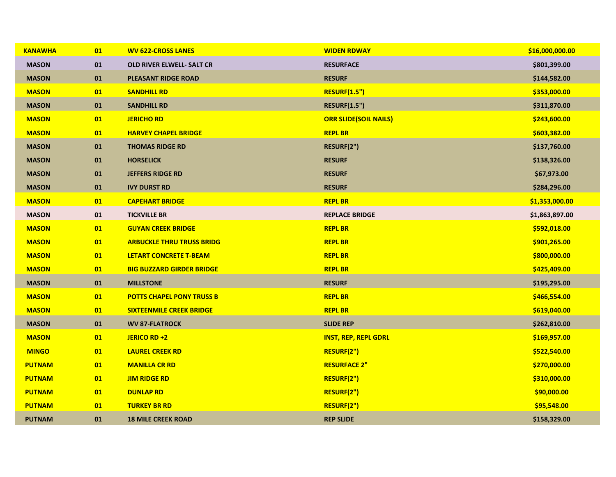| <b>KANAWHA</b> | 01       | <b>WV 622-CROSS LANES</b>        | <b>WIDEN RDWAY</b>           | \$16,000,000.00 |
|----------------|----------|----------------------------------|------------------------------|-----------------|
| <b>MASON</b>   | 01       | <b>OLD RIVER ELWELL- SALT CR</b> | <b>RESURFACE</b>             | \$801,399.00    |
| <b>MASON</b>   | 01       | <b>PLEASANT RIDGE ROAD</b>       | <b>RESURF</b>                | \$144,582.00    |
| <b>MASON</b>   | 01       | <b>SANDHILL RD</b>               | <b>RESURF(1.5")</b>          | \$353,000.00    |
| <b>MASON</b>   | 01       | <b>SANDHILL RD</b>               | <b>RESURF(1.5")</b>          | \$311,870.00    |
| <b>MASON</b>   | 01       | <b>JERICHO RD</b>                | <b>ORR SLIDE(SOIL NAILS)</b> | \$243,600.00    |
| <b>MASON</b>   | 01       | <b>HARVEY CHAPEL BRIDGE</b>      | <b>REPL BR</b>               | \$603,382.00    |
| <b>MASON</b>   | 01       | <b>THOMAS RIDGE RD</b>           | RESURF(2")                   | \$137,760.00    |
| <b>MASON</b>   | 01       | <b>HORSELICK</b>                 | <b>RESURF</b>                | \$138,326.00    |
| <b>MASON</b>   | 01       | <b>JEFFERS RIDGE RD</b>          | <b>RESURF</b>                | \$67,973.00     |
| <b>MASON</b>   | 01       | <b>IVY DURST RD</b>              | <b>RESURF</b>                | \$284,296.00    |
| <b>MASON</b>   | 01       | <b>CAPEHART BRIDGE</b>           | <b>REPL BR</b>               | \$1,353,000.00  |
| <b>MASON</b>   | $\bf 01$ | <b>TICKVILLE BR</b>              | <b>REPLACE BRIDGE</b>        | \$1,863,897.00  |
| <b>MASON</b>   | 01       | <b>GUYAN CREEK BRIDGE</b>        | <b>REPL BR</b>               | \$592,018.00    |
| <b>MASON</b>   | 01       | <b>ARBUCKLE THRU TRUSS BRIDG</b> | <b>REPL BR</b>               | \$901,265.00    |
| <b>MASON</b>   | 01       | <b>LETART CONCRETE T-BEAM</b>    | <b>REPL BR</b>               | \$800,000.00    |
| <b>MASON</b>   | 01       | <b>BIG BUZZARD GIRDER BRIDGE</b> | <b>REPL BR</b>               | \$425,409.00    |
| <b>MASON</b>   | 01       | <b>MILLSTONE</b>                 | <b>RESURF</b>                | \$195,295.00    |
| <b>MASON</b>   | 01       | <b>POTTS CHAPEL PONY TRUSS B</b> | <b>REPL BR</b>               | \$466,554.00    |
| <b>MASON</b>   | 01       | <b>SIXTEENMILE CREEK BRIDGE</b>  | <b>REPL BR</b>               | \$619,040.00    |
| <b>MASON</b>   | 01       | <b>WV 87-FLATROCK</b>            | <b>SLIDE REP</b>             | \$262,810.00    |
| <b>MASON</b>   | 01       | JERICO RD +2                     | <b>INST, REP, REPL GDRL</b>  | \$169,957.00    |
| <b>MINGO</b>   | 01       | <b>LAUREL CREEK RD</b>           | RESURF(2")                   | \$522,540.00    |
| <b>PUTNAM</b>  | 01       | <b>MANILLA CR RD</b>             | <b>RESURFACE 2"</b>          | \$270,000.00    |
| <b>PUTNAM</b>  | 01       | <b>JIM RIDGE RD</b>              | RESURF(2")                   | \$310,000.00    |
| <b>PUTNAM</b>  | 01       | <b>DUNLAP RD</b>                 | RESURF(2")                   | \$90,000.00     |
| <b>PUTNAM</b>  | 01       | <b>TURKEY BR RD</b>              | RESURF(2")                   | \$95,548.00     |
| <b>PUTNAM</b>  | 01       | <b>18 MILE CREEK ROAD</b>        | <b>REP SLIDE</b>             | \$158,329.00    |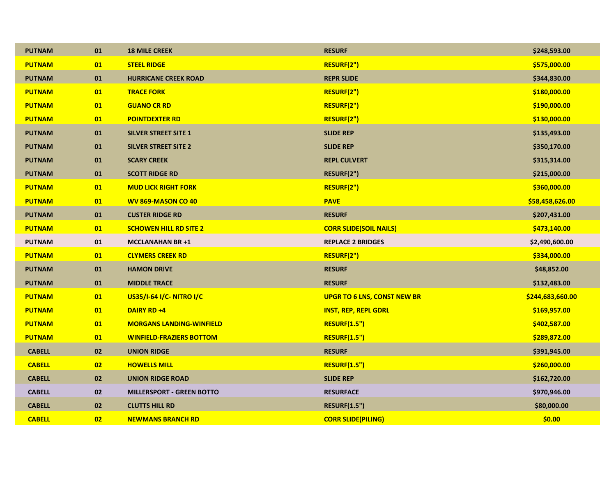| <b>PUTNAM</b> | 01 | <b>18 MILE CREEK</b>             | <b>RESURF</b>                      | \$248,593.00     |
|---------------|----|----------------------------------|------------------------------------|------------------|
| <b>PUTNAM</b> | 01 | <b>STEEL RIDGE</b>               | RESURF(2")                         | \$575,000.00     |
| <b>PUTNAM</b> | 01 | <b>HURRICANE CREEK ROAD</b>      | <b>REPR SLIDE</b>                  | \$344,830.00     |
| <b>PUTNAM</b> | 01 | <b>TRACE FORK</b>                | RESURF(2")                         | \$180,000.00     |
| <b>PUTNAM</b> | 01 | <b>GUANO CR RD</b>               | RESURF(2")                         | \$190,000.00     |
| <b>PUTNAM</b> | 01 | <b>POINTDEXTER RD</b>            | RESURF(2")                         | \$130,000.00     |
| <b>PUTNAM</b> | 01 | <b>SILVER STREET SITE 1</b>      | <b>SLIDE REP</b>                   | \$135,493.00     |
| <b>PUTNAM</b> | 01 | <b>SILVER STREET SITE 2</b>      | <b>SLIDE REP</b>                   | \$350,170.00     |
| <b>PUTNAM</b> | 01 | <b>SCARY CREEK</b>               | <b>REPL CULVERT</b>                | \$315,314.00     |
| <b>PUTNAM</b> | 01 | <b>SCOTT RIDGE RD</b>            | RESURF(2")                         | \$215,000.00     |
| <b>PUTNAM</b> | 01 | <b>MUD LICK RIGHT FORK</b>       | RESURF(2")                         | \$360,000.00     |
| <b>PUTNAM</b> | 01 | WV 869-MASON CO 40               | <b>PAVE</b>                        | \$58,458,626.00  |
| <b>PUTNAM</b> | 01 | <b>CUSTER RIDGE RD</b>           | <b>RESURF</b>                      | \$207,431.00     |
| <b>PUTNAM</b> | 01 | <b>SCHOWEN HILL RD SITE 2</b>    | <b>CORR SLIDE(SOIL NAILS)</b>      | \$473,140.00     |
| <b>PUTNAM</b> | 01 | <b>MCCLANAHAN BR +1</b>          | <b>REPLACE 2 BRIDGES</b>           | \$2,490,600.00   |
| <b>PUTNAM</b> | 01 | <b>CLYMERS CREEK RD</b>          | RESURF(2")                         | \$334,000.00     |
| <b>PUTNAM</b> | 01 | <b>HAMON DRIVE</b>               | <b>RESURF</b>                      | \$48,852.00      |
| <b>PUTNAM</b> | 01 | <b>MIDDLE TRACE</b>              | <b>RESURF</b>                      | \$132,483.00     |
| <b>PUTNAM</b> | 01 | US35/I-64 I/C-NITRO I/C          | <b>UPGR TO 6 LNS, CONST NEW BR</b> | \$244,683,660.00 |
| <b>PUTNAM</b> | 01 | <b>DAIRY RD +4</b>               | <b>INST, REP, REPL GDRL</b>        | \$169,957.00     |
| <b>PUTNAM</b> | 01 | <b>MORGANS LANDING-WINFIELD</b>  | <b>RESURF(1.5")</b>                | \$402,587.00     |
| <b>PUTNAM</b> | 01 | <b>WINFIELD-FRAZIERS BOTTOM</b>  | <b>RESURF(1.5")</b>                | \$289,872.00     |
| <b>CABELL</b> | 02 | <b>UNION RIDGE</b>               | <b>RESURF</b>                      | \$391,945.00     |
| <b>CABELL</b> | 02 | <b>HOWELLS MILL</b>              | <b>RESURF(1.5")</b>                | \$260,000.00     |
| <b>CABELL</b> | 02 | <b>UNION RIDGE ROAD</b>          | <b>SLIDE REP</b>                   | \$162,720.00     |
| <b>CABELL</b> | 02 | <b>MILLERSPORT - GREEN BOTTO</b> | <b>RESURFACE</b>                   | \$970,946.00     |
| <b>CABELL</b> | 02 | <b>CLUTTS HILL RD</b>            | <b>RESURF(1.5")</b>                | \$80,000.00      |
| <b>CABELL</b> | 02 | <b>NEWMANS BRANCH RD</b>         | <b>CORR SLIDE(PILING)</b>          | \$0.00           |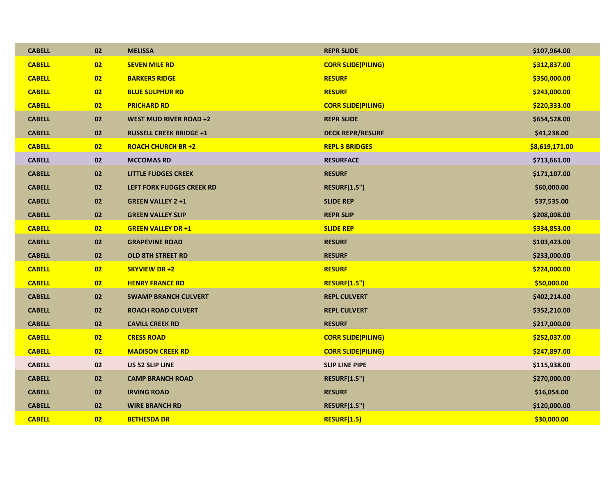| <b>CABELL</b> | 02 | <b>MELISSA</b>                   | <b>REPR SLIDE</b>         | \$107,964.00   |
|---------------|----|----------------------------------|---------------------------|----------------|
| <b>CABELL</b> | 02 | <b>SEVEN MILE RD</b>             | <b>CORR SLIDE(PILING)</b> | \$312,837.00   |
| <b>CABELL</b> | 02 | <b>BARKERS RIDGE</b>             | <b>RESURF</b>             | \$350,000.00   |
| <b>CABELL</b> | 02 | <b>BLUE SULPHUR RD</b>           | <b>RESURF</b>             | \$243,000.00   |
| <b>CABELL</b> | 02 | <b>PRICHARD RD</b>               | <b>CORR SLIDE(PILING)</b> | \$220,333.00   |
| <b>CABELL</b> | 02 | <b>WEST MUD RIVER ROAD +2</b>    | <b>REPR SLIDE</b>         | \$654,528.00   |
| <b>CABELL</b> | 02 | <b>RUSSELL CREEK BRIDGE +1</b>   | <b>DECK REPR/RESURF</b>   | \$41,238.00    |
| <b>CABELL</b> | 02 | <b>ROACH CHURCH BR +2</b>        | <b>REPL 3 BRIDGES</b>     | \$8,619,171.00 |
| <b>CABELL</b> | 02 | <b>MCCOMAS RD</b>                | <b>RESURFACE</b>          | \$713,661.00   |
| <b>CABELL</b> | 02 | <b>LITTLE FUDGES CREEK</b>       | <b>RESURF</b>             | \$171,107.00   |
| <b>CABELL</b> | 02 | <b>LEFT FORK FUDGES CREEK RD</b> | <b>RESURF(1.5")</b>       | \$60,000.00    |
| <b>CABELL</b> | 02 | <b>GREEN VALLEY 2 +1</b>         | <b>SLIDE REP</b>          | \$37,535.00    |
| <b>CABELL</b> | 02 | <b>GREEN VALLEY SLIP</b>         | <b>REPR SLIP</b>          | \$208,008.00   |
| <b>CABELL</b> | 02 | <b>GREEN VALLEY DR +1</b>        | <b>SLIDE REP</b>          | \$334,853.00   |
| <b>CABELL</b> | 02 | <b>GRAPEVINE ROAD</b>            | <b>RESURF</b>             | \$103,423.00   |
| <b>CABELL</b> | 02 | <b>OLD 8TH STREET RD</b>         | <b>RESURF</b>             | \$233,000.00   |
| <b>CABELL</b> | 02 | <b>SKYVIEW DR +2</b>             | <b>RESURF</b>             | \$224,000.00   |
| <b>CABELL</b> | 02 | <b>HENRY FRANCE RD</b>           | <b>RESURF(1.5")</b>       | \$50,000.00    |
| <b>CABELL</b> | 02 | <b>SWAMP BRANCH CULVERT</b>      | <b>REPL CULVERT</b>       | \$402,214.00   |
| <b>CABELL</b> | 02 | <b>ROACH ROAD CULVERT</b>        | <b>REPL CULVERT</b>       | \$352,210.00   |
| <b>CABELL</b> | 02 | <b>CAVILL CREEK RD</b>           | <b>RESURF</b>             | \$217,000.00   |
| <b>CABELL</b> | 02 | <b>CRESS ROAD</b>                | <b>CORR SLIDE(PILING)</b> | \$252,037.00   |
| <b>CABELL</b> | 02 | <b>MADISON CREEK RD</b>          | <b>CORR SLIDE(PILING)</b> | \$247,897.00   |
| <b>CABELL</b> | 02 | US 52 SLIP LINE                  | <b>SLIP LINE PIPE</b>     | \$115,938.00   |
| <b>CABELL</b> | 02 | <b>CAMP BRANCH ROAD</b>          | <b>RESURF(1.5")</b>       | \$270,000.00   |
| <b>CABELL</b> | 02 | <b>IRVING ROAD</b>               | <b>RESURF</b>             | \$16,054.00    |
| <b>CABELL</b> | 02 | <b>WIRE BRANCH RD</b>            | <b>RESURF(1.5")</b>       | \$120,000.00   |
| <b>CABELL</b> | 02 | <b>BETHESDA DR</b>               | <b>RESURF(1.5)</b>        | \$30,000.00    |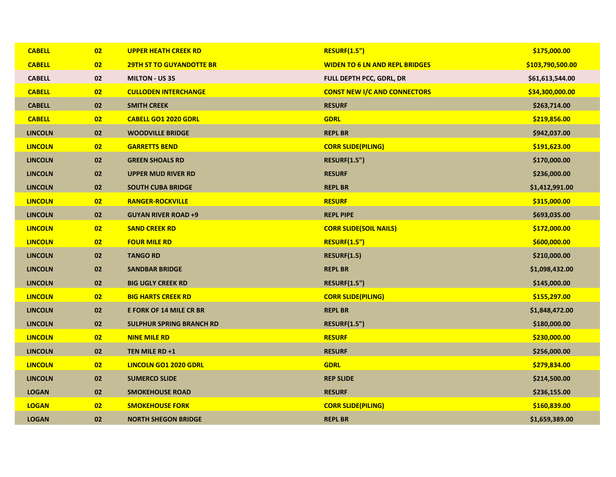| <b>CABELL</b>  | 02 | <b>UPPER HEATH CREEK RD</b>     | <b>RESURF(1.5")</b>                   | \$175,000.00     |
|----------------|----|---------------------------------|---------------------------------------|------------------|
| <b>CABELL</b>  | 02 | <b>29TH ST TO GUYANDOTTE BR</b> | <b>WIDEN TO 6 LN AND REPL BRIDGES</b> | \$103,790,500.00 |
| <b>CABELL</b>  | 02 | <b>MILTON - US 35</b>           | FULL DEPTH PCC, GDRL, DR              | \$61,613,544.00  |
| <b>CABELL</b>  | 02 | <b>CULLODEN INTERCHANGE</b>     | <b>CONST NEW I/C AND CONNECTORS</b>   | \$34,300,000.00  |
| <b>CABELL</b>  | 02 | <b>SMITH CREEK</b>              | <b>RESURF</b>                         | \$263,714.00     |
| <b>CABELL</b>  | 02 | <b>CABELL GO1 2020 GDRL</b>     | <b>GDRL</b>                           | \$219,856.00     |
| <b>LINCOLN</b> | 02 | <b>WOODVILLE BRIDGE</b>         | <b>REPL BR</b>                        | \$942,037.00     |
| <b>LINCOLN</b> | 02 | <b>GARRETTS BEND</b>            | <b>CORR SLIDE(PILING)</b>             | \$191,623.00     |
| <b>LINCOLN</b> | 02 | <b>GREEN SHOALS RD</b>          | <b>RESURF(1.5")</b>                   | \$170,000.00     |
| <b>LINCOLN</b> | 02 | <b>UPPER MUD RIVER RD</b>       | <b>RESURF</b>                         | \$236,000.00     |
| <b>LINCOLN</b> | 02 | <b>SOUTH CUBA BRIDGE</b>        | <b>REPL BR</b>                        | \$1,412,991.00   |
| <b>LINCOLN</b> | 02 | <b>RANGER-ROCKVILLE</b>         | <b>RESURF</b>                         | \$315,000.00     |
| <b>LINCOLN</b> | 02 | <b>GUYAN RIVER ROAD +9</b>      | <b>REPL PIPE</b>                      | \$693,035.00     |
| <b>LINCOLN</b> | 02 | <b>SAND CREEK RD</b>            | <b>CORR SLIDE(SOIL NAILS)</b>         | \$172,000.00     |
| <b>LINCOLN</b> | 02 | <b>FOUR MILE RD</b>             | <b>RESURF(1.5")</b>                   | \$600,000.00     |
| <b>LINCOLN</b> | 02 | <b>TANGO RD</b>                 | <b>RESURF(1.5)</b>                    | \$210,000.00     |
| <b>LINCOLN</b> | 02 | <b>SANDBAR BRIDGE</b>           | <b>REPL BR</b>                        | \$1,098,432.00   |
| <b>LINCOLN</b> | 02 | <b>BIG UGLY CREEK RD</b>        | <b>RESURF(1.5")</b>                   | \$145,000.00     |
| <b>LINCOLN</b> | 02 | <b>BIG HARTS CREEK RD</b>       | <b>CORR SLIDE(PILING)</b>             | \$155,297.00     |
| <b>LINCOLN</b> | 02 | <b>E FORK OF 14 MILE CR BR</b>  | <b>REPL BR</b>                        | \$1,848,472.00   |
| <b>LINCOLN</b> | 02 | <b>SULPHUR SPRING BRANCH RD</b> | <b>RESURF(1.5")</b>                   | \$180,000.00     |
| <b>LINCOLN</b> | 02 | <b>NINE MILE RD</b>             | <b>RESURF</b>                         | \$230,000.00     |
| <b>LINCOLN</b> | 02 | TEN MILE RD +1                  | <b>RESURF</b>                         | \$256,000.00     |
| <b>LINCOLN</b> | 02 | <b>LINCOLN GO1 2020 GDRL</b>    | <b>GDRL</b>                           | \$279,834.00     |
| <b>LINCOLN</b> | 02 | <b>SUMERCO SLIDE</b>            | <b>REP SLIDE</b>                      | \$214,500.00     |
| <b>LOGAN</b>   | 02 | <b>SMOKEHOUSE ROAD</b>          | <b>RESURF</b>                         | \$236,155.00     |
| <b>LOGAN</b>   | 02 | <b>SMOKEHOUSE FORK</b>          | <b>CORR SLIDE(PILING)</b>             | \$160,839.00     |
| <b>LOGAN</b>   | 02 | <b>NORTH SHEGON BRIDGE</b>      | <b>REPL BR</b>                        | \$1,659,389.00   |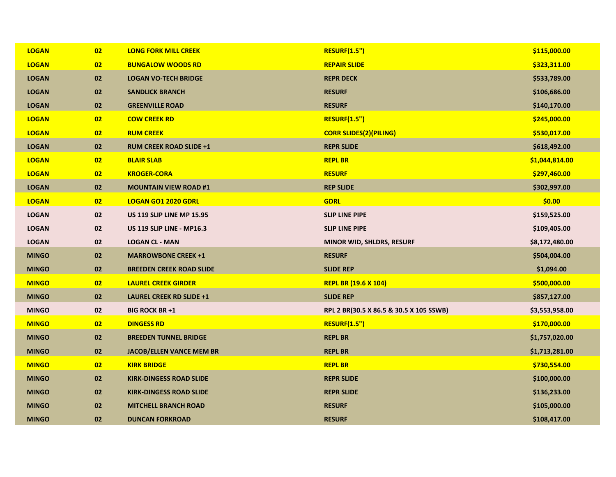| <b>LOGAN</b> | 02 | <b>LONG FORK MILL CREEK</b>      | <b>RESURF(1.5")</b>                     | \$115,000.00   |
|--------------|----|----------------------------------|-----------------------------------------|----------------|
| <b>LOGAN</b> | 02 | <b>BUNGALOW WOODS RD</b>         | <b>REPAIR SLIDE</b>                     | \$323,311.00   |
| <b>LOGAN</b> | 02 | <b>LOGAN VO-TECH BRIDGE</b>      | <b>REPR DECK</b>                        | \$533,789.00   |
| <b>LOGAN</b> | 02 | <b>SANDLICK BRANCH</b>           | <b>RESURF</b>                           | \$106,686.00   |
| <b>LOGAN</b> | 02 | <b>GREENVILLE ROAD</b>           | <b>RESURF</b>                           | \$140,170.00   |
| <b>LOGAN</b> | 02 | <b>COW CREEK RD</b>              | <b>RESURF(1.5")</b>                     | \$245,000.00   |
| <b>LOGAN</b> | 02 | <b>RUM CREEK</b>                 | <b>CORR SLIDES(2)(PILING)</b>           | \$530,017.00   |
| <b>LOGAN</b> | 02 | <b>RUM CREEK ROAD SLIDE +1</b>   | <b>REPR SLIDE</b>                       | \$618,492.00   |
| <b>LOGAN</b> | 02 | <b>BLAIR SLAB</b>                | <b>REPL BR</b>                          | \$1,044,814.00 |
| <b>LOGAN</b> | 02 | <b>KROGER-CORA</b>               | <b>RESURF</b>                           | \$297,460.00   |
| <b>LOGAN</b> | 02 | <b>MOUNTAIN VIEW ROAD #1</b>     | <b>REP SLIDE</b>                        | \$302,997.00   |
| <b>LOGAN</b> | 02 | <b>LOGAN GO1 2020 GDRL</b>       | <b>GDRL</b>                             | \$0.00         |
| <b>LOGAN</b> | 02 | <b>US 119 SLIP LINE MP 15.95</b> | <b>SLIP LINE PIPE</b>                   | \$159,525.00   |
| <b>LOGAN</b> | 02 | <b>US 119 SLIP LINE - MP16.3</b> | <b>SLIP LINE PIPE</b>                   | \$109,405.00   |
|              |    |                                  |                                         |                |
| <b>LOGAN</b> | 02 | <b>LOGAN CL - MAN</b>            | <b>MINOR WID, SHLDRS, RESURF</b>        | \$8,172,480.00 |
| <b>MINGO</b> | 02 | <b>MARROWBONE CREEK +1</b>       | <b>RESURF</b>                           | \$504,004.00   |
| <b>MINGO</b> | 02 | <b>BREEDEN CREEK ROAD SLIDE</b>  | <b>SLIDE REP</b>                        | \$1,094.00     |
| <b>MINGO</b> | 02 | <b>LAUREL CREEK GIRDER</b>       | <b>REPL BR (19.6 X 104)</b>             | \$500,000.00   |
| <b>MINGO</b> | 02 | <b>LAUREL CREEK RD SLIDE +1</b>  | <b>SLIDE REP</b>                        | \$857,127.00   |
| <b>MINGO</b> | 02 | <b>BIG ROCK BR +1</b>            | RPL 2 BR(30.5 X 86.5 & 30.5 X 105 SSWB) | \$3,553,958.00 |
| <b>MINGO</b> | 02 | <b>DINGESS RD</b>                | <b>RESURF(1.5")</b>                     | \$170,000.00   |
| <b>MINGO</b> | 02 | <b>BREEDEN TUNNEL BRIDGE</b>     | <b>REPL BR</b>                          | \$1,757,020.00 |
| <b>MINGO</b> | 02 | <b>JACOB/ELLEN VANCE MEM BR</b>  | <b>REPL BR</b>                          | \$1,713,281.00 |
| <b>MINGO</b> | 02 | <b>KIRK BRIDGE</b>               | <b>REPL BR</b>                          | \$730,554.00   |
| <b>MINGO</b> | 02 | <b>KIRK-DINGESS ROAD SLIDE</b>   | <b>REPR SLIDE</b>                       | \$100,000.00   |
| <b>MINGO</b> | 02 | <b>KIRK-DINGESS ROAD SLIDE</b>   | <b>REPR SLIDE</b>                       | \$136,233.00   |
| <b>MINGO</b> | 02 | <b>MITCHELL BRANCH ROAD</b>      | <b>RESURF</b>                           | \$105,000.00   |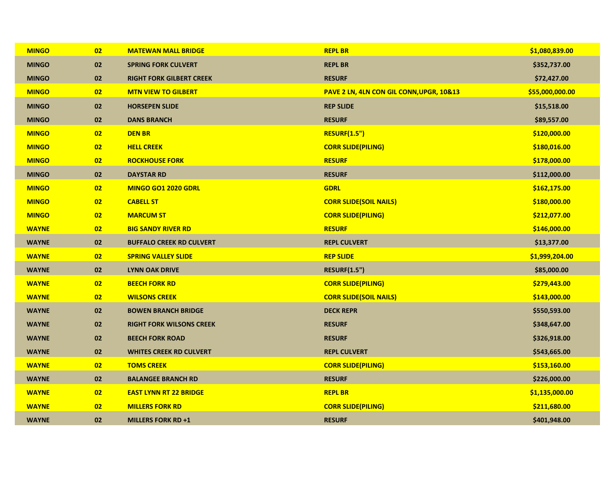| <b>MINGO</b> | 02 | <b>MATEWAN MALL BRIDGE</b>      | <b>REPL BR</b>                           | \$1,080,839.00  |
|--------------|----|---------------------------------|------------------------------------------|-----------------|
| <b>MINGO</b> | 02 | <b>SPRING FORK CULVERT</b>      | <b>REPL BR</b>                           | \$352,737.00    |
| <b>MINGO</b> | 02 | <b>RIGHT FORK GILBERT CREEK</b> | <b>RESURF</b>                            | \$72,427.00     |
| <b>MINGO</b> | 02 | <b>MTN VIEW TO GILBERT</b>      | PAVE 2 LN, 4LN CON GIL CONN, UPGR, 10&13 | \$55,000,000.00 |
| <b>MINGO</b> | 02 | <b>HORSEPEN SLIDE</b>           | <b>REP SLIDE</b>                         | \$15,518.00     |
| <b>MINGO</b> | 02 | <b>DANS BRANCH</b>              | <b>RESURF</b>                            | \$89,557.00     |
| <b>MINGO</b> | 02 | <b>DEN BR</b>                   | <b>RESURF(1.5")</b>                      | \$120,000.00    |
| <b>MINGO</b> | 02 | <b>HELL CREEK</b>               | <b>CORR SLIDE(PILING)</b>                | \$180,016.00    |
| <b>MINGO</b> | 02 | <b>ROCKHOUSE FORK</b>           | <b>RESURF</b>                            | \$178,000.00    |
| <b>MINGO</b> | 02 | <b>DAYSTAR RD</b>               | <b>RESURF</b>                            | \$112,000.00    |
| <b>MINGO</b> | 02 | <b>MINGO GO1 2020 GDRL</b>      | <b>GDRL</b>                              | \$162,175.00    |
| <b>MINGO</b> | 02 | <b>CABELL ST</b>                | <b>CORR SLIDE(SOIL NAILS)</b>            | \$180,000.00    |
| <b>MINGO</b> | 02 | <b>MARCUM ST</b>                | <b>CORR SLIDE(PILING)</b>                | \$212,077.00    |
| <b>WAYNE</b> | 02 | <b>BIG SANDY RIVER RD</b>       | <b>RESURF</b>                            | \$146,000.00    |
| <b>WAYNE</b> | 02 | <b>BUFFALO CREEK RD CULVERT</b> | <b>REPL CULVERT</b>                      | \$13,377.00     |
| <b>WAYNE</b> | 02 | <b>SPRING VALLEY SLIDE</b>      | <b>REP SLIDE</b>                         | \$1,999,204.00  |
| <b>WAYNE</b> | 02 | <b>LYNN OAK DRIVE</b>           | <b>RESURF(1.5")</b>                      | \$85,000.00     |
| <b>WAYNE</b> | 02 | <b>BEECH FORK RD</b>            | <b>CORR SLIDE(PILING)</b>                | \$279,443.00    |
| <b>WAYNE</b> | 02 | <b>WILSONS CREEK</b>            | <b>CORR SLIDE(SOIL NAILS)</b>            | \$143,000.00    |
| <b>WAYNE</b> | 02 | <b>BOWEN BRANCH BRIDGE</b>      | <b>DECK REPR</b>                         | \$550,593.00    |
| <b>WAYNE</b> | 02 | <b>RIGHT FORK WILSONS CREEK</b> | <b>RESURF</b>                            | \$348,647.00    |
| <b>WAYNE</b> | 02 | <b>BEECH FORK ROAD</b>          | <b>RESURF</b>                            | \$326,918.00    |
| <b>WAYNE</b> | 02 | <b>WHITES CREEK RD CULVERT</b>  | <b>REPL CULVERT</b>                      | \$543,665.00    |
| <b>WAYNE</b> | 02 | <b>TOMS CREEK</b>               | <b>CORR SLIDE(PILING)</b>                | \$153,160.00    |
| <b>WAYNE</b> | 02 | <b>BALANGEE BRANCH RD</b>       | <b>RESURF</b>                            | \$226,000.00    |
| <b>WAYNE</b> | 02 | <b>EAST LYNN RT 22 BRIDGE</b>   | <b>REPL BR</b>                           | \$1,135,000.00  |
| <b>WAYNE</b> | 02 | <b>MILLERS FORK RD</b>          | <b>CORR SLIDE(PILING)</b>                | \$211,680.00    |
| <b>WAYNE</b> | 02 | <b>MILLERS FORK RD +1</b>       | <b>RESURF</b>                            | \$401,948.00    |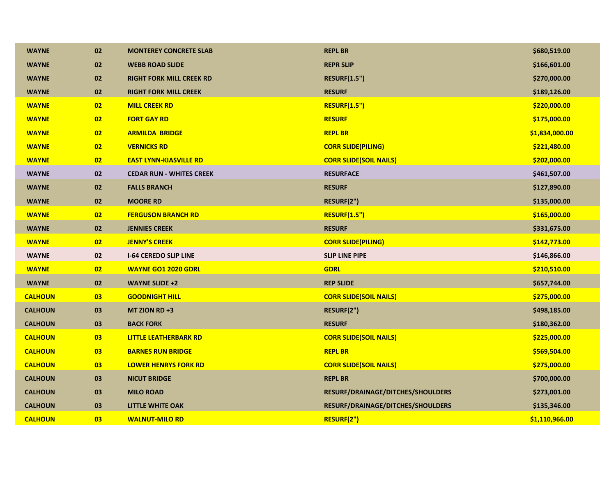| <b>WAYNE</b>   | 02 | <b>MONTEREY CONCRETE SLAB</b>   | <b>REPL BR</b>                    | \$680,519.00   |
|----------------|----|---------------------------------|-----------------------------------|----------------|
| <b>WAYNE</b>   | 02 | <b>WEBB ROAD SLIDE</b>          | <b>REPR SLIP</b>                  | \$166,601.00   |
| <b>WAYNE</b>   | 02 | <b>RIGHT FORK MILL CREEK RD</b> | <b>RESURF(1.5")</b>               | \$270,000.00   |
| <b>WAYNE</b>   | 02 | <b>RIGHT FORK MILL CREEK</b>    | <b>RESURF</b>                     | \$189,126.00   |
| <b>WAYNE</b>   | 02 | <b>MILL CREEK RD</b>            | <b>RESURF(1.5")</b>               | \$220,000.00   |
| <b>WAYNE</b>   | 02 | <b>FORT GAY RD</b>              | <b>RESURF</b>                     | \$175,000.00   |
| <b>WAYNE</b>   | 02 | <b>ARMILDA BRIDGE</b>           | <b>REPL BR</b>                    | \$1,834,000.00 |
| <b>WAYNE</b>   | 02 | <b>VERNICKS RD</b>              | <b>CORR SLIDE(PILING)</b>         | \$221,480.00   |
| <b>WAYNE</b>   | 02 | <b>EAST LYNN-KIASVILLE RD</b>   | <b>CORR SLIDE(SOIL NAILS)</b>     | \$202,000.00   |
| <b>WAYNE</b>   | 02 | <b>CEDAR RUN - WHITES CREEK</b> | <b>RESURFACE</b>                  | \$461,507.00   |
| <b>WAYNE</b>   | 02 | <b>FALLS BRANCH</b>             | <b>RESURF</b>                     | \$127,890.00   |
| <b>WAYNE</b>   | 02 | <b>MOORE RD</b>                 | RESURF(2")                        | \$135,000.00   |
| <b>WAYNE</b>   | 02 | <b>FERGUSON BRANCH RD</b>       | <b>RESURF(1.5")</b>               | \$165,000.00   |
| <b>WAYNE</b>   | 02 | <b>JENNIES CREEK</b>            | <b>RESURF</b>                     | \$331,675.00   |
| <b>WAYNE</b>   | 02 | <b>JENNY'S CREEK</b>            | <b>CORR SLIDE(PILING)</b>         | \$142,773.00   |
| <b>WAYNE</b>   | 02 | <b>I-64 CEREDO SLIP LINE</b>    | <b>SLIP LINE PIPE</b>             | \$146,866.00   |
| <b>WAYNE</b>   | 02 | <b>WAYNE GO1 2020 GDRL</b>      | <b>GDRL</b>                       | \$210,510.00   |
| <b>WAYNE</b>   | 02 | <b>WAYNE SLIDE +2</b>           | <b>REP SLIDE</b>                  | \$657,744.00   |
| <b>CALHOUN</b> | 03 | <b>GOODNIGHT HILL</b>           | <b>CORR SLIDE(SOIL NAILS)</b>     | \$275,000.00   |
| <b>CALHOUN</b> | 03 | MT ZION RD $+3$                 | RESURF(2")                        | \$498,185.00   |
| <b>CALHOUN</b> | 03 | <b>BACK FORK</b>                | <b>RESURF</b>                     | \$180,362.00   |
| <b>CALHOUN</b> | 03 | <b>LITTLE LEATHERBARK RD</b>    | <b>CORR SLIDE(SOIL NAILS)</b>     | \$225,000.00   |
| <b>CALHOUN</b> | 03 | <b>BARNES RUN BRIDGE</b>        | <b>REPL BR</b>                    | \$569,504.00   |
| <b>CALHOUN</b> | 03 | <b>LOWER HENRYS FORK RD</b>     | <b>CORR SLIDE(SOIL NAILS)</b>     | \$275,000.00   |
| <b>CALHOUN</b> | 03 | <b>NICUT BRIDGE</b>             | <b>REPL BR</b>                    | \$700,000.00   |
| <b>CALHOUN</b> | 03 | <b>MILO ROAD</b>                | RESURF/DRAINAGE/DITCHES/SHOULDERS | \$273,001.00   |
| <b>CALHOUN</b> | 03 | <b>LITTLE WHITE OAK</b>         | RESURF/DRAINAGE/DITCHES/SHOULDERS | \$135,346.00   |
| <b>CALHOUN</b> | 03 | <b>WALNUT-MILO RD</b>           | RESURF(2")                        | \$1,110,966.00 |
|                |    |                                 |                                   |                |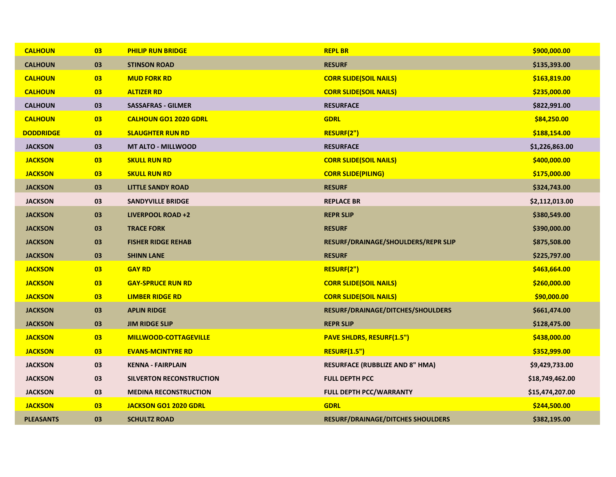| <b>CALHOUN</b>   | 03 | <b>PHILIP RUN BRIDGE</b>        | <b>REPL BR</b>                           | \$900,000.00    |
|------------------|----|---------------------------------|------------------------------------------|-----------------|
| <b>CALHOUN</b>   | 03 | <b>STINSON ROAD</b>             | <b>RESURF</b>                            | \$135,393.00    |
| <b>CALHOUN</b>   | 03 | <b>MUD FORK RD</b>              | <b>CORR SLIDE(SOIL NAILS)</b>            | \$163,819.00    |
| <b>CALHOUN</b>   | 03 | <b>ALTIZER RD</b>               | <b>CORR SLIDE(SOIL NAILS)</b>            | \$235,000.00    |
| <b>CALHOUN</b>   | 03 | <b>SASSAFRAS - GILMER</b>       | <b>RESURFACE</b>                         | \$822,991.00    |
| <b>CALHOUN</b>   | 03 | <b>CALHOUN GO1 2020 GDRL</b>    | <b>GDRL</b>                              | \$84,250.00     |
| <b>DODDRIDGE</b> | 03 | <b>SLAUGHTER RUN RD</b>         | RESURF(2")                               | \$188,154.00    |
| <b>JACKSON</b>   | 03 | <b>MT ALTO - MILLWOOD</b>       | <b>RESURFACE</b>                         | \$1,226,863.00  |
| <b>JACKSON</b>   | 03 | <b>SKULL RUN RD</b>             | <b>CORR SLIDE(SOIL NAILS)</b>            | \$400,000.00    |
| <b>JACKSON</b>   | 03 | <b>SKULL RUN RD</b>             | <b>CORR SLIDE(PILING)</b>                | \$175,000.00    |
| <b>JACKSON</b>   | 03 | <b>LITTLE SANDY ROAD</b>        | <b>RESURF</b>                            | \$324,743.00    |
| <b>JACKSON</b>   | 03 | <b>SANDYVILLE BRIDGE</b>        | <b>REPLACE BR</b>                        | \$2,112,013.00  |
| <b>JACKSON</b>   | 03 | <b>LIVERPOOL ROAD +2</b>        | <b>REPR SLIP</b>                         | \$380,549.00    |
| <b>JACKSON</b>   | 03 | <b>TRACE FORK</b>               | <b>RESURF</b>                            | \$390,000.00    |
| <b>JACKSON</b>   | 03 | <b>FISHER RIDGE REHAB</b>       | RESURF/DRAINAGE/SHOULDERS/REPR SLIP      | \$875,508.00    |
| <b>JACKSON</b>   | 03 | <b>SHINN LANE</b>               | <b>RESURF</b>                            | \$225,797.00    |
| <b>JACKSON</b>   | 03 | <b>GAY RD</b>                   | RESURF(2")                               | \$463,664.00    |
| <b>JACKSON</b>   | 03 | <b>GAY-SPRUCE RUN RD</b>        | <b>CORR SLIDE(SOIL NAILS)</b>            | \$260,000.00    |
| <b>JACKSON</b>   | 03 | <b>LIMBER RIDGE RD</b>          | <b>CORR SLIDE(SOIL NAILS)</b>            | \$90,000.00     |
| <b>JACKSON</b>   | 03 | <b>APLIN RIDGE</b>              | RESURF/DRAINAGE/DITCHES/SHOULDERS        | \$661,474.00    |
| <b>JACKSON</b>   | 03 | <b>JIM RIDGE SLIP</b>           | <b>REPR SLIP</b>                         | \$128,475.00    |
| <b>JACKSON</b>   | 03 | <b>MILLWOOD-COTTAGEVILLE</b>    | <b>PAVE SHLDRS, RESURF(1.5")</b>         | \$438,000.00    |
| <b>JACKSON</b>   | 03 | <b>EVANS-MCINTYRE RD</b>        | <b>RESURF(1.5")</b>                      | \$352,999.00    |
| <b>JACKSON</b>   | 03 | <b>KENNA - FAIRPLAIN</b>        | <b>RESURFACE (RUBBLIZE AND 8" HMA)</b>   | \$9,429,733.00  |
| <b>JACKSON</b>   | 03 | <b>SILVERTON RECONSTRUCTION</b> | <b>FULL DEPTH PCC</b>                    | \$18,749,462.00 |
| <b>JACKSON</b>   | 03 | <b>MEDINA RECONSTRUCTION</b>    | FULL DEPTH PCC/WARRANTY                  | \$15,474,207.00 |
| <b>JACKSON</b>   | 03 | JACKSON GO1 2020 GDRL           | <b>GDRL</b>                              | \$244,500.00    |
| <b>PLEASANTS</b> | 03 | <b>SCHULTZ ROAD</b>             | <b>RESURF/DRAINAGE/DITCHES SHOULDERS</b> | \$382,195.00    |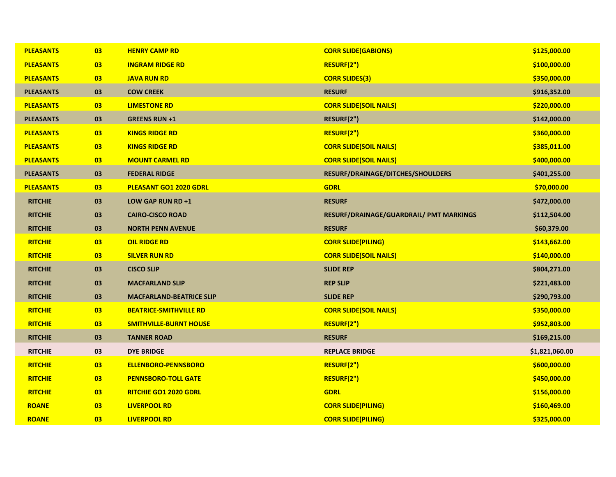| <b>PLEASANTS</b> | 03 | <b>HENRY CAMP RD</b>            | <b>CORR SLIDE(GABIONS)</b>              | \$125,000.00   |
|------------------|----|---------------------------------|-----------------------------------------|----------------|
| <b>PLEASANTS</b> | 03 | <b>INGRAM RIDGE RD</b>          | RESURF(2")                              | \$100,000.00   |
| <b>PLEASANTS</b> | 03 | <b>JAVA RUN RD</b>              | <b>CORR SLIDES(3)</b>                   | \$350,000.00   |
| <b>PLEASANTS</b> | 03 | <b>COW CREEK</b>                | <b>RESURF</b>                           | \$916,352.00   |
| <b>PLEASANTS</b> | 03 | <b>LIMESTONE RD</b>             | <b>CORR SLIDE(SOIL NAILS)</b>           | \$220,000.00   |
| <b>PLEASANTS</b> | 03 | <b>GREENS RUN +1</b>            | RESURF(2")                              | \$142,000.00   |
| <b>PLEASANTS</b> | 03 | <b>KINGS RIDGE RD</b>           | RESURF(2")                              | \$360,000.00   |
| <b>PLEASANTS</b> | 03 | <b>KINGS RIDGE RD</b>           | <b>CORR SLIDE(SOIL NAILS)</b>           | \$385,011.00   |
| <b>PLEASANTS</b> | 03 | <b>MOUNT CARMEL RD</b>          | <b>CORR SLIDE(SOIL NAILS)</b>           | \$400,000.00   |
| <b>PLEASANTS</b> | 03 | <b>FEDERAL RIDGE</b>            | RESURF/DRAINAGE/DITCHES/SHOULDERS       | \$401,255.00   |
| <b>PLEASANTS</b> | 03 | PLEASANT GO1 2020 GDRL          | <b>GDRL</b>                             | \$70,000.00    |
| <b>RITCHIE</b>   | 03 | LOW GAP RUN RD +1               | <b>RESURF</b>                           | \$472,000.00   |
| <b>RITCHIE</b>   | 03 | <b>CAIRO-CISCO ROAD</b>         | RESURF/DRAINAGE/GUARDRAIL/ PMT MARKINGS | \$112,504.00   |
| <b>RITCHIE</b>   | 03 | <b>NORTH PENN AVENUE</b>        | <b>RESURF</b>                           | \$60,379.00    |
| <b>RITCHIE</b>   | 03 | <b>OIL RIDGE RD</b>             | <b>CORR SLIDE(PILING)</b>               | \$143,662.00   |
| <b>RITCHIE</b>   | 03 | <b>SILVER RUN RD</b>            | <b>CORR SLIDE(SOIL NAILS)</b>           | \$140,000.00   |
| <b>RITCHIE</b>   | 03 | <b>CISCO SLIP</b>               | <b>SLIDE REP</b>                        | \$804,271.00   |
| <b>RITCHIE</b>   | 03 | <b>MACFARLAND SLIP</b>          | <b>REP SLIP</b>                         | \$221,483.00   |
| <b>RITCHIE</b>   | 03 | <b>MACFARLAND-BEATRICE SLIP</b> | <b>SLIDE REP</b>                        | \$290,793.00   |
| <b>RITCHIE</b>   | 03 | <b>BEATRICE-SMITHVILLE RD</b>   | <b>CORR SLIDE(SOIL NAILS)</b>           | \$350,000.00   |
| <b>RITCHIE</b>   | 03 | <b>SMITHVILLE-BURNT HOUSE</b>   | RESURF(2")                              | \$952,803.00   |
| <b>RITCHIE</b>   | 03 | <b>TANNER ROAD</b>              | <b>RESURF</b>                           | \$169,215.00   |
| <b>RITCHIE</b>   | 03 | <b>DYE BRIDGE</b>               | <b>REPLACE BRIDGE</b>                   | \$1,821,060.00 |
| <b>RITCHIE</b>   | 03 | <b>ELLENBORO-PENNSBORO</b>      | RESURF(2")                              | \$600,000.00   |
| <b>RITCHIE</b>   | 03 | <b>PENNSBORO-TOLL GATE</b>      | RESURF(2")                              | \$450,000.00   |
| <b>RITCHIE</b>   | 03 | <b>RITCHIE GO1 2020 GDRL</b>    | <b>GDRL</b>                             | \$156,000.00   |
| <b>ROANE</b>     | 03 | <b>LIVERPOOL RD</b>             | <b>CORR SLIDE(PILING)</b>               | \$160,469.00   |
| <b>ROANE</b>     | 03 | <b>LIVERPOOL RD</b>             | <b>CORR SLIDE(PILING)</b>               | \$325,000.00   |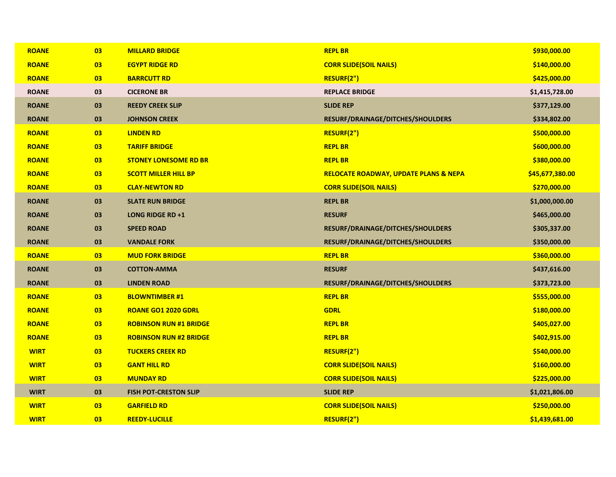| <b>ROANE</b> | 03 | <b>MILLARD BRIDGE</b>         | <b>REPL BR</b>                                   | \$930,000.00    |
|--------------|----|-------------------------------|--------------------------------------------------|-----------------|
| <b>ROANE</b> | 03 | <b>EGYPT RIDGE RD</b>         | <b>CORR SLIDE(SOIL NAILS)</b>                    | \$140,000.00    |
| <b>ROANE</b> | 03 | <b>BARRCUTT RD</b>            | RESURF(2")                                       | \$425,000.00    |
| <b>ROANE</b> | 03 | <b>CICERONE BR</b>            | <b>REPLACE BRIDGE</b>                            | \$1,415,728.00  |
| <b>ROANE</b> | 03 | <b>REEDY CREEK SLIP</b>       | <b>SLIDE REP</b>                                 | \$377,129.00    |
| <b>ROANE</b> | 03 | <b>JOHNSON CREEK</b>          | RESURF/DRAINAGE/DITCHES/SHOULDERS                | \$334,802.00    |
| <b>ROANE</b> | 03 | <b>LINDEN RD</b>              | RESURF(2")                                       | \$500,000.00    |
| <b>ROANE</b> | 03 | <b>TARIFF BRIDGE</b>          | <b>REPL BR</b>                                   | \$600,000.00    |
| <b>ROANE</b> | 03 | <b>STONEY LONESOME RD BR</b>  | <b>REPL BR</b>                                   | \$380,000.00    |
| <b>ROANE</b> | 03 | <b>SCOTT MILLER HILL BP</b>   | <b>RELOCATE ROADWAY, UPDATE PLANS &amp; NEPA</b> | \$45,677,380.00 |
| <b>ROANE</b> | 03 | <b>CLAY-NEWTON RD</b>         | <b>CORR SLIDE(SOIL NAILS)</b>                    | \$270,000.00    |
| <b>ROANE</b> | 03 | <b>SLATE RUN BRIDGE</b>       | <b>REPL BR</b>                                   | \$1,000,000.00  |
| <b>ROANE</b> | 03 | <b>LONG RIDGE RD +1</b>       | <b>RESURF</b>                                    | \$465,000.00    |
| <b>ROANE</b> | 03 | <b>SPEED ROAD</b>             | RESURF/DRAINAGE/DITCHES/SHOULDERS                | \$305,337.00    |
| <b>ROANE</b> | 03 | <b>VANDALE FORK</b>           | RESURF/DRAINAGE/DITCHES/SHOULDERS                | \$350,000.00    |
| <b>ROANE</b> | 03 | <b>MUD FORK BRIDGE</b>        | <b>REPL BR</b>                                   | \$360,000.00    |
| <b>ROANE</b> | 03 | <b>COTTON-AMMA</b>            | <b>RESURF</b>                                    | \$437,616.00    |
| <b>ROANE</b> | 03 | <b>LINDEN ROAD</b>            | RESURF/DRAINAGE/DITCHES/SHOULDERS                | \$373,723.00    |
| <b>ROANE</b> | 03 | <b>BLOWNTIMBER #1</b>         | <b>REPL BR</b>                                   | \$555,000.00    |
| <b>ROANE</b> | 03 | <b>ROANE GO1 2020 GDRL</b>    | <b>GDRL</b>                                      | \$180,000.00    |
| <b>ROANE</b> | 03 | <b>ROBINSON RUN #1 BRIDGE</b> | <b>REPL BR</b>                                   | \$405,027.00    |
| <b>ROANE</b> | 03 | <b>ROBINSON RUN #2 BRIDGE</b> | <b>REPL BR</b>                                   | \$402,915.00    |
| <b>WIRT</b>  | 03 | <b>TUCKERS CREEK RD</b>       | RESURF(2")                                       | \$540,000.00    |
| <b>WIRT</b>  | 03 | <b>GANT HILL RD</b>           | <b>CORR SLIDE(SOIL NAILS)</b>                    | \$160,000.00    |
| <b>WIRT</b>  | 03 | <b>MUNDAY RD</b>              | <b>CORR SLIDE(SOIL NAILS)</b>                    | \$225,000.00    |
| <b>WIRT</b>  | 03 | <b>FISH POT-CRESTON SLIP</b>  | <b>SLIDE REP</b>                                 | \$1,021,806.00  |
| <b>WIRT</b>  | 03 | <b>GARFIELD RD</b>            | <b>CORR SLIDE(SOIL NAILS)</b>                    | \$250,000.00    |
| <b>WIRT</b>  | 03 | <b>REEDY-LUCILLE</b>          | RESURF(2")                                       | \$1,439,681.00  |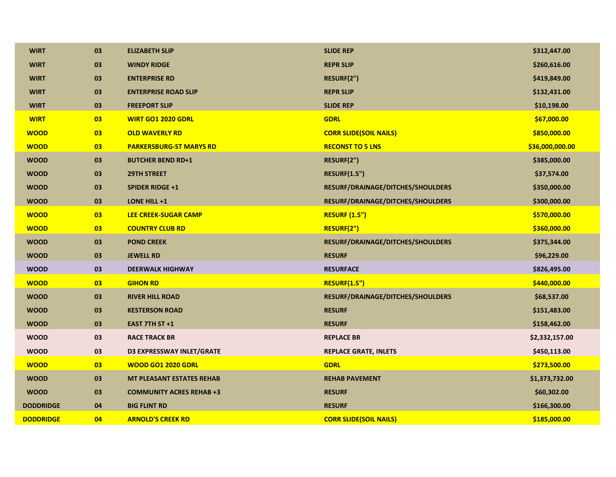| <b>WIRT</b>      | 03 | <b>ELIZABETH SLIP</b>            | <b>SLIDE REP</b>                  | \$312,447.00    |
|------------------|----|----------------------------------|-----------------------------------|-----------------|
| <b>WIRT</b>      | 03 | <b>WINDY RIDGE</b>               | <b>REPR SLIP</b>                  | \$260,616.00    |
| <b>WIRT</b>      | 03 | <b>ENTERPRISE RD</b>             | RESURF(2")                        | \$419,849.00    |
| <b>WIRT</b>      | 03 | <b>ENTERPRISE ROAD SLIP</b>      | <b>REPR SLIP</b>                  | \$132,431.00    |
| <b>WIRT</b>      | 03 | <b>FREEPORT SLIP</b>             | <b>SLIDE REP</b>                  | \$10,198.00     |
| <b>WIRT</b>      | 03 | <b>WIRT GO1 2020 GDRL</b>        | <b>GDRL</b>                       | \$67,000.00     |
| <b>WOOD</b>      | 03 | <b>OLD WAVERLY RD</b>            | <b>CORR SLIDE(SOIL NAILS)</b>     | \$850,000.00    |
| <b>WOOD</b>      | 03 | <b>PARKERSBURG-ST MARYS RD</b>   | <b>RECONST TO 5 LNS</b>           | \$36,000,000.00 |
| <b>WOOD</b>      | 03 | <b>BUTCHER BEND RD+1</b>         | RESURF(2")                        | \$385,000.00    |
| <b>WOOD</b>      | 03 | <b>29TH STREET</b>               | <b>RESURF(1.5")</b>               | \$37,574.00     |
| <b>WOOD</b>      | 03 | <b>SPIDER RIDGE +1</b>           | RESURF/DRAINAGE/DITCHES/SHOULDERS | \$350,000.00    |
| <b>WOOD</b>      | 03 | LONE HILL +1                     | RESURF/DRAINAGE/DITCHES/SHOULDERS | \$300,000.00    |
| <b>WOOD</b>      | 03 | <b>LEE CREEK-SUGAR CAMP</b>      | <b>RESURF (1.5")</b>              | \$570,000.00    |
| <b>WOOD</b>      | 03 | <b>COUNTRY CLUB RD</b>           | RESURF(2")                        | \$360,000.00    |
| <b>WOOD</b>      | 03 | <b>POND CREEK</b>                | RESURF/DRAINAGE/DITCHES/SHOULDERS | \$375,344.00    |
| <b>WOOD</b>      | 03 | <b>JEWELL RD</b>                 | <b>RESURF</b>                     | \$96,229.00     |
| <b>WOOD</b>      | 03 | <b>DEERWALK HIGHWAY</b>          | <b>RESURFACE</b>                  | \$826,495.00    |
| <b>WOOD</b>      | 03 | <b>GIHON RD</b>                  | <b>RESURF(1.5")</b>               | \$440,000.00    |
| <b>WOOD</b>      | 03 | <b>RIVER HILL ROAD</b>           | RESURF/DRAINAGE/DITCHES/SHOULDERS | \$68,537.00     |
| <b>WOOD</b>      | 03 | <b>KESTERSON ROAD</b>            | <b>RESURF</b>                     | \$151,483.00    |
| <b>WOOD</b>      | 03 | EAST 7TH ST +1                   | <b>RESURF</b>                     | \$158,462.00    |
| <b>WOOD</b>      | 03 | <b>RACE TRACK BR</b>             | <b>REPLACE BR</b>                 | \$2,332,157.00  |
| <b>WOOD</b>      | 03 | <b>D3 EXPRESSWAY INLET/GRATE</b> | <b>REPLACE GRATE, INLETS</b>      | \$450,113.00    |
| <b>WOOD</b>      | 03 | <b>WOOD GO1 2020 GDRL</b>        | <b>GDRL</b>                       | \$273,500.00    |
| <b>WOOD</b>      | 03 | <b>MT PLEASANT ESTATES REHAB</b> | <b>REHAB PAVEMENT</b>             | \$1,373,732.00  |
| <b>WOOD</b>      | 03 | <b>COMMUNITY ACRES REHAB +3</b>  | <b>RESURF</b>                     | \$60,302.00     |
| <b>DODDRIDGE</b> | 04 | <b>BIG FLINT RD</b>              | <b>RESURF</b>                     | \$166,300.00    |
| <b>DODDRIDGE</b> | 04 | <b>ARNOLD'S CREEK RD</b>         | <b>CORR SLIDE(SOIL NAILS)</b>     | \$185,000.00    |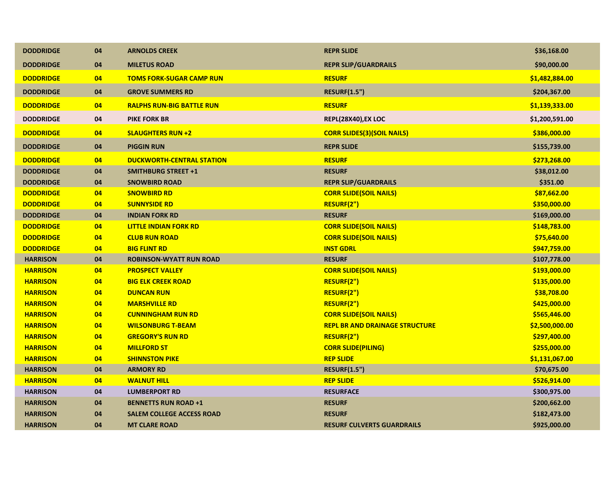| 04<br><b>REPR SLIP/GUARDRAILS</b><br>\$90,000.00<br><b>DODDRIDGE</b><br><b>MILETUS ROAD</b><br>04<br><b>TOMS FORK-SUGAR CAMP RUN</b><br><b>RESURF</b><br>\$1,482,884.00<br><b>DODDRIDGE</b><br><b>DODDRIDGE</b><br>04<br><b>GROVE SUMMERS RD</b><br><b>RESURF(1.5")</b><br>\$204,367.00<br><b>DODDRIDGE</b><br>04<br><b>RESURF</b><br><b>RALPHS RUN-BIG BATTLE RUN</b><br>\$1,139,333.00<br><b>DODDRIDGE</b><br>04<br><b>PIKE FORK BR</b><br>REPL(28X40), EX LOC<br>\$1,200,591.00<br>04<br><b>SLAUGHTERS RUN +2</b><br>\$386,000.00<br><b>DODDRIDGE</b><br><b>CORR SLIDES(3)(SOIL NAILS)</b><br>04<br><b>REPR SLIDE</b><br>\$155,739.00<br><b>DODDRIDGE</b><br><b>PIGGIN RUN</b><br><b>DODDRIDGE</b><br>04<br><b>DUCKWORTH-CENTRAL STATION</b><br><b>RESURF</b><br>\$273,268.00<br><b>RESURF</b><br><b>DODDRIDGE</b><br>04<br><b>SMITHBURG STREET +1</b><br>\$38,012.00<br>\$351.00<br><b>DODDRIDGE</b><br>04<br><b>SNOWBIRD ROAD</b><br><b>REPR SLIP/GUARDRAILS</b><br>04<br><b>CORR SLIDE(SOIL NAILS)</b><br>\$87,662.00<br><b>DODDRIDGE</b><br><b>SNOWBIRD RD</b><br><b>DODDRIDGE</b><br>04<br><b>SUNNYSIDE RD</b><br>RESURF(2")<br>\$350,000.00<br><b>DODDRIDGE</b><br>04<br><b>RESURF</b><br>\$169,000.00<br><b>INDIAN FORK RD</b><br><b>CORR SLIDE(SOIL NAILS)</b><br><b>DODDRIDGE</b><br>04<br><b>LITTLE INDIAN FORK RD</b><br>\$148,783.00 | <b>DODDRIDGE</b> | 04 | <b>ARNOLDS CREEK</b> | <b>REPR SLIDE</b>             | \$36,168.00 |
|-----------------------------------------------------------------------------------------------------------------------------------------------------------------------------------------------------------------------------------------------------------------------------------------------------------------------------------------------------------------------------------------------------------------------------------------------------------------------------------------------------------------------------------------------------------------------------------------------------------------------------------------------------------------------------------------------------------------------------------------------------------------------------------------------------------------------------------------------------------------------------------------------------------------------------------------------------------------------------------------------------------------------------------------------------------------------------------------------------------------------------------------------------------------------------------------------------------------------------------------------------------------------------------------------------------------------------------------------------|------------------|----|----------------------|-------------------------------|-------------|
|                                                                                                                                                                                                                                                                                                                                                                                                                                                                                                                                                                                                                                                                                                                                                                                                                                                                                                                                                                                                                                                                                                                                                                                                                                                                                                                                                     |                  |    |                      |                               |             |
|                                                                                                                                                                                                                                                                                                                                                                                                                                                                                                                                                                                                                                                                                                                                                                                                                                                                                                                                                                                                                                                                                                                                                                                                                                                                                                                                                     |                  |    |                      |                               |             |
|                                                                                                                                                                                                                                                                                                                                                                                                                                                                                                                                                                                                                                                                                                                                                                                                                                                                                                                                                                                                                                                                                                                                                                                                                                                                                                                                                     |                  |    |                      |                               |             |
|                                                                                                                                                                                                                                                                                                                                                                                                                                                                                                                                                                                                                                                                                                                                                                                                                                                                                                                                                                                                                                                                                                                                                                                                                                                                                                                                                     |                  |    |                      |                               |             |
|                                                                                                                                                                                                                                                                                                                                                                                                                                                                                                                                                                                                                                                                                                                                                                                                                                                                                                                                                                                                                                                                                                                                                                                                                                                                                                                                                     |                  |    |                      |                               |             |
|                                                                                                                                                                                                                                                                                                                                                                                                                                                                                                                                                                                                                                                                                                                                                                                                                                                                                                                                                                                                                                                                                                                                                                                                                                                                                                                                                     |                  |    |                      |                               |             |
|                                                                                                                                                                                                                                                                                                                                                                                                                                                                                                                                                                                                                                                                                                                                                                                                                                                                                                                                                                                                                                                                                                                                                                                                                                                                                                                                                     |                  |    |                      |                               |             |
|                                                                                                                                                                                                                                                                                                                                                                                                                                                                                                                                                                                                                                                                                                                                                                                                                                                                                                                                                                                                                                                                                                                                                                                                                                                                                                                                                     |                  |    |                      |                               |             |
|                                                                                                                                                                                                                                                                                                                                                                                                                                                                                                                                                                                                                                                                                                                                                                                                                                                                                                                                                                                                                                                                                                                                                                                                                                                                                                                                                     |                  |    |                      |                               |             |
|                                                                                                                                                                                                                                                                                                                                                                                                                                                                                                                                                                                                                                                                                                                                                                                                                                                                                                                                                                                                                                                                                                                                                                                                                                                                                                                                                     |                  |    |                      |                               |             |
|                                                                                                                                                                                                                                                                                                                                                                                                                                                                                                                                                                                                                                                                                                                                                                                                                                                                                                                                                                                                                                                                                                                                                                                                                                                                                                                                                     |                  |    |                      |                               |             |
|                                                                                                                                                                                                                                                                                                                                                                                                                                                                                                                                                                                                                                                                                                                                                                                                                                                                                                                                                                                                                                                                                                                                                                                                                                                                                                                                                     |                  |    |                      |                               |             |
|                                                                                                                                                                                                                                                                                                                                                                                                                                                                                                                                                                                                                                                                                                                                                                                                                                                                                                                                                                                                                                                                                                                                                                                                                                                                                                                                                     |                  |    |                      |                               |             |
|                                                                                                                                                                                                                                                                                                                                                                                                                                                                                                                                                                                                                                                                                                                                                                                                                                                                                                                                                                                                                                                                                                                                                                                                                                                                                                                                                     |                  |    |                      |                               |             |
|                                                                                                                                                                                                                                                                                                                                                                                                                                                                                                                                                                                                                                                                                                                                                                                                                                                                                                                                                                                                                                                                                                                                                                                                                                                                                                                                                     | <b>DODDRIDGE</b> | 04 | <b>CLUB RUN ROAD</b> | <b>CORR SLIDE(SOIL NAILS)</b> | \$75,640.00 |
| <b>DODDRIDGE</b><br><b>BIG FLINT RD</b><br><b>INST GDRL</b><br>04<br>\$947,759.00                                                                                                                                                                                                                                                                                                                                                                                                                                                                                                                                                                                                                                                                                                                                                                                                                                                                                                                                                                                                                                                                                                                                                                                                                                                                   |                  |    |                      |                               |             |
| 04<br><b>ROBINSON-WYATT RUN ROAD</b><br><b>RESURF</b><br><b>HARRISON</b><br>\$107,778.00                                                                                                                                                                                                                                                                                                                                                                                                                                                                                                                                                                                                                                                                                                                                                                                                                                                                                                                                                                                                                                                                                                                                                                                                                                                            |                  |    |                      |                               |             |
| <b>CORR SLIDE(SOIL NAILS)</b><br><b>HARRISON</b><br>04<br><b>PROSPECT VALLEY</b><br>\$193,000.00                                                                                                                                                                                                                                                                                                                                                                                                                                                                                                                                                                                                                                                                                                                                                                                                                                                                                                                                                                                                                                                                                                                                                                                                                                                    |                  |    |                      |                               |             |
| 04<br>RESURF(2")<br><b>HARRISON</b><br><b>BIG ELK CREEK ROAD</b><br>\$135,000.00                                                                                                                                                                                                                                                                                                                                                                                                                                                                                                                                                                                                                                                                                                                                                                                                                                                                                                                                                                                                                                                                                                                                                                                                                                                                    |                  |    |                      |                               |             |
| <b>HARRISON</b><br>04<br><b>DUNCAN RUN</b><br>RESURF(2")<br>\$38,708.00                                                                                                                                                                                                                                                                                                                                                                                                                                                                                                                                                                                                                                                                                                                                                                                                                                                                                                                                                                                                                                                                                                                                                                                                                                                                             |                  |    |                      |                               |             |
| RESURF(2")<br><b>HARRISON</b><br>04<br><b>MARSHVILLE RD</b><br>\$425,000.00                                                                                                                                                                                                                                                                                                                                                                                                                                                                                                                                                                                                                                                                                                                                                                                                                                                                                                                                                                                                                                                                                                                                                                                                                                                                         |                  |    |                      |                               |             |
| 04<br><b>CUNNINGHAM RUN RD</b><br><b>CORR SLIDE(SOIL NAILS)</b><br><b>HARRISON</b><br>\$565,446.00                                                                                                                                                                                                                                                                                                                                                                                                                                                                                                                                                                                                                                                                                                                                                                                                                                                                                                                                                                                                                                                                                                                                                                                                                                                  |                  |    |                      |                               |             |
| <b>HARRISON</b><br>04<br><b>WILSONBURG T-BEAM</b><br><b>REPL BR AND DRAINAGE STRUCTURE</b><br>\$2,500,000.00                                                                                                                                                                                                                                                                                                                                                                                                                                                                                                                                                                                                                                                                                                                                                                                                                                                                                                                                                                                                                                                                                                                                                                                                                                        |                  |    |                      |                               |             |
| 04<br><b>GREGORY'S RUN RD</b><br>RESURF(2")<br><b>HARRISON</b><br>\$297,400.00                                                                                                                                                                                                                                                                                                                                                                                                                                                                                                                                                                                                                                                                                                                                                                                                                                                                                                                                                                                                                                                                                                                                                                                                                                                                      |                  |    |                      |                               |             |
| <b>HARRISON</b><br>04<br><b>MILLFORD ST</b><br><b>CORR SLIDE(PILING)</b><br>\$255,000.00                                                                                                                                                                                                                                                                                                                                                                                                                                                                                                                                                                                                                                                                                                                                                                                                                                                                                                                                                                                                                                                                                                                                                                                                                                                            |                  |    |                      |                               |             |
| <b>HARRISON</b><br>04<br><b>SHINNSTON PIKE</b><br><b>REP SLIDE</b><br>\$1,131,067.00                                                                                                                                                                                                                                                                                                                                                                                                                                                                                                                                                                                                                                                                                                                                                                                                                                                                                                                                                                                                                                                                                                                                                                                                                                                                |                  |    |                      |                               |             |
| 04<br><b>ARMORY RD</b><br><b>RESURF(1.5")</b><br>\$70,675.00<br><b>HARRISON</b>                                                                                                                                                                                                                                                                                                                                                                                                                                                                                                                                                                                                                                                                                                                                                                                                                                                                                                                                                                                                                                                                                                                                                                                                                                                                     |                  |    |                      |                               |             |
| <b>HARRISON</b><br>04<br><b>WALNUT HILL</b><br><b>REP SLIDE</b><br>\$526,914.00                                                                                                                                                                                                                                                                                                                                                                                                                                                                                                                                                                                                                                                                                                                                                                                                                                                                                                                                                                                                                                                                                                                                                                                                                                                                     |                  |    |                      |                               |             |
| <b>HARRISON</b><br>04<br><b>LUMBERPORT RD</b><br><b>RESURFACE</b><br>\$300,975.00                                                                                                                                                                                                                                                                                                                                                                                                                                                                                                                                                                                                                                                                                                                                                                                                                                                                                                                                                                                                                                                                                                                                                                                                                                                                   |                  |    |                      |                               |             |
| <b>HARRISON</b><br>04<br><b>BENNETTS RUN ROAD +1</b><br><b>RESURF</b><br>\$200,662.00                                                                                                                                                                                                                                                                                                                                                                                                                                                                                                                                                                                                                                                                                                                                                                                                                                                                                                                                                                                                                                                                                                                                                                                                                                                               |                  |    |                      |                               |             |
| <b>RESURF</b><br><b>HARRISON</b><br>04<br><b>SALEM COLLEGE ACCESS ROAD</b><br>\$182,473.00                                                                                                                                                                                                                                                                                                                                                                                                                                                                                                                                                                                                                                                                                                                                                                                                                                                                                                                                                                                                                                                                                                                                                                                                                                                          |                  |    |                      |                               |             |
| 04<br>\$925,000.00<br><b>HARRISON</b><br><b>MT CLARE ROAD</b><br><b>RESURF CULVERTS GUARDRAILS</b>                                                                                                                                                                                                                                                                                                                                                                                                                                                                                                                                                                                                                                                                                                                                                                                                                                                                                                                                                                                                                                                                                                                                                                                                                                                  |                  |    |                      |                               |             |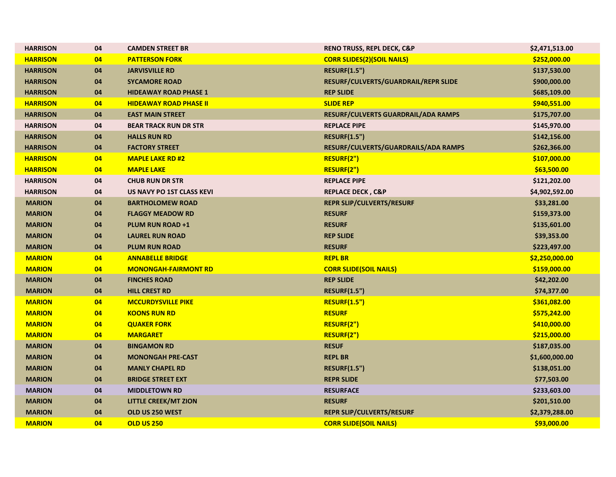| <b>HARRISON</b> | 04 | <b>CAMDEN STREET BR</b>       | <b>RENO TRUSS, REPL DECK, C&amp;P</b> | \$2,471,513.00 |
|-----------------|----|-------------------------------|---------------------------------------|----------------|
| <b>HARRISON</b> | 04 | <b>PATTERSON FORK</b>         | <b>CORR SLIDES(2)(SOIL NAILS)</b>     | \$252,000.00   |
| <b>HARRISON</b> | 04 | <b>JARVISVILLE RD</b>         | <b>RESURF(1.5")</b>                   | \$137,530.00   |
| <b>HARRISON</b> | 04 | <b>SYCAMORE ROAD</b>          | RESURF/CULVERTS/GUARDRAIL/REPR SLIDE  | \$900,000.00   |
| <b>HARRISON</b> | 04 | <b>HIDEAWAY ROAD PHASE 1</b>  | <b>REP SLIDE</b>                      | \$685,109.00   |
| <b>HARRISON</b> | 04 | <b>HIDEAWAY ROAD PHASE II</b> | <b>SLIDE REP</b>                      | \$940,551.00   |
| <b>HARRISON</b> | 04 | <b>EAST MAIN STREET</b>       | RESURF/CULVERTS GUARDRAIL/ADA RAMPS   | \$175,707.00   |
| <b>HARRISON</b> | 04 | <b>BEAR TRACK RUN DR STR</b>  | <b>REPLACE PIPE</b>                   | \$145,970.00   |
| <b>HARRISON</b> | 04 | <b>HALLS RUN RD</b>           | <b>RESURF(1.5")</b>                   | \$142,156.00   |
| <b>HARRISON</b> | 04 | <b>FACTORY STREET</b>         | RESURF/CULVERTS/GUARDRAILS/ADA RAMPS  | \$262,366.00   |
| <b>HARRISON</b> | 04 | <b>MAPLE LAKE RD #2</b>       | RESURF(2")                            | \$107,000.00   |
| <b>HARRISON</b> | 04 | <b>MAPLE LAKE</b>             | RESURF(2")                            | \$63,500.00    |
| <b>HARRISON</b> | 04 | <b>CHUB RUN DR STR</b>        | <b>REPLACE PIPE</b>                   | \$121,202.00   |
| <b>HARRISON</b> | 04 | US NAVY PO 1ST CLASS KEVI     | <b>REPLACE DECK, C&amp;P</b>          | \$4,902,592.00 |
| <b>MARION</b>   | 04 | <b>BARTHOLOMEW ROAD</b>       | <b>REPR SLIP/CULVERTS/RESURF</b>      | \$33,281.00    |
| <b>MARION</b>   | 04 | <b>FLAGGY MEADOW RD</b>       | <b>RESURF</b>                         | \$159,373.00   |
| <b>MARION</b>   | 04 | <b>PLUM RUN ROAD +1</b>       | <b>RESURF</b>                         | \$135,601.00   |
| <b>MARION</b>   | 04 | <b>LAUREL RUN ROAD</b>        | <b>REP SLIDE</b>                      | \$39,353.00    |
| <b>MARION</b>   | 04 | <b>PLUM RUN ROAD</b>          | <b>RESURF</b>                         | \$223,497.00   |
| <b>MARION</b>   | 04 | <b>ANNABELLE BRIDGE</b>       | <b>REPL BR</b>                        | \$2,250,000.00 |
| <b>MARION</b>   | 04 | <b>MONONGAH-FAIRMONT RD</b>   | <b>CORR SLIDE(SOIL NAILS)</b>         | \$159,000.00   |
| <b>MARION</b>   | 04 | <b>FINCHES ROAD</b>           | <b>REP SLIDE</b>                      | \$42,202.00    |
| <b>MARION</b>   | 04 | <b>HILL CREST RD</b>          | <b>RESURF(1.5")</b>                   | \$74,377.00    |
| <b>MARION</b>   | 04 | <b>MCCURDYSVILLE PIKE</b>     | <b>RESURF(1.5")</b>                   | \$361,082.00   |
| <b>MARION</b>   | 04 | <b>KOONS RUN RD</b>           | <b>RESURF</b>                         | \$575,242.00   |
| <b>MARION</b>   | 04 | <b>QUAKER FORK</b>            | RESURF(2")                            | \$410,000.00   |
| <b>MARION</b>   | 04 | <b>MARGARET</b>               | RESURF(2")                            | \$215,000.00   |
| <b>MARION</b>   | 04 | <b>BINGAMON RD</b>            | <b>RESUF</b>                          | \$187,035.00   |
| <b>MARION</b>   | 04 | <b>MONONGAH PRE-CAST</b>      | <b>REPL BR</b>                        | \$1,600,000.00 |
| <b>MARION</b>   | 04 | <b>MANLY CHAPEL RD</b>        | <b>RESURF(1.5")</b>                   | \$138,051.00   |
| <b>MARION</b>   | 04 | <b>BRIDGE STREET EXT</b>      | <b>REPR SLIDE</b>                     | \$77,503.00    |
| <b>MARION</b>   | 04 | <b>MIDDLETOWN RD</b>          | <b>RESURFACE</b>                      | \$233,603.00   |
| <b>MARION</b>   | 04 | <b>LITTLE CREEK/MT ZION</b>   | <b>RESURF</b>                         | \$201,510.00   |
| <b>MARION</b>   | 04 | OLD US 250 WEST               | <b>REPR SLIP/CULVERTS/RESURF</b>      | \$2,379,288.00 |
| <b>MARION</b>   | 04 | <b>OLD US 250</b>             | <b>CORR SLIDE(SOIL NAILS)</b>         | \$93,000.00    |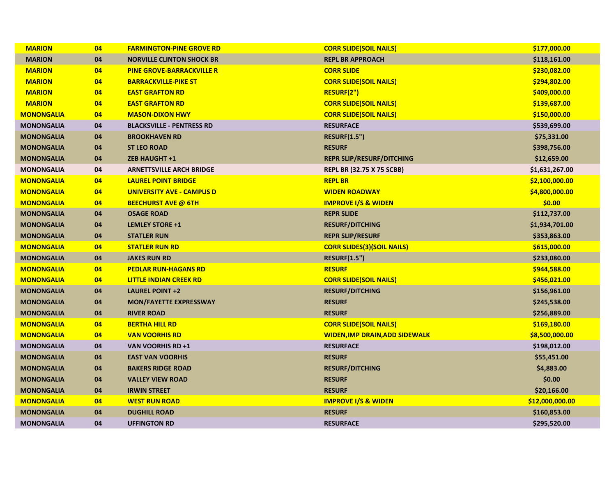| <b>MARION</b>     | 04 | <b>FARMINGTON-PINE GROVE RD</b>  | <b>CORR SLIDE(SOIL NAILS)</b>         | \$177,000.00    |
|-------------------|----|----------------------------------|---------------------------------------|-----------------|
| <b>MARION</b>     | 04 | <b>NORVILLE CLINTON SHOCK BR</b> | <b>REPL BR APPROACH</b>               | \$118,161.00    |
| <b>MARION</b>     | 04 | <b>PINE GROVE-BARRACKVILLE R</b> | <b>CORR SLIDE</b>                     | \$230,082.00    |
| <b>MARION</b>     | 04 | <b>BARRACKVILLE-PIKE ST</b>      | <b>CORR SLIDE(SOIL NAILS)</b>         | \$294,802.00    |
| <b>MARION</b>     | 04 | <b>EAST GRAFTON RD</b>           | <b>RESURF(2")</b>                     | \$409,000.00    |
| <b>MARION</b>     | 04 | <b>EAST GRAFTON RD</b>           | <b>CORR SLIDE(SOIL NAILS)</b>         | \$139,687.00    |
| <b>MONONGALIA</b> | 04 | <b>MASON-DIXON HWY</b>           | <b>CORR SLIDE(SOIL NAILS)</b>         | \$150,000.00    |
| <b>MONONGALIA</b> | 04 | <b>BLACKSVILLE - PENTRESS RD</b> | <b>RESURFACE</b>                      | \$539,699.00    |
| <b>MONONGALIA</b> | 04 | <b>BROOKHAVEN RD</b>             | <b>RESURF(1.5")</b>                   | \$75,331.00     |
| <b>MONONGALIA</b> | 04 | <b>ST LEO ROAD</b>               | <b>RESURF</b>                         | \$398,756.00    |
| <b>MONONGALIA</b> | 04 | <b>ZEB HAUGHT +1</b>             | <b>REPR SLIP/RESURF/DITCHING</b>      | \$12,659.00     |
| <b>MONONGALIA</b> | 04 | <b>ARNETTSVILLE ARCH BRIDGE</b>  | <b>REPL BR (32.75 X 75 SCBB)</b>      | \$1,631,267.00  |
| <b>MONONGALIA</b> | 04 | <b>LAUREL POINT BRIDGE</b>       | <b>REPL BR</b>                        | \$2,100,000.00  |
| <b>MONONGALIA</b> | 04 | <b>UNIVERSITY AVE - CAMPUS D</b> | <b>WIDEN ROADWAY</b>                  | \$4,800,000.00  |
| <b>MONONGALIA</b> | 04 | <b>BEECHURST AVE @ 6TH</b>       | <b>IMPROVE I/S &amp; WIDEN</b>        | \$0.00          |
| <b>MONONGALIA</b> | 04 | <b>OSAGE ROAD</b>                | <b>REPR SLIDE</b>                     | \$112,737.00    |
| <b>MONONGALIA</b> | 04 | <b>LEMLEY STORE +1</b>           | <b>RESURF/DITCHING</b>                | \$1,934,701.00  |
| <b>MONONGALIA</b> | 04 | <b>STATLER RUN</b>               | <b>REPR SLIP/RESURF</b>               | \$353,863.00    |
| <b>MONONGALIA</b> | 04 | <b>STATLER RUN RD</b>            | <b>CORR SLIDES(3)(SOIL NAILS)</b>     | \$615,000.00    |
| <b>MONONGALIA</b> | 04 | <b>JAKES RUN RD</b>              | <b>RESURF(1.5")</b>                   | \$233,080.00    |
| <b>MONONGALIA</b> | 04 | <b>PEDLAR RUN-HAGANS RD</b>      | <b>RESURF</b>                         | \$944,588.00    |
| <b>MONONGALIA</b> | 04 | <b>LITTLE INDIAN CREEK RD</b>    | <b>CORR SLIDE(SOIL NAILS)</b>         | \$456,021.00    |
| <b>MONONGALIA</b> | 04 | <b>LAUREL POINT +2</b>           | <b>RESURF/DITCHING</b>                | \$156,961.00    |
| <b>MONONGALIA</b> | 04 | <b>MON/FAYETTE EXPRESSWAY</b>    | <b>RESURF</b>                         | \$245,538.00    |
| <b>MONONGALIA</b> | 04 | <b>RIVER ROAD</b>                | <b>RESURF</b>                         | \$256,889.00    |
| <b>MONONGALIA</b> | 04 | <b>BERTHA HILL RD</b>            | <b>CORR SLIDE(SOIL NAILS)</b>         | \$169,180.00    |
| <b>MONONGALIA</b> | 04 | <b>VAN VOORHIS RD</b>            | <b>WIDEN, IMP DRAIN, ADD SIDEWALK</b> | \$8,500,000.00  |
| <b>MONONGALIA</b> | 04 | VAN VOORHIS RD +1                | <b>RESURFACE</b>                      | \$198,012.00    |
| <b>MONONGALIA</b> | 04 | <b>EAST VAN VOORHIS</b>          | <b>RESURF</b>                         | \$55,451.00     |
| <b>MONONGALIA</b> | 04 | <b>BAKERS RIDGE ROAD</b>         | <b>RESURF/DITCHING</b>                | \$4,883.00      |
| <b>MONONGALIA</b> | 04 | <b>VALLEY VIEW ROAD</b>          | <b>RESURF</b>                         | \$0.00          |
| <b>MONONGALIA</b> | 04 | <b>IRWIN STREET</b>              | <b>RESURF</b>                         | \$20,166.00     |
| <b>MONONGALIA</b> | 04 | <b>WEST RUN ROAD</b>             | <b>IMPROVE I/S &amp; WIDEN</b>        | \$12,000,000.00 |
| <b>MONONGALIA</b> | 04 | <b>DUGHILL ROAD</b>              | <b>RESURF</b>                         | \$160,853.00    |
| <b>MONONGALIA</b> | 04 | <b>UFFINGTON RD</b>              | <b>RESURFACE</b>                      | \$295,520.00    |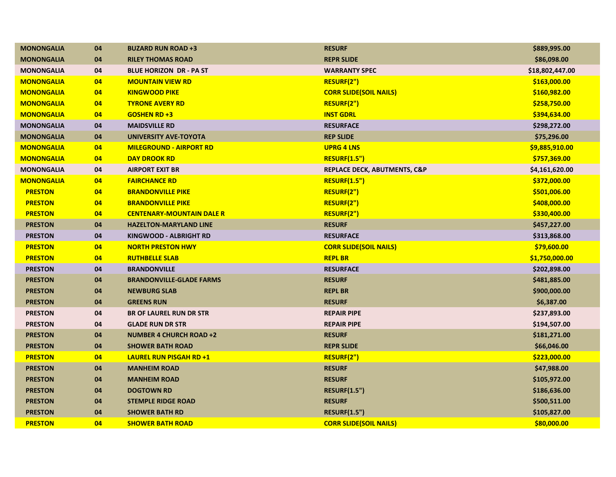| <b>MONONGALIA</b> | 04 | <b>BUZARD RUN ROAD +3</b>        | <b>RESURF</b>                 | \$889,995.00    |
|-------------------|----|----------------------------------|-------------------------------|-----------------|
| <b>MONONGALIA</b> | 04 | <b>RILEY THOMAS ROAD</b>         | <b>REPR SLIDE</b>             | \$86,098.00     |
| <b>MONONGALIA</b> | 04 | <b>BLUE HORIZON DR - PA ST</b>   | <b>WARRANTY SPEC</b>          | \$18,802,447.00 |
| <b>MONONGALIA</b> | 04 | <b>MOUNTAIN VIEW RD</b>          | RESURF(2")                    | \$163,000.00    |
| <b>MONONGALIA</b> | 04 | <b>KINGWOOD PIKE</b>             | <b>CORR SLIDE(SOIL NAILS)</b> | \$160,982.00    |
| <b>MONONGALIA</b> | 04 | <b>TYRONE AVERY RD</b>           | RESURF(2")                    | \$258,750.00    |
| <b>MONONGALIA</b> | 04 | <b>GOSHEN RD +3</b>              | <b>INST GDRL</b>              | \$394,634.00    |
| <b>MONONGALIA</b> | 04 | <b>MAIDSVILLE RD</b>             | <b>RESURFACE</b>              | \$298,272.00    |
| <b>MONONGALIA</b> | 04 | <b>UNIVERSITY AVE-TOYOTA</b>     | <b>REP SLIDE</b>              | \$75,296.00     |
| <b>MONONGALIA</b> | 04 | <b>MILEGROUND - AIRPORT RD</b>   | <b>UPRG 4 LNS</b>             | \$9,885,910.00  |
| <b>MONONGALIA</b> | 04 | <b>DAY DROOK RD</b>              | <b>RESURF(1.5")</b>           | \$757,369.00    |
| <b>MONONGALIA</b> | 04 | <b>AIRPORT EXIT BR</b>           | REPLACE DECK, ABUTMENTS, C&P  | \$4,161,620.00  |
| <b>MONONGALIA</b> | 04 | <b>FAIRCHANCE RD</b>             | <b>RESURF(1.5")</b>           | \$372,000.00    |
| <b>PRESTON</b>    | 04 | <b>BRANDONVILLE PIKE</b>         | RESURF(2")                    | \$501,006.00    |
| <b>PRESTON</b>    | 04 | <b>BRANDONVILLE PIKE</b>         | RESURF(2")                    | \$408,000.00    |
| <b>PRESTON</b>    | 04 | <b>CENTENARY-MOUNTAIN DALE R</b> | RESURF(2")                    | \$330,400.00    |
| <b>PRESTON</b>    | 04 | <b>HAZELTON-MARYLAND LINE</b>    | <b>RESURF</b>                 | \$457,227.00    |
| <b>PRESTON</b>    | 04 | <b>KINGWOOD - ALBRIGHT RD</b>    | <b>RESURFACE</b>              | \$313,868.00    |
| <b>PRESTON</b>    | 04 | <b>NORTH PRESTON HWY</b>         | <b>CORR SLIDE(SOIL NAILS)</b> | \$79,600.00     |
| <b>PRESTON</b>    | 04 | <b>RUTHBELLE SLAB</b>            | <b>REPL BR</b>                | \$1,750,000.00  |
| <b>PRESTON</b>    | 04 | <b>BRANDONVILLE</b>              | <b>RESURFACE</b>              | \$202,898.00    |
| <b>PRESTON</b>    | 04 | <b>BRANDONVILLE-GLADE FARMS</b>  | <b>RESURF</b>                 | \$481,885.00    |
| <b>PRESTON</b>    | 04 | <b>NEWBURG SLAB</b>              | <b>REPL BR</b>                | \$900,000.00    |
| <b>PRESTON</b>    | 04 | <b>GREENS RUN</b>                | <b>RESURF</b>                 | \$6,387.00      |
| <b>PRESTON</b>    | 04 | <b>BR OF LAUREL RUN DR STR</b>   | <b>REPAIR PIPE</b>            | \$237,893.00    |
| <b>PRESTON</b>    | 04 | <b>GLADE RUN DR STR</b>          | <b>REPAIR PIPE</b>            | \$194,507.00    |
| <b>PRESTON</b>    | 04 | <b>NUMBER 4 CHURCH ROAD +2</b>   | <b>RESURF</b>                 | \$181,271.00    |
| <b>PRESTON</b>    | 04 | <b>SHOWER BATH ROAD</b>          | <b>REPR SLIDE</b>             | \$66,046.00     |
| <b>PRESTON</b>    | 04 | <b>LAUREL RUN PISGAH RD +1</b>   | RESURF(2")                    | \$223,000.00    |
| <b>PRESTON</b>    | 04 | <b>MANHEIM ROAD</b>              | <b>RESURF</b>                 | \$47,988.00     |
| <b>PRESTON</b>    | 04 | <b>MANHEIM ROAD</b>              | <b>RESURF</b>                 | \$105,972.00    |
| <b>PRESTON</b>    | 04 | <b>DOGTOWN RD</b>                | <b>RESURF(1.5")</b>           | \$186,636.00    |
| <b>PRESTON</b>    | 04 | <b>STEMPLE RIDGE ROAD</b>        | <b>RESURF</b>                 | \$500,511.00    |
| <b>PRESTON</b>    | 04 | <b>SHOWER BATH RD</b>            | <b>RESURF(1.5")</b>           | \$105,827.00    |
| <b>PRESTON</b>    | 04 | <b>SHOWER BATH ROAD</b>          | <b>CORR SLIDE(SOIL NAILS)</b> | \$80,000.00     |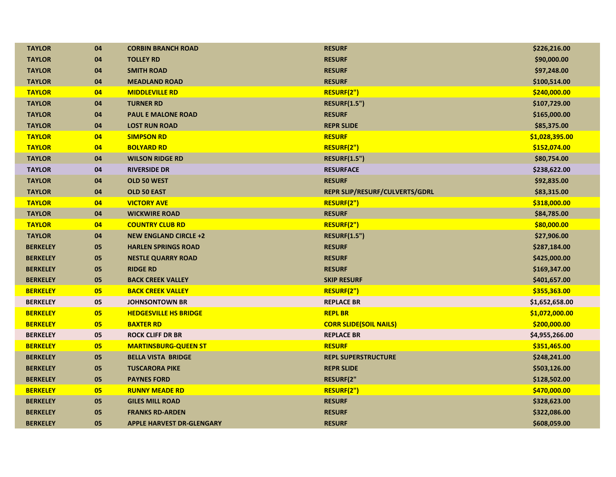| <b>TAYLOR</b>   | 04 | <b>CORBIN BRANCH ROAD</b>        | <b>RESURF</b>                  | \$226,216.00   |
|-----------------|----|----------------------------------|--------------------------------|----------------|
| <b>TAYLOR</b>   | 04 | <b>TOLLEY RD</b>                 | <b>RESURF</b>                  | \$90,000.00    |
| <b>TAYLOR</b>   | 04 | <b>SMITH ROAD</b>                | <b>RESURF</b>                  | \$97,248.00    |
| <b>TAYLOR</b>   | 04 | <b>MEADLAND ROAD</b>             | <b>RESURF</b>                  | \$100,514.00   |
| <b>TAYLOR</b>   | 04 | <b>MIDDLEVILLE RD</b>            | RESURF(2")                     | \$240,000.00   |
| <b>TAYLOR</b>   | 04 | <b>TURNER RD</b>                 | <b>RESURF(1.5")</b>            | \$107,729.00   |
| <b>TAYLOR</b>   | 04 | <b>PAUL E MALONE ROAD</b>        | <b>RESURF</b>                  | \$165,000.00   |
| <b>TAYLOR</b>   | 04 | <b>LOST RUN ROAD</b>             | <b>REPR SLIDE</b>              | \$85,375.00    |
| <b>TAYLOR</b>   | 04 | <b>SIMPSON RD</b>                | <b>RESURF</b>                  | \$1,028,395.00 |
| <b>TAYLOR</b>   | 04 | <b>BOLYARD RD</b>                | RESURF(2")                     | \$152,074.00   |
| <b>TAYLOR</b>   | 04 | <b>WILSON RIDGE RD</b>           | <b>RESURF(1.5")</b>            | \$80,754.00    |
| <b>TAYLOR</b>   | 04 | <b>RIVERSIDE DR</b>              | <b>RESURFACE</b>               | \$238,622.00   |
| <b>TAYLOR</b>   | 04 | OLD 50 WEST                      | <b>RESURF</b>                  | \$92,835.00    |
| <b>TAYLOR</b>   | 04 | OLD 50 EAST                      | REPR SLIP/RESURF/CULVERTS/GDRL | \$83,315.00    |
| <b>TAYLOR</b>   | 04 | <b>VICTORY AVE</b>               | RESURF(2")                     | \$318,000.00   |
| <b>TAYLOR</b>   | 04 | <b>WICKWIRE ROAD</b>             | <b>RESURF</b>                  | \$84,785.00    |
| <b>TAYLOR</b>   | 04 | <b>COUNTRY CLUB RD</b>           | RESURF(2")                     | \$80,000.00    |
| <b>TAYLOR</b>   | 04 | <b>NEW ENGLAND CIRCLE +2</b>     | <b>RESURF(1.5")</b>            | \$27,906.00    |
| <b>BERKELEY</b> | 05 | <b>HARLEN SPRINGS ROAD</b>       | <b>RESURF</b>                  | \$287,184.00   |
| <b>BERKELEY</b> | 05 | <b>NESTLE QUARRY ROAD</b>        | <b>RESURF</b>                  | \$425,000.00   |
| <b>BERKELEY</b> | 05 | <b>RIDGE RD</b>                  | <b>RESURF</b>                  | \$169,347.00   |
| <b>BERKELEY</b> | 05 | <b>BACK CREEK VALLEY</b>         | <b>SKIP RESURF</b>             | \$401,657.00   |
| <b>BERKELEY</b> | 05 | <b>BACK CREEK VALLEY</b>         | RESURF(2")                     | \$355,363.00   |
| <b>BERKELEY</b> | 05 | <b>JOHNSONTOWN BR</b>            | <b>REPLACE BR</b>              | \$1,652,658.00 |
| <b>BERKELEY</b> | 05 | <b>HEDGESVILLE HS BRIDGE</b>     | <b>REPL BR</b>                 | \$1,072,000.00 |
| <b>BERKELEY</b> | 05 | <b>BAXTER RD</b>                 | <b>CORR SLIDE(SOIL NAILS)</b>  | \$200,000.00   |
| <b>BERKELEY</b> | 05 | <b>ROCK CLIFF DR BR</b>          | <b>REPLACE BR</b>              | \$4,955,266.00 |
| <b>BERKELEY</b> | 05 | <b>MARTINSBURG-QUEEN ST</b>      | <b>RESURF</b>                  | \$351,465.00   |
| <b>BERKELEY</b> | 05 | <b>BELLA VISTA BRIDGE</b>        | <b>REPL SUPERSTRUCTURE</b>     | \$248,241.00   |
| <b>BERKELEY</b> | 05 | <b>TUSCARORA PIKE</b>            | <b>REPR SLIDE</b>              | \$503,126.00   |
| <b>BERKELEY</b> | 05 | <b>PAYNES FORD</b>               | <b>RESURF(2"</b>               | \$128,502.00   |
| <b>BERKELEY</b> | 05 | <b>RUNNY MEADE RD</b>            | RESURF(2")                     | \$470,000.00   |
| <b>BERKELEY</b> | 05 | <b>GILES MILL ROAD</b>           | <b>RESURF</b>                  | \$328,623.00   |
| <b>BERKELEY</b> | 05 | <b>FRANKS RD-ARDEN</b>           | <b>RESURF</b>                  | \$322,086.00   |
| <b>BERKELEY</b> | 05 | <b>APPLE HARVEST DR-GLENGARY</b> | <b>RESURF</b>                  | \$608,059.00   |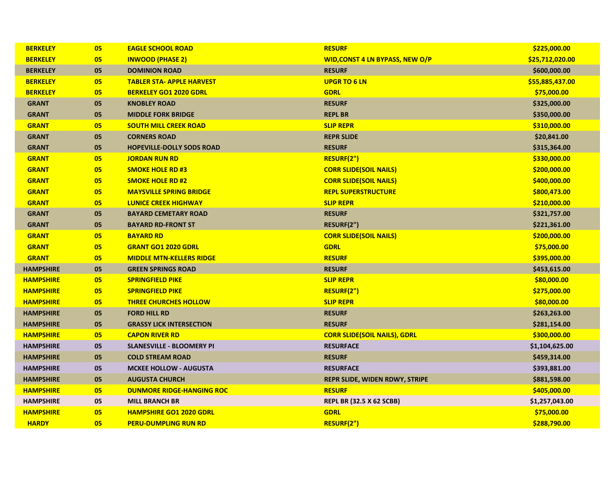| <b>BERKELEY</b>  | 05 | <b>EAGLE SCHOOL ROAD</b>         | <b>RESURF</b>                          | \$225,000.00    |
|------------------|----|----------------------------------|----------------------------------------|-----------------|
| <b>BERKELEY</b>  | 05 | <b>INWOOD (PHASE 2)</b>          | <b>WID, CONST 4 LN BYPASS, NEW O/P</b> | \$25,712,020.00 |
| <b>BERKELEY</b>  | 05 | <b>DOMINION ROAD</b>             | <b>RESURF</b>                          | \$600,000.00    |
| <b>BERKELEY</b>  | 05 | <b>TABLER STA- APPLE HARVEST</b> | <b>UPGR TO 6 LN</b>                    | \$55,885,437.00 |
| <b>BERKELEY</b>  | 05 | <b>BERKELEY GO1 2020 GDRL</b>    | <b>GDRL</b>                            | \$75,000.00     |
| <b>GRANT</b>     | 05 | <b>KNOBLEY ROAD</b>              | <b>RESURF</b>                          | \$325,000.00    |
| <b>GRANT</b>     | 05 | <b>MIDDLE FORK BRIDGE</b>        | <b>REPL BR</b>                         | \$350,000.00    |
| <b>GRANT</b>     | 05 | <b>SOUTH MILL CREEK ROAD</b>     | <b>SLIP REPR</b>                       | \$310,000.00    |
| <b>GRANT</b>     | 05 | <b>CORNERS ROAD</b>              | <b>REPR SLIDE</b>                      | \$20,841.00     |
| <b>GRANT</b>     | 05 | <b>HOPEVILLE-DOLLY SODS ROAD</b> | <b>RESURF</b>                          | \$315,364.00    |
| <b>GRANT</b>     | 05 | <b>JORDAN RUN RD</b>             | RESURF(2")                             | \$330,000.00    |
| <b>GRANT</b>     | 05 | <b>SMOKE HOLE RD #3</b>          | <b>CORR SLIDE(SOIL NAILS)</b>          | \$200,000.00    |
| <b>GRANT</b>     | 05 | <b>SMOKE HOLE RD #2</b>          | <b>CORR SLIDE(SOIL NAILS)</b>          | \$400,000.00    |
| <b>GRANT</b>     | 05 | <b>MAYSVILLE SPRING BRIDGE</b>   | <b>REPL SUPERSTRUCTURE</b>             | \$800,473.00    |
| <b>GRANT</b>     | 05 | <b>LUNICE CREEK HIGHWAY</b>      | <b>SLIP REPR</b>                       | \$210,000.00    |
| <b>GRANT</b>     | 05 | <b>BAYARD CEMETARY ROAD</b>      | <b>RESURF</b>                          | \$321,757.00    |
| <b>GRANT</b>     | 05 | <b>BAYARD RD-FRONT ST</b>        | RESURF(2")                             | \$221,361.00    |
| <b>GRANT</b>     | 05 | <b>BAYARD RD</b>                 | <b>CORR SLIDE(SOIL NAILS)</b>          | \$200,000.00    |
| <b>GRANT</b>     | 05 | <b>GRANT GO1 2020 GDRL</b>       | <b>GDRL</b>                            | \$75,000.00     |
| <b>GRANT</b>     | 05 | <b>MIDDLE MTN-KELLERS RIDGE</b>  | <b>RESURF</b>                          | \$395,000.00    |
| <b>HAMPSHIRE</b> | 05 | <b>GREEN SPRINGS ROAD</b>        | <b>RESURF</b>                          | \$453,615.00    |
| <b>HAMPSHIRE</b> | 05 | <b>SPRINGFIELD PIKE</b>          | <b>SLIP REPR</b>                       | \$80,000.00     |
| <b>HAMPSHIRE</b> | 05 | <b>SPRINGFIELD PIKE</b>          | RESURF(2")                             | \$275,000.00    |
| <b>HAMPSHIRE</b> | 05 | <b>THREE CHURCHES HOLLOW</b>     | <b>SLIP REPR</b>                       | \$80,000.00     |
| <b>HAMPSHIRE</b> | 05 | <b>FORD HILL RD</b>              | <b>RESURF</b>                          | \$263,263.00    |
| <b>HAMPSHIRE</b> | 05 | <b>GRASSY LICK INTERSECTION</b>  | <b>RESURF</b>                          | \$281,154.00    |
| <b>HAMPSHIRE</b> | 05 | <b>CAPON RIVER RD</b>            | <b>CORR SLIDE(SOIL NAILS), GDRL</b>    | \$300,000.00    |
| <b>HAMPSHIRE</b> | 05 | <b>SLANESVILLE - BLOOMERY PI</b> | <b>RESURFACE</b>                       | \$1,104,625.00  |
| <b>HAMPSHIRE</b> | 05 | <b>COLD STREAM ROAD</b>          | <b>RESURF</b>                          | \$459,314.00    |
| <b>HAMPSHIRE</b> | 05 | <b>MCKEE HOLLOW - AUGUSTA</b>    | <b>RESURFACE</b>                       | \$393,881.00    |
| <b>HAMPSHIRE</b> | 05 | <b>AUGUSTA CHURCH</b>            | REPR SLIDE, WIDEN RDWY, STRIPE         | \$881,598.00    |
| <b>HAMPSHIRE</b> | 05 | <b>DUNMORE RIDGE-HANGING ROC</b> | <b>RESURF</b>                          | \$405,000.00    |
| <b>HAMPSHIRE</b> | 05 | <b>MILL BRANCH BR</b>            | <b>REPL BR (32.5 X 62 SCBB)</b>        | \$1,257,043.00  |
| <b>HAMPSHIRE</b> | 05 | <b>HAMPSHIRE GO1 2020 GDRL</b>   | <b>GDRL</b>                            | \$75,000.00     |
| <b>HARDY</b>     | 05 | <b>PERU-DUMPLING RUN RD</b>      | RESURF(2")                             | \$288,790.00    |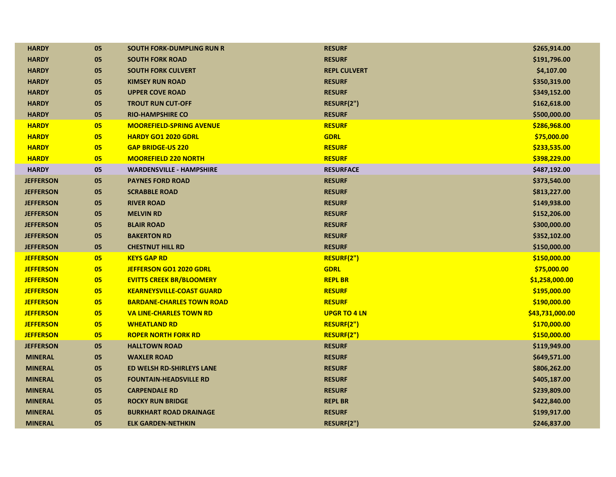| <b>HARDY</b>     | 05 | <b>SOUTH FORK-DUMPLING RUN R</b> | <b>RESURF</b>       | \$265,914.00    |
|------------------|----|----------------------------------|---------------------|-----------------|
| <b>HARDY</b>     | 05 | <b>SOUTH FORK ROAD</b>           | <b>RESURF</b>       | \$191,796.00    |
| <b>HARDY</b>     | 05 | <b>SOUTH FORK CULVERT</b>        | <b>REPL CULVERT</b> | \$4,107.00      |
| <b>HARDY</b>     | 05 | <b>KIMSEY RUN ROAD</b>           | <b>RESURF</b>       | \$350,319.00    |
| <b>HARDY</b>     | 05 | <b>UPPER COVE ROAD</b>           | <b>RESURF</b>       | \$349,152.00    |
| <b>HARDY</b>     | 05 | <b>TROUT RUN CUT-OFF</b>         | RESURF(2")          | \$162,618.00    |
| <b>HARDY</b>     | 05 | <b>RIO-HAMPSHIRE CO</b>          | <b>RESURF</b>       | \$500,000.00    |
| <b>HARDY</b>     | 05 | <b>MOOREFIELD-SPRING AVENUE</b>  | <b>RESURF</b>       | \$286,968.00    |
| <b>HARDY</b>     | 05 | <b>HARDY GO1 2020 GDRL</b>       | <b>GDRL</b>         | \$75,000.00     |
| <b>HARDY</b>     | 05 | <b>GAP BRIDGE-US 220</b>         | <b>RESURF</b>       | \$233,535.00    |
| <b>HARDY</b>     | 05 | <b>MOOREFIELD 220 NORTH</b>      | <b>RESURF</b>       | \$398,229.00    |
| <b>HARDY</b>     | 05 | <b>WARDENSVILLE - HAMPSHIRE</b>  | <b>RESURFACE</b>    | \$487,192.00    |
| <b>JEFFERSON</b> | 05 | <b>PAYNES FORD ROAD</b>          | <b>RESURF</b>       | \$373,540.00    |
| <b>JEFFERSON</b> | 05 | <b>SCRABBLE ROAD</b>             | <b>RESURF</b>       | \$813,227.00    |
| <b>JEFFERSON</b> | 05 | <b>RIVER ROAD</b>                | <b>RESURF</b>       | \$149,938.00    |
| <b>JEFFERSON</b> | 05 | <b>MELVIN RD</b>                 | <b>RESURF</b>       | \$152,206.00    |
| <b>JEFFERSON</b> | 05 | <b>BLAIR ROAD</b>                | <b>RESURF</b>       | \$300,000.00    |
| <b>JEFFERSON</b> | 05 | <b>BAKERTON RD</b>               | <b>RESURF</b>       | \$352,102.00    |
| <b>JEFFERSON</b> | 05 | <b>CHESTNUT HILL RD</b>          | <b>RESURF</b>       | \$150,000.00    |
| <b>JEFFERSON</b> | 05 | <b>KEYS GAP RD</b>               | RESURF(2")          | \$150,000.00    |
| <b>JEFFERSON</b> | 05 | JEFFERSON GO1 2020 GDRL          | <b>GDRL</b>         | \$75,000.00     |
| <b>JEFFERSON</b> | 05 | <b>EVITTS CREEK BR/BLOOMERY</b>  | <b>REPL BR</b>      | \$1,258,000.00  |
| <b>JEFFERSON</b> | 05 | <b>KEARNEYSVILLE-COAST GUARD</b> | <b>RESURF</b>       | \$195,000.00    |
| <b>JEFFERSON</b> | 05 | <b>BARDANE-CHARLES TOWN ROAD</b> | <b>RESURF</b>       | \$190,000.00    |
| <b>JEFFERSON</b> | 05 | <b>VA LINE-CHARLES TOWN RD</b>   | <b>UPGR TO 4 LN</b> | \$43,731,000.00 |
| <b>JEFFERSON</b> | 05 | <b>WHEATLAND RD</b>              | RESURF(2")          | \$170,000.00    |
| <b>JEFFERSON</b> | 05 | <b>ROPER NORTH FORK RD</b>       | RESURF(2")          | \$150,000.00    |
| <b>JEFFERSON</b> | 05 | <b>HALLTOWN ROAD</b>             | <b>RESURF</b>       | \$119,949.00    |
| <b>MINERAL</b>   | 05 | <b>WAXLER ROAD</b>               | <b>RESURF</b>       | \$649,571.00    |
| <b>MINERAL</b>   | 05 | ED WELSH RD-SHIRLEYS LANE        | <b>RESURF</b>       | \$806,262.00    |
| <b>MINERAL</b>   | 05 | <b>FOUNTAIN-HEADSVILLE RD</b>    | <b>RESURF</b>       | \$405,187.00    |
| <b>MINERAL</b>   | 05 | <b>CARPENDALE RD</b>             | <b>RESURF</b>       | \$239,809.00    |
| <b>MINERAL</b>   | 05 | <b>ROCKY RUN BRIDGE</b>          | <b>REPL BR</b>      | \$422,840.00    |
| <b>MINERAL</b>   | 05 | <b>BURKHART ROAD DRAINAGE</b>    | <b>RESURF</b>       | \$199,917.00    |
| <b>MINERAL</b>   | 05 | <b>ELK GARDEN-NETHKIN</b>        | RESURF(2")          | \$246,837.00    |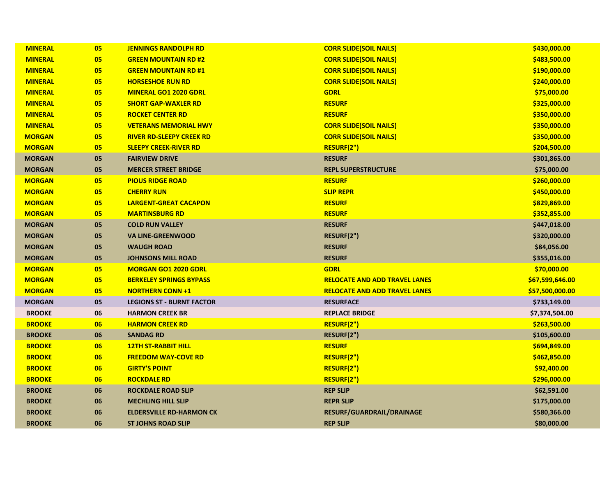| <b>MINERAL</b> | 05 | <b>JENNINGS RANDOLPH RD</b>      | <b>CORR SLIDE(SOIL NAILS)</b>        | \$430,000.00    |
|----------------|----|----------------------------------|--------------------------------------|-----------------|
| <b>MINERAL</b> | 05 | <b>GREEN MOUNTAIN RD #2</b>      | <b>CORR SLIDE(SOIL NAILS)</b>        | \$483,500.00    |
| <b>MINERAL</b> | 05 | <b>GREEN MOUNTAIN RD #1</b>      | <b>CORR SLIDE(SOIL NAILS)</b>        | \$190,000.00    |
| <b>MINERAL</b> | 05 | <b>HORSESHOE RUN RD</b>          | <b>CORR SLIDE(SOIL NAILS)</b>        | \$240,000.00    |
| <b>MINERAL</b> | 05 | <b>MINERAL GO1 2020 GDRL</b>     | <b>GDRL</b>                          | \$75,000.00     |
| <b>MINERAL</b> | 05 | <b>SHORT GAP-WAXLER RD</b>       | <b>RESURF</b>                        | \$325,000.00    |
| <b>MINERAL</b> | 05 | <b>ROCKET CENTER RD</b>          | <b>RESURF</b>                        | \$350,000.00    |
| <b>MINERAL</b> | 05 | <b>VETERANS MEMORIAL HWY</b>     | <b>CORR SLIDE(SOIL NAILS)</b>        | \$350,000.00    |
| <b>MORGAN</b>  | 05 | <b>RIVER RD-SLEEPY CREEK RD</b>  | <b>CORR SLIDE(SOIL NAILS)</b>        | \$350,000.00    |
| <b>MORGAN</b>  | 05 | <b>SLEEPY CREEK-RIVER RD</b>     | RESURF(2")                           | \$204,500.00    |
| <b>MORGAN</b>  | 05 | <b>FAIRVIEW DRIVE</b>            | <b>RESURF</b>                        | \$301,865.00    |
| <b>MORGAN</b>  | 05 | <b>MERCER STREET BRIDGE</b>      | <b>REPL SUPERSTRUCTURE</b>           | \$75,000.00     |
| <b>MORGAN</b>  | 05 | <b>PIOUS RIDGE ROAD</b>          | <b>RESURF</b>                        | \$260,000.00    |
| <b>MORGAN</b>  | 05 | <b>CHERRY RUN</b>                | <b>SLIP REPR</b>                     | \$450,000.00    |
| <b>MORGAN</b>  | 05 | <b>LARGENT-GREAT CACAPON</b>     | <b>RESURF</b>                        | \$829,869.00    |
| <b>MORGAN</b>  | 05 | <b>MARTINSBURG RD</b>            | <b>RESURF</b>                        | \$352,855.00    |
| <b>MORGAN</b>  | 05 | <b>COLD RUN VALLEY</b>           | <b>RESURF</b>                        | \$447,018.00    |
| <b>MORGAN</b>  | 05 | <b>VA LINE-GREENWOOD</b>         | RESURF(2")                           | \$320,000.00    |
| <b>MORGAN</b>  | 05 | <b>WAUGH ROAD</b>                | <b>RESURF</b>                        | \$84,056.00     |
| <b>MORGAN</b>  | 05 | <b>JOHNSONS MILL ROAD</b>        | <b>RESURF</b>                        | \$355,016.00    |
| <b>MORGAN</b>  | 05 | <b>MORGAN GO1 2020 GDRL</b>      | <b>GDRL</b>                          | \$70,000.00     |
| <b>MORGAN</b>  | 05 | <b>BERKELEY SPRINGS BYPASS</b>   | <b>RELOCATE AND ADD TRAVEL LANES</b> | \$67,599,646.00 |
| <b>MORGAN</b>  | 05 | <b>NORTHERN CONN +1</b>          | <b>RELOCATE AND ADD TRAVEL LANES</b> | \$57,500,000.00 |
| <b>MORGAN</b>  | 05 | <b>LEGIONS ST - BURNT FACTOR</b> | <b>RESURFACE</b>                     | \$733,149.00    |
| <b>BROOKE</b>  | 06 | <b>HARMON CREEK BR</b>           | <b>REPLACE BRIDGE</b>                | \$7,374,504.00  |
| <b>BROOKE</b>  | 06 | <b>HARMON CREEK RD</b>           | RESURF(2")                           | \$263,500.00    |
| <b>BROOKE</b>  | 06 | <b>SANDAG RD</b>                 | RESURF(2")                           | \$105,600.00    |
| <b>BROOKE</b>  | 06 | <b>12TH ST-RABBIT HILL</b>       | <b>RESURF</b>                        | \$694,849.00    |
| <b>BROOKE</b>  | 06 | <b>FREEDOM WAY-COVE RD</b>       | RESURF(2")                           | \$462,850.00    |
| <b>BROOKE</b>  | 06 | <b>GIRTY'S POINT</b>             | RESURF(2")                           | \$92,400.00     |
| <b>BROOKE</b>  | 06 | <b>ROCKDALE RD</b>               | RESURF(2")                           | \$296,000.00    |
| <b>BROOKE</b>  | 06 | <b>ROCKDALE ROAD SLIP</b>        | <b>REP SLIP</b>                      | \$62,591.00     |
| <b>BROOKE</b>  | 06 | <b>MECHLING HILL SLIP</b>        | <b>REPR SLIP</b>                     | \$175,000.00    |
| <b>BROOKE</b>  | 06 | <b>ELDERSVILLE RD-HARMON CK</b>  | RESURF/GUARDRAIL/DRAINAGE            | \$580,366.00    |
| <b>BROOKE</b>  | 06 | <b>ST JOHNS ROAD SLIP</b>        | <b>REP SLIP</b>                      | \$80,000.00     |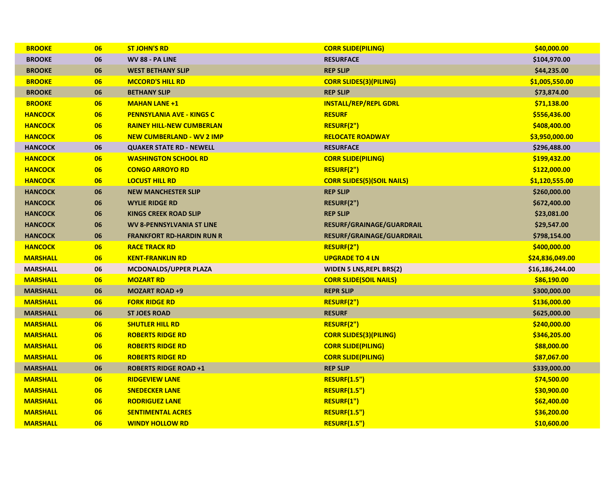| <b>BROOKE</b>   | 06 | <b>ST JOHN'S RD</b>              | <b>CORR SLIDE(PILING)</b>         | \$40,000.00     |
|-----------------|----|----------------------------------|-----------------------------------|-----------------|
| <b>BROOKE</b>   | 06 | WV 88 - PA LINE                  | <b>RESURFACE</b>                  | \$104,970.00    |
| <b>BROOKE</b>   | 06 | <b>WEST BETHANY SLIP</b>         | <b>REP SLIP</b>                   | \$44,235.00     |
| <b>BROOKE</b>   | 06 | <b>MCCORD'S HILL RD</b>          | <b>CORR SLIDES(3)(PILING)</b>     | \$1,005,550.00  |
| <b>BROOKE</b>   | 06 | <b>BETHANY SLIP</b>              | <b>REP SLIP</b>                   | \$73,874.00     |
| <b>BROOKE</b>   | 06 | <b>MAHAN LANE +1</b>             | <b>INSTALL/REP/REPL GDRL</b>      | \$71,138.00     |
| <b>HANCOCK</b>  | 06 | <b>PENNSYLANIA AVE - KINGS C</b> | <b>RESURF</b>                     | \$556,436.00    |
| <b>HANCOCK</b>  | 06 | <b>RAINEY HILL-NEW CUMBERLAN</b> | RESURF(2")                        | \$408,400.00    |
| <b>HANCOCK</b>  | 06 | <b>NEW CUMBERLAND - WV 2 IMP</b> | <b>RELOCATE ROADWAY</b>           | \$3,950,000.00  |
| <b>HANCOCK</b>  | 06 | <b>QUAKER STATE RD - NEWELL</b>  | <b>RESURFACE</b>                  | \$296,488.00    |
| <b>HANCOCK</b>  | 06 | <b>WASHINGTON SCHOOL RD</b>      | <b>CORR SLIDE(PILING)</b>         | \$199,432.00    |
| <b>HANCOCK</b>  | 06 | <b>CONGO ARROYO RD</b>           | RESURF(2")                        | \$122,000.00    |
| <b>HANCOCK</b>  | 06 | <b>LOCUST HILL RD</b>            | <b>CORR SLIDES(5)(SOIL NAILS)</b> | \$1,120,555.00  |
| <b>HANCOCK</b>  | 06 | <b>NEW MANCHESTER SLIP</b>       | <b>REP SLIP</b>                   | \$260,000.00    |
| <b>HANCOCK</b>  | 06 | <b>WYLIE RIDGE RD</b>            | RESURF(2")                        | \$672,400.00    |
| <b>HANCOCK</b>  | 06 | <b>KINGS CREEK ROAD SLIP</b>     | <b>REP SLIP</b>                   | \$23,081.00     |
| <b>HANCOCK</b>  | 06 | <b>WV 8-PENNSYLVANIA ST LINE</b> | RESURF/GRAINAGE/GUARDRAIL         | \$29,547.00     |
| <b>HANCOCK</b>  | 06 | <b>FRANKFORT RD-HARDIN RUN R</b> | RESURF/GRAINAGE/GUARDRAIL         | \$798,154.00    |
| <b>HANCOCK</b>  | 06 | <b>RACE TRACK RD</b>             | RESURF(2")                        | \$400,000.00    |
| <b>MARSHALL</b> | 06 | <b>KENT-FRANKLIN RD</b>          | <b>UPGRADE TO 4 LN</b>            | \$24,836,049.00 |
| <b>MARSHALL</b> | 06 | MCDONALDS/UPPER PLAZA            | <b>WIDEN 5 LNS, REPL BRS(2)</b>   | \$16,186,244.00 |
| <b>MARSHALL</b> | 06 | <b>MOZART RD</b>                 | <b>CORR SLIDE(SOIL NAILS)</b>     | \$86,190.00     |
| <b>MARSHALL</b> | 06 | <b>MOZART ROAD +9</b>            | <b>REPR SLIP</b>                  | \$300,000.00    |
| <b>MARSHALL</b> | 06 | <b>FORK RIDGE RD</b>             | RESURF(2")                        | \$136,000.00    |
| <b>MARSHALL</b> | 06 | <b>ST JOES ROAD</b>              | <b>RESURF</b>                     | \$625,000.00    |
| <b>MARSHALL</b> | 06 | <b>SHUTLER HILL RD</b>           | RESURF(2")                        | \$240,000.00    |
| <b>MARSHALL</b> | 06 | <b>ROBERTS RIDGE RD</b>          | <b>CORR SLIDES(3)(PILING)</b>     | \$346,205.00    |
| <b>MARSHALL</b> | 06 | <b>ROBERTS RIDGE RD</b>          | <b>CORR SLIDE(PILING)</b>         | \$88,000.00     |
| <b>MARSHALL</b> | 06 | <b>ROBERTS RIDGE RD</b>          | <b>CORR SLIDE(PILING)</b>         | \$87,067.00     |
| <b>MARSHALL</b> | 06 | <b>ROBERTS RIDGE ROAD +1</b>     | <b>REP SLIP</b>                   | \$339,000.00    |
| <b>MARSHALL</b> | 06 | <b>RIDGEVIEW LANE</b>            | <b>RESURF(1.5")</b>               | \$74,500.00     |
| <b>MARSHALL</b> | 06 | <b>SNEDECKER LANE</b>            | <b>RESURF(1.5")</b>               | \$30,900.00     |
| <b>MARSHALL</b> | 06 | <b>RODRIGUEZ LANE</b>            | RESURF(1")                        | \$62,400.00     |
| <b>MARSHALL</b> | 06 | <b>SENTIMENTAL ACRES</b>         | <b>RESURF(1.5")</b>               | \$36,200.00     |
| <b>MARSHALL</b> | 06 | <b>WINDY HOLLOW RD</b>           | <b>RESURF(1.5")</b>               | \$10,600.00     |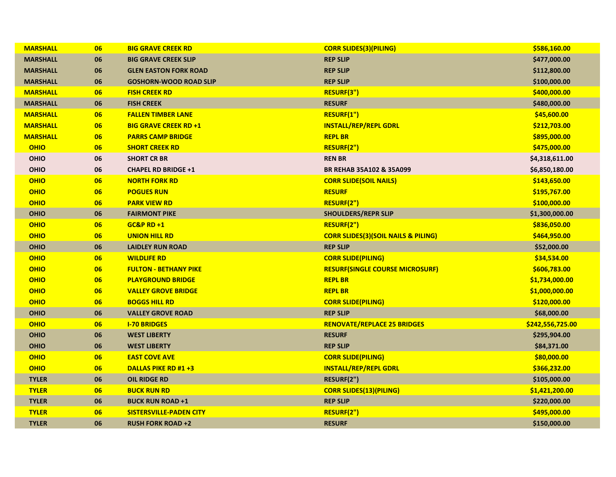| <b>MARSHALL</b> | 06 | <b>BIG GRAVE CREEK RD</b>      | <b>CORR SLIDES(3)(PILING)</b>                  | \$586,160.00     |
|-----------------|----|--------------------------------|------------------------------------------------|------------------|
| <b>MARSHALL</b> | 06 | <b>BIG GRAVE CREEK SLIP</b>    | <b>REP SLIP</b>                                | \$477,000.00     |
| <b>MARSHALL</b> | 06 | <b>GLEN EASTON FORK ROAD</b>   | <b>REP SLIP</b>                                | \$112,800.00     |
| <b>MARSHALL</b> | 06 | <b>GOSHORN-WOOD ROAD SLIP</b>  | <b>REP SLIP</b>                                | \$100,000.00     |
| <b>MARSHALL</b> | 06 | <b>FISH CREEK RD</b>           | RESURF(3")                                     | \$400,000.00     |
| <b>MARSHALL</b> | 06 | <b>FISH CREEK</b>              | <b>RESURF</b>                                  | \$480,000.00     |
| <b>MARSHALL</b> | 06 | <b>FALLEN TIMBER LANE</b>      | RESURF(1")                                     | \$45,600.00      |
| <b>MARSHALL</b> | 06 | <b>BIG GRAVE CREEK RD +1</b>   | <b>INSTALL/REP/REPL GDRL</b>                   | \$212,703.00     |
| <b>MARSHALL</b> | 06 | <b>PARRS CAMP BRIDGE</b>       | <b>REPL BR</b>                                 | \$895,000.00     |
| <b>OHIO</b>     | 06 | <b>SHORT CREEK RD</b>          | RESURF(2")                                     | \$475,000.00     |
| <b>OHIO</b>     | 06 | <b>SHORT CR BR</b>             | <b>REN BR</b>                                  | \$4,318,611.00   |
| <b>OHIO</b>     | 06 | <b>CHAPEL RD BRIDGE +1</b>     | BR REHAB 35A102 & 35A099                       | \$6,850,180.00   |
| <b>OHIO</b>     | 06 | <b>NORTH FORK RD</b>           | <b>CORR SLIDE(SOIL NAILS)</b>                  | \$143,650.00     |
| <b>OHIO</b>     | 06 | <b>POGUES RUN</b>              | <b>RESURF</b>                                  | \$195,767.00     |
| <b>OHIO</b>     | 06 | <b>PARK VIEW RD</b>            | RESURF(2")                                     | \$100,000.00     |
| <b>OHIO</b>     | 06 | <b>FAIRMONT PIKE</b>           | <b>SHOULDERS/REPR SLIP</b>                     | \$1,300,000.00   |
| <b>OHIO</b>     | 06 | <b>GC&amp;P RD +1</b>          | RESURF(2")                                     | \$836,050.00     |
| <b>OHIO</b>     | 06 | <b>UNION HILL RD</b>           | <b>CORR SLIDES(3)(SOIL NAILS &amp; PILING)</b> | \$464,950.00     |
| <b>OHIO</b>     | 06 | <b>LAIDLEY RUN ROAD</b>        | <b>REP SLIP</b>                                | \$52,000.00      |
| <b>OHIO</b>     | 06 | <b>WILDLIFE RD</b>             | <b>CORR SLIDE(PILING)</b>                      | \$34,534.00      |
| <b>OHIO</b>     | 06 | <b>FULTON - BETHANY PIKE</b>   | <b>RESURF(SINGLE COURSE MICROSURF)</b>         | \$606,783.00     |
| <b>OHIO</b>     | 06 | <b>PLAYGROUND BRIDGE</b>       | <b>REPL BR</b>                                 | \$1,734,000.00   |
| <b>OHIO</b>     | 06 | <b>VALLEY GROVE BRIDGE</b>     | <b>REPL BR</b>                                 | \$1,000,000.00   |
| <b>OHIO</b>     | 06 | <b>BOGGS HILL RD</b>           | <b>CORR SLIDE(PILING)</b>                      | \$120,000.00     |
| <b>OHIO</b>     | 06 | <b>VALLEY GROVE ROAD</b>       | <b>REP SLIP</b>                                | \$68,000.00      |
| <b>OHIO</b>     | 06 | <b>I-70 BRIDGES</b>            | <b>RENOVATE/REPLACE 25 BRIDGES</b>             | \$242,556,725.00 |
| <b>OHIO</b>     | 06 | <b>WEST LIBERTY</b>            | <b>RESURF</b>                                  | \$295,904.00     |
| <b>OHIO</b>     | 06 | <b>WEST LIBERTY</b>            | <b>REP SLIP</b>                                | \$84,371.00      |
| <b>OHIO</b>     | 06 | <b>EAST COVE AVE</b>           | <b>CORR SLIDE(PILING)</b>                      | \$80,000.00      |
| <b>OHIO</b>     | 06 | <b>DALLAS PIKE RD #1 +3</b>    | <b>INSTALL/REP/REPL GDRL</b>                   | \$366,232.00     |
| <b>TYLER</b>    | 06 | <b>OIL RIDGE RD</b>            | RESURF(2")                                     | \$105,000.00     |
| <b>TYLER</b>    | 06 | <b>BUCK RUN RD</b>             | <b>CORR SLIDES(13)(PILING)</b>                 | \$1,421,200.00   |
| <b>TYLER</b>    | 06 | <b>BUCK RUN ROAD +1</b>        | <b>REP SLIP</b>                                | \$220,000.00     |
| <b>TYLER</b>    | 06 | <b>SISTERSVILLE-PADEN CITY</b> | RESURF(2")                                     | \$495,000.00     |
| <b>TYLER</b>    | 06 | <b>RUSH FORK ROAD +2</b>       | <b>RESURF</b>                                  | \$150,000.00     |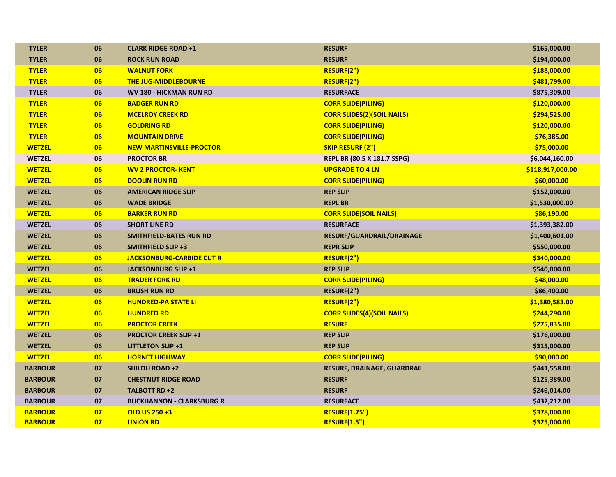| <b>TYLER</b>   | 06 | <b>CLARK RIDGE ROAD +1</b>       | <b>RESURF</b>                      | \$165,000.00     |
|----------------|----|----------------------------------|------------------------------------|------------------|
| <b>TYLER</b>   | 06 | <b>ROCK RUN ROAD</b>             | <b>RESURF</b>                      | \$194,000.00     |
| <b>TYLER</b>   | 06 | <b>WALNUT FORK</b>               | RESURF(2")                         | \$188,000.00     |
| <b>TYLER</b>   | 06 | <b>THE JUG-MIDDLEBOURNE</b>      | RESURF(2")                         | \$481,799.00     |
| <b>TYLER</b>   | 06 | WV 180 - HICKMAN RUN RD          | <b>RESURFACE</b>                   | \$875,309.00     |
| <b>TYLER</b>   | 06 | <b>BADGER RUN RD</b>             | <b>CORR SLIDE(PILING)</b>          | \$120,000.00     |
| <b>TYLER</b>   | 06 | <b>MCELROY CREEK RD</b>          | <b>CORR SLIDES(2)(SOIL NAILS)</b>  | \$294,525.00     |
| <b>TYLER</b>   | 06 | <b>GOLDRING RD</b>               | <b>CORR SLIDE(PILING)</b>          | \$120,000.00     |
| <b>TYLER</b>   | 06 | <b>MOUNTAIN DRIVE</b>            | <b>CORR SLIDE(PILING)</b>          | \$76,385.00      |
| <b>WETZEL</b>  | 06 | <b>NEW MARTINSVILLE-PROCTOR</b>  | <b>SKIP RESURF (2")</b>            | \$75,000.00      |
| <b>WETZEL</b>  | 06 | <b>PROCTOR BR</b>                | REPL BR (80.5 X 181.7 SSPG)        | \$6,044,160.00   |
| <b>WETZEL</b>  | 06 | <b>WV 2 PROCTOR-KENT</b>         | <b>UPGRADE TO 4 LN</b>             | \$118,917,000.00 |
| <b>WETZEL</b>  | 06 | <b>DOOLIN RUN RD</b>             | <b>CORR SLIDE(PILING)</b>          | \$60,000.00      |
| <b>WETZEL</b>  | 06 | <b>AMERICAN RIDGE SLIP</b>       | <b>REP SLIP</b>                    | \$152,000.00     |
| <b>WETZEL</b>  | 06 | <b>WADE BRIDGE</b>               | <b>REPL BR</b>                     | \$1,530,000.00   |
| <b>WETZEL</b>  | 06 | <b>BARKER RUN RD</b>             | <b>CORR SLIDE(SOIL NAILS)</b>      | \$86,190.00      |
| <b>WETZEL</b>  | 06 | <b>SHORT LINE RD</b>             | <b>RESURFACE</b>                   | \$1,393,382.00   |
| <b>WETZEL</b>  | 06 | <b>SMITHFIELD-BATES RUN RD</b>   | RESURF/GUARDRAIL/DRAINAGE          | \$1,400,601.00   |
| <b>WETZEL</b>  | 06 | <b>SMITHFIELD SLIP +3</b>        | <b>REPR SLIP</b>                   | \$550,000.00     |
| <b>WETZEL</b>  | 06 | <b>JACKSONBURG-CARBIDE CUT R</b> | RESURF(2")                         | \$340,000.00     |
| <b>WETZEL</b>  | 06 | <b>JACKSONBURG SLIP +1</b>       | <b>REP SLIP</b>                    | \$540,000.00     |
| <b>WETZEL</b>  | 06 | <b>TRADER FORK RD</b>            | <b>CORR SLIDE(PILING)</b>          | \$48,000.00      |
| <b>WETZEL</b>  | 06 | <b>BRUSH RUN RD</b>              | RESURF(2")                         | \$86,400.00      |
| <b>WETZEL</b>  | 06 | <b>HUNDRED-PA STATE LI</b>       | RESURF(2")                         | \$1,380,583.00   |
| <b>WETZEL</b>  | 06 | <b>HUNDRED RD</b>                | <b>CORR SLIDES(4)(SOIL NAILS)</b>  | \$244,290.00     |
| <b>WETZEL</b>  | 06 | <b>PROCTOR CREEK</b>             | <b>RESURF</b>                      | \$275,835.00     |
| <b>WETZEL</b>  | 06 | <b>PROCTOR CREEK SLIP +1</b>     | <b>REP SLIP</b>                    | \$176,000.00     |
| <b>WETZEL</b>  | 06 | <b>LITTLETON SLIP +1</b>         | <b>REP SLIP</b>                    | \$315,000.00     |
| <b>WETZEL</b>  | 06 | <b>HORNET HIGHWAY</b>            | <b>CORR SLIDE(PILING)</b>          | \$90,000.00      |
| <b>BARBOUR</b> | 07 | <b>SHILOH ROAD +2</b>            | <b>RESURF, DRAINAGE, GUARDRAIL</b> | \$441,558.00     |
| <b>BARBOUR</b> | 07 | <b>CHESTNUT RIDGE ROAD</b>       | <b>RESURF</b>                      | \$125,389.00     |
| <b>BARBOUR</b> | 07 | TALBOTT RD +2                    | <b>RESURF</b>                      | \$246,014.00     |
| <b>BARBOUR</b> | 07 | <b>BUCKHANNON - CLARKSBURG R</b> | <b>RESURFACE</b>                   | \$432,212.00     |
| <b>BARBOUR</b> | 07 | <b>OLD US 250 +3</b>             | <b>RESURF(1.75")</b>               | \$378,000.00     |
| <b>BARBOUR</b> | 07 | <b>UNION RD</b>                  | <b>RESURF(1.5")</b>                | \$325,000.00     |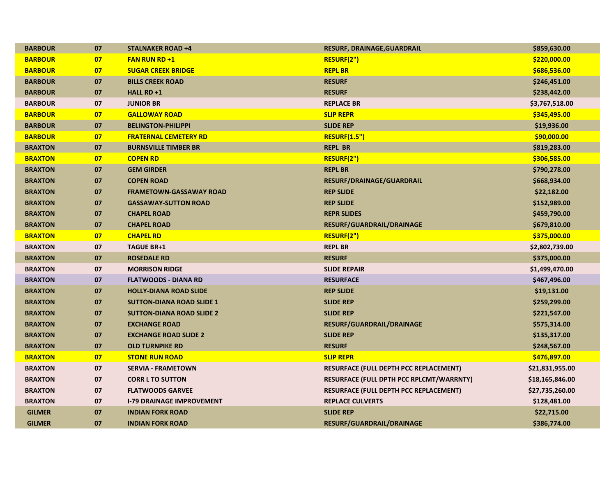| <b>BARBOUR</b> | 07 | <b>STALNAKER ROAD +4</b>         | <b>RESURF, DRAINAGE, GUARDRAIL</b>            | \$859,630.00    |
|----------------|----|----------------------------------|-----------------------------------------------|-----------------|
| <b>BARBOUR</b> | 07 | <b>FAN RUN RD +1</b>             | RESURF(2")                                    | \$220,000.00    |
| <b>BARBOUR</b> | 07 | <b>SUGAR CREEK BRIDGE</b>        | <b>REPL BR</b>                                | \$686,536.00    |
| <b>BARBOUR</b> | 07 | <b>BILLS CREEK ROAD</b>          | <b>RESURF</b>                                 | \$246,451.00    |
| <b>BARBOUR</b> | 07 | HALL RD +1                       | <b>RESURF</b>                                 | \$238,442.00    |
| <b>BARBOUR</b> | 07 | <b>JUNIOR BR</b>                 | <b>REPLACE BR</b>                             | \$3,767,518.00  |
| <b>BARBOUR</b> | 07 | <b>GALLOWAY ROAD</b>             | <b>SLIP REPR</b>                              | \$345,495.00    |
| <b>BARBOUR</b> | 07 | <b>BELINGTON-PHILIPPI</b>        | <b>SLIDE REP</b>                              | \$19,936.00     |
| <b>BARBOUR</b> | 07 | <b>FRATERNAL CEMETERY RD</b>     | <b>RESURF(1.5")</b>                           | \$90,000.00     |
| <b>BRAXTON</b> | 07 | <b>BURNSVILLE TIMBER BR</b>      | <b>REPL BR</b>                                | \$819,283.00    |
| <b>BRAXTON</b> | 07 | <b>COPEN RD</b>                  | RESURF(2")                                    | \$306,585.00    |
| <b>BRAXTON</b> | 07 | <b>GEM GIRDER</b>                | <b>REPL BR</b>                                | \$790,278.00    |
| <b>BRAXTON</b> | 07 | <b>COPEN ROAD</b>                | RESURF/DRAINAGE/GUARDRAIL                     | \$668,934.00    |
| <b>BRAXTON</b> | 07 | <b>FRAMETOWN-GASSAWAY ROAD</b>   | <b>REP SLIDE</b>                              | \$22,182.00     |
| <b>BRAXTON</b> | 07 | <b>GASSAWAY-SUTTON ROAD</b>      | <b>REP SLIDE</b>                              | \$152,989.00    |
| <b>BRAXTON</b> | 07 | <b>CHAPEL ROAD</b>               | <b>REPR SLIDES</b>                            | \$459,790.00    |
| <b>BRAXTON</b> | 07 | <b>CHAPEL ROAD</b>               | RESURF/GUARDRAIL/DRAINAGE                     | \$679,810.00    |
| <b>BRAXTON</b> | 07 | <b>CHAPEL RD</b>                 | RESURF(2")                                    | \$375,000.00    |
| <b>BRAXTON</b> | 07 | <b>TAGUE BR+1</b>                | <b>REPL BR</b>                                | \$2,802,739.00  |
| <b>BRAXTON</b> | 07 | <b>ROSEDALE RD</b>               | <b>RESURF</b>                                 | \$375,000.00    |
| <b>BRAXTON</b> | 07 | <b>MORRISON RIDGE</b>            | <b>SLIDE REPAIR</b>                           | \$1,499,470.00  |
| <b>BRAXTON</b> | 07 | <b>FLATWOODS - DIANA RD</b>      | <b>RESURFACE</b>                              | \$467,496.00    |
| <b>BRAXTON</b> | 07 | <b>HOLLY-DIANA ROAD SLIDE</b>    | <b>REP SLIDE</b>                              | \$19,131.00     |
| <b>BRAXTON</b> | 07 | <b>SUTTON-DIANA ROAD SLIDE 1</b> | <b>SLIDE REP</b>                              | \$259,299.00    |
| <b>BRAXTON</b> | 07 | <b>SUTTON-DIANA ROAD SLIDE 2</b> | <b>SLIDE REP</b>                              | \$221,547.00    |
| <b>BRAXTON</b> | 07 | <b>EXCHANGE ROAD</b>             | <b>RESURF/GUARDRAIL/DRAINAGE</b>              | \$575,314.00    |
| <b>BRAXTON</b> | 07 | <b>EXCHANGE ROAD SLIDE 2</b>     | <b>SLIDE REP</b>                              | \$135,317.00    |
| <b>BRAXTON</b> | 07 | <b>OLD TURNPIKE RD</b>           | <b>RESURF</b>                                 | \$248,567.00    |
| <b>BRAXTON</b> | 07 | <b>STONE RUN ROAD</b>            | <b>SLIP REPR</b>                              | \$476,897.00    |
| <b>BRAXTON</b> | 07 | <b>SERVIA - FRAMETOWN</b>        | <b>RESURFACE (FULL DEPTH PCC REPLACEMENT)</b> | \$21,831,955.00 |
| <b>BRAXTON</b> | 07 | <b>CORR L TO SUTTON</b>          | RESURFACE (FULL DPTH PCC RPLCMT/WARRNTY)      | \$18,165,846.00 |
| <b>BRAXTON</b> | 07 | <b>FLATWOODS GARVEE</b>          | RESURFACE (FULL DEPTH PCC REPLACEMENT)        | \$27,735,260.00 |
| <b>BRAXTON</b> | 07 | <b>I-79 DRAINAGE IMPROVEMENT</b> | <b>REPLACE CULVERTS</b>                       | \$128,481.00    |
| <b>GILMER</b>  | 07 | <b>INDIAN FORK ROAD</b>          | <b>SLIDE REP</b>                              | \$22,715.00     |
| <b>GILMER</b>  | 07 | <b>INDIAN FORK ROAD</b>          | <b>RESURF/GUARDRAIL/DRAINAGE</b>              | \$386,774.00    |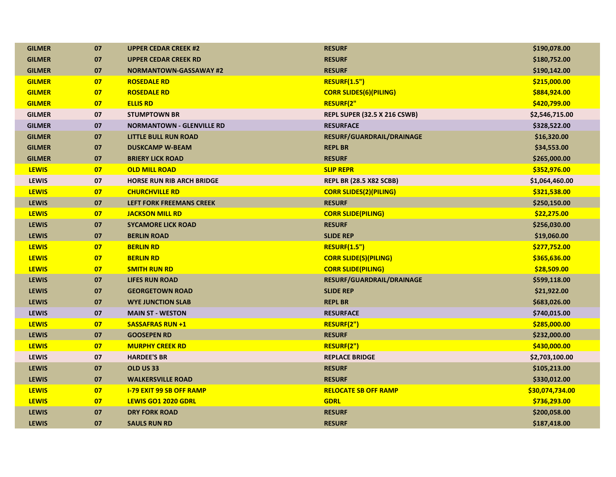| <b>GILMER</b> | 07 | <b>UPPER CEDAR CREEK #2</b>      | <b>RESURF</b>                       | \$190,078.00    |
|---------------|----|----------------------------------|-------------------------------------|-----------------|
| <b>GILMER</b> | 07 | <b>UPPER CEDAR CREEK RD</b>      | <b>RESURF</b>                       | \$180,752.00    |
| <b>GILMER</b> | 07 | <b>NORMANTOWN-GASSAWAY #2</b>    | <b>RESURF</b>                       | \$190,142.00    |
| <b>GILMER</b> | 07 | <b>ROSEDALE RD</b>               | <b>RESURF(1.5")</b>                 | \$215,000.00    |
| <b>GILMER</b> | 07 | <b>ROSEDALE RD</b>               | <b>CORR SLIDES(6)(PILING)</b>       | \$884,924.00    |
| <b>GILMER</b> | 07 | <b>ELLIS RD</b>                  | <b>RESURF(2"</b>                    | \$420,799.00    |
| <b>GILMER</b> | 07 | <b>STUMPTOWN BR</b>              | <b>REPL SUPER (32.5 X 216 CSWB)</b> | \$2,546,715.00  |
| <b>GILMER</b> | 07 | <b>NORMANTOWN - GLENVILLE RD</b> | <b>RESURFACE</b>                    | \$328,522.00    |
| <b>GILMER</b> | 07 | <b>LITTLE BULL RUN ROAD</b>      | RESURF/GUARDRAIL/DRAINAGE           | \$16,320.00     |
| <b>GILMER</b> | 07 | <b>DUSKCAMP W-BEAM</b>           | <b>REPL BR</b>                      | \$34,553.00     |
| <b>GILMER</b> | 07 | <b>BRIERY LICK ROAD</b>          | <b>RESURF</b>                       | \$265,000.00    |
| <b>LEWIS</b>  | 07 | <b>OLD MILL ROAD</b>             | <b>SLIP REPR</b>                    | \$352,976.00    |
| LEWIS         | 07 | <b>HORSE RUN RIB ARCH BRIDGE</b> | <b>REPL BR (28.5 X82 SCBB)</b>      | \$1,064,460.00  |
| <b>LEWIS</b>  | 07 | <b>CHURCHVILLE RD</b>            | <b>CORR SLIDES(2)(PILING)</b>       | \$321,538.00    |
| <b>LEWIS</b>  | 07 | <b>LEFT FORK FREEMANS CREEK</b>  | <b>RESURF</b>                       | \$250,150.00    |
| <b>LEWIS</b>  | 07 | <b>JACKSON MILL RD</b>           | <b>CORR SLIDE(PILING)</b>           | \$22,275.00     |
| <b>LEWIS</b>  | 07 | <b>SYCAMORE LICK ROAD</b>        | <b>RESURF</b>                       | \$256,030.00    |
| <b>LEWIS</b>  | 07 | <b>BERLIN ROAD</b>               | <b>SLIDE REP</b>                    | \$19,060.00     |
| <b>LEWIS</b>  | 07 | <b>BERLIN RD</b>                 | <b>RESURF(1.5")</b>                 | \$277,752.00    |
| <b>LEWIS</b>  | 07 | <b>BERLIN RD</b>                 | <b>CORR SLIDE(S)(PILING)</b>        | \$365,636.00    |
| <b>LEWIS</b>  | 07 | <b>SMITH RUN RD</b>              | <b>CORR SLIDE(PILING)</b>           | \$28,509.00     |
| <b>LEWIS</b>  | 07 | <b>LIFES RUN ROAD</b>            | RESURF/GUARDRAIL/DRAINAGE           | \$599,118.00    |
| <b>LEWIS</b>  | 07 | <b>GEORGETOWN ROAD</b>           | <b>SLIDE REP</b>                    | \$21,922.00     |
| <b>LEWIS</b>  | 07 | <b>WYE JUNCTION SLAB</b>         | <b>REPL BR</b>                      | \$683,026.00    |
| <b>LEWIS</b>  | 07 | <b>MAIN ST - WESTON</b>          | <b>RESURFACE</b>                    | \$740,015.00    |
| <b>LEWIS</b>  | 07 | <b>SASSAFRAS RUN +1</b>          | RESURF(2")                          | \$285,000.00    |
| <b>LEWIS</b>  | 07 | <b>GOOSEPEN RD</b>               | <b>RESURF</b>                       | \$232,000.00    |
| <b>LEWIS</b>  | 07 | <b>MURPHY CREEK RD</b>           | RESURF(2")                          | \$430,000.00    |
| <b>LEWIS</b>  | 07 | <b>HARDEE'S BR</b>               | <b>REPLACE BRIDGE</b>               | \$2,703,100.00  |
| <b>LEWIS</b>  | 07 | OLD US 33                        | <b>RESURF</b>                       | \$105,213.00    |
| <b>LEWIS</b>  | 07 | <b>WALKERSVILLE ROAD</b>         | <b>RESURF</b>                       | \$330,012.00    |
| <b>LEWIS</b>  | 07 | <b>I-79 EXIT 99 SB OFF RAMP</b>  | <b>RELOCATE SB OFF RAMP</b>         | \$30,074,734.00 |
| <b>LEWIS</b>  | 07 | LEWIS GO1 2020 GDRL              | <b>GDRL</b>                         | \$736,293.00    |
| <b>LEWIS</b>  | 07 | <b>DRY FORK ROAD</b>             | <b>RESURF</b>                       | \$200,058.00    |
| <b>LEWIS</b>  | 07 | <b>SAULS RUN RD</b>              | <b>RESURF</b>                       | \$187,418.00    |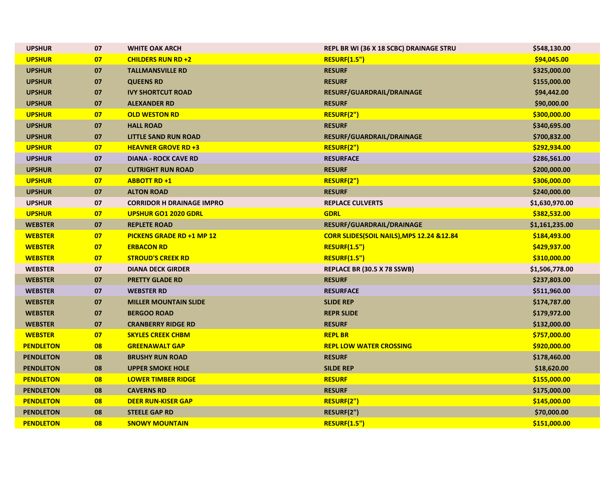| <b>UPSHUR</b>    | 07     | <b>WHITE OAK ARCH</b>            | REPL BR WI (36 X 18 SCBC) DRAINAGE STRU   | \$548,130.00   |
|------------------|--------|----------------------------------|-------------------------------------------|----------------|
| <b>UPSHUR</b>    | 07     | <b>CHILDERS RUN RD +2</b>        | <b>RESURF(1.5")</b>                       | \$94,045.00    |
| <b>UPSHUR</b>    | 07     | <b>TALLMANSVILLE RD</b>          | <b>RESURF</b>                             | \$325,000.00   |
| <b>UPSHUR</b>    | 07     | <b>QUEENS RD</b>                 | <b>RESURF</b>                             | \$155,000.00   |
| <b>UPSHUR</b>    | 07     | <b>IVY SHORTCUT ROAD</b>         | RESURF/GUARDRAIL/DRAINAGE                 | \$94,442.00    |
| <b>UPSHUR</b>    | 07     | <b>ALEXANDER RD</b>              | <b>RESURF</b>                             | \$90,000.00    |
| <b>UPSHUR</b>    | 07     | <b>OLD WESTON RD</b>             | RESURF(2")                                | \$300,000.00   |
| <b>UPSHUR</b>    | 07     | <b>HALL ROAD</b>                 | <b>RESURF</b>                             | \$340,695.00   |
| <b>UPSHUR</b>    | 07     | <b>LITTLE SAND RUN ROAD</b>      | RESURF/GUARDRAIL/DRAINAGE                 | \$700,832.00   |
| <b>UPSHUR</b>    | 07     | <b>HEAVNER GROVE RD +3</b>       | RESURF(2")                                | \$292,934.00   |
| <b>UPSHUR</b>    | 07     | <b>DIANA - ROCK CAVE RD</b>      | <b>RESURFACE</b>                          | \$286,561.00   |
| <b>UPSHUR</b>    | 07     | <b>CUTRIGHT RUN ROAD</b>         | <b>RESURF</b>                             | \$200,000.00   |
| <b>UPSHUR</b>    | 07     | <b>ABBOTT RD +1</b>              | RESURF(2")                                | \$306,000.00   |
| <b>UPSHUR</b>    | 07     | <b>ALTON ROAD</b>                | <b>RESURF</b>                             | \$240,000.00   |
| <b>UPSHUR</b>    | $07\,$ | <b>CORRIDOR H DRAINAGE IMPRO</b> | <b>REPLACE CULVERTS</b>                   | \$1,630,970.00 |
| <b>UPSHUR</b>    | 07     | <b>UPSHUR GO1 2020 GDRL</b>      | <b>GDRL</b>                               | \$382,532.00   |
| <b>WEBSTER</b>   | 07     | <b>REPLETE ROAD</b>              | RESURF/GUARDRAIL/DRAINAGE                 | \$1,161,235.00 |
| <b>WEBSTER</b>   | 07     | <b>PICKENS GRADE RD +1 MP 12</b> | CORR SLIDES(SOIL NAILS), MPS 12.24 &12.84 | \$184,493.00   |
| <b>WEBSTER</b>   | 07     | <b>ERBACON RD</b>                | <b>RESURF(1.5")</b>                       | \$429,937.00   |
| <b>WEBSTER</b>   | 07     | <b>STROUD'S CREEK RD</b>         | <b>RESURF(1.5")</b>                       | \$310,000.00   |
| <b>WEBSTER</b>   | 07     | <b>DIANA DECK GIRDER</b>         | REPLACE BR (30.5 X 78 SSWB)               | \$1,506,778.00 |
| <b>WEBSTER</b>   | 07     | <b>PRETTY GLADE RD</b>           | <b>RESURF</b>                             | \$237,803.00   |
| <b>WEBSTER</b>   | 07     | <b>WEBSTER RD</b>                | <b>RESURFACE</b>                          | \$511,960.00   |
| <b>WEBSTER</b>   | 07     | <b>MILLER MOUNTAIN SLIDE</b>     | <b>SLIDE REP</b>                          | \$174,787.00   |
| <b>WEBSTER</b>   | 07     | <b>BERGOO ROAD</b>               | <b>REPR SLIDE</b>                         | \$179,972.00   |
| <b>WEBSTER</b>   | 07     | <b>CRANBERRY RIDGE RD</b>        | <b>RESURF</b>                             | \$132,000.00   |
| <b>WEBSTER</b>   | 07     | <b>SKYLES CREEK CHBM</b>         | <b>REPL BR</b>                            | \$757,000.00   |
| <b>PENDLETON</b> | 08     | <b>GREENAWALT GAP</b>            | <b>REPL LOW WATER CROSSING</b>            | \$920,000.00   |
| <b>PENDLETON</b> | 08     | <b>BRUSHY RUN ROAD</b>           | <b>RESURF</b>                             | \$178,460.00   |
| <b>PENDLETON</b> | 08     | <b>UPPER SMOKE HOLE</b>          | <b>SILDE REP</b>                          | \$18,620.00    |
| <b>PENDLETON</b> | 08     | <b>LOWER TIMBER RIDGE</b>        | <b>RESURF</b>                             | \$155,000.00   |
| <b>PENDLETON</b> | 08     | <b>CAVERNS RD</b>                | <b>RESURF</b>                             | \$175,000.00   |
| <b>PENDLETON</b> | 08     | <b>DEER RUN-KISER GAP</b>        | RESURF(2")                                | \$145,000.00   |
| <b>PENDLETON</b> | 08     | <b>STEELE GAP RD</b>             | RESURF(2")                                | \$70,000.00    |
| <b>PENDLETON</b> | 08     | <b>SNOWY MOUNTAIN</b>            | <b>RESURF(1.5")</b>                       | \$151,000.00   |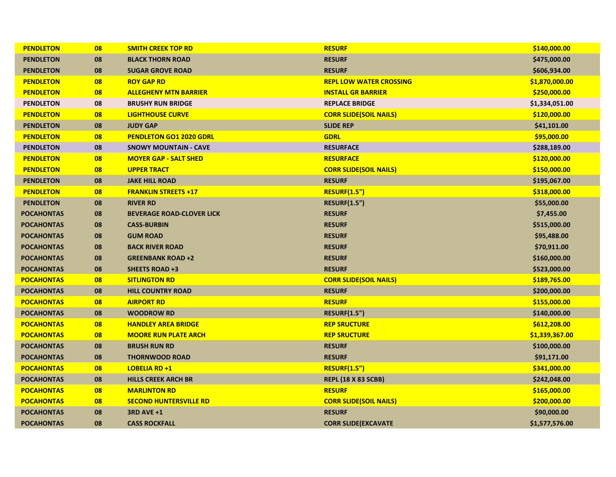| <b>PENDLETON</b>  | 08 | <b>SMITH CREEK TOP RD</b>        | <b>RESURF</b>                  | \$140,000.00   |
|-------------------|----|----------------------------------|--------------------------------|----------------|
| <b>PENDLETON</b>  | 08 | <b>BLACK THORN ROAD</b>          | <b>RESURF</b>                  | \$475,000.00   |
| <b>PENDLETON</b>  | 08 | <b>SUGAR GROVE ROAD</b>          | <b>RESURF</b>                  | \$606,934.00   |
| <b>PENDLETON</b>  | 08 | <b>ROY GAP RD</b>                | <b>REPL LOW WATER CROSSING</b> | \$1,870,000.00 |
| <b>PENDLETON</b>  | 08 | <b>ALLEGHENY MTN BARRIER</b>     | <b>INSTALL GR BARRIER</b>      | \$250,000.00   |
| <b>PENDLETON</b>  | 08 | <b>BRUSHY RUN BRIDGE</b>         | <b>REPLACE BRIDGE</b>          | \$1,334,051.00 |
| <b>PENDLETON</b>  | 08 | <b>LIGHTHOUSE CURVE</b>          | <b>CORR SLIDE(SOIL NAILS)</b>  | \$120,000.00   |
| <b>PENDLETON</b>  | 08 | <b>JUDY GAP</b>                  | <b>SLIDE REP</b>               | \$41,101.00    |
| <b>PENDLETON</b>  | 08 | <b>PENDLETON GO1 2020 GDRL</b>   | <b>GDRL</b>                    | \$95,000.00    |
| <b>PENDLETON</b>  | 08 | <b>SNOWY MOUNTAIN - CAVE</b>     | <b>RESURFACE</b>               | \$288,189.00   |
| <b>PENDLETON</b>  | 08 | <b>MOYER GAP - SALT SHED</b>     | <b>RESURFACE</b>               | \$120,000.00   |
| <b>PENDLETON</b>  | 08 | <b>UPPER TRACT</b>               | <b>CORR SLIDE(SOIL NAILS)</b>  | \$150,000.00   |
| <b>PENDLETON</b>  | 08 | <b>JAKE HILL ROAD</b>            | <b>RESURF</b>                  | \$195,067.00   |
| <b>PENDLETON</b>  | 08 | <b>FRANKLIN STREETS +17</b>      | <b>RESURF(1.5")</b>            | \$318,000.00   |
| <b>PENDLETON</b>  | 08 | <b>RIVER RD</b>                  | <b>RESURF(1.5")</b>            | \$55,000.00    |
| <b>POCAHONTAS</b> | 08 | <b>BEVERAGE ROAD-CLOVER LICK</b> | <b>RESURF</b>                  | \$7,455.00     |
| <b>POCAHONTAS</b> | 08 | <b>CASS-BURBIN</b>               | <b>RESURF</b>                  | \$515,000.00   |
| <b>POCAHONTAS</b> | 08 | <b>GUM ROAD</b>                  | <b>RESURF</b>                  | \$95,488.00    |
| <b>POCAHONTAS</b> | 08 | <b>BACK RIVER ROAD</b>           | <b>RESURF</b>                  | \$70,911.00    |
| <b>POCAHONTAS</b> | 08 | <b>GREENBANK ROAD+2</b>          | <b>RESURF</b>                  | \$160,000.00   |
| <b>POCAHONTAS</b> | 08 | <b>SHEETS ROAD +3</b>            | <b>RESURF</b>                  | \$523,000.00   |
| <b>POCAHONTAS</b> | 08 | <b>SITLINGTON RD</b>             | <b>CORR SLIDE(SOIL NAILS)</b>  | \$189,765.00   |
| <b>POCAHONTAS</b> | 08 | <b>HILL COUNTRY ROAD</b>         | <b>RESURF</b>                  | \$200,000.00   |
| <b>POCAHONTAS</b> | 08 | <b>AIRPORT RD</b>                | <b>RESURF</b>                  | \$155,000.00   |
| <b>POCAHONTAS</b> | 08 | <b>WOODROW RD</b>                | <b>RESURF(1.5")</b>            | \$140,000.00   |
| <b>POCAHONTAS</b> | 08 | <b>HANDLEY AREA BRIDGE</b>       | <b>REP SRUCTURE</b>            | \$612,208.00   |
| <b>POCAHONTAS</b> | 08 | <b>MOORE RUN PLATE ARCH</b>      | <b>REP SRUCTURE</b>            | \$1,339,367.00 |
| <b>POCAHONTAS</b> | 08 | <b>BRUSH RUN RD</b>              | <b>RESURF</b>                  | \$100,000.00   |
| <b>POCAHONTAS</b> | 08 | <b>THORNWOOD ROAD</b>            | <b>RESURF</b>                  | \$91,171.00    |
| <b>POCAHONTAS</b> | 08 | <b>LOBELIA RD +1</b>             | <b>RESURF(1.5")</b>            | \$341,000.00   |
| <b>POCAHONTAS</b> | 08 | <b>HILLS CREEK ARCH BR</b>       | <b>REPL (18 X 83 SCBB)</b>     | \$242,048.00   |
| <b>POCAHONTAS</b> | 08 | <b>MARLINTON RD</b>              | <b>RESURF</b>                  | \$165,000.00   |
| <b>POCAHONTAS</b> | 08 | <b>SECOND HUNTERSVILLE RD</b>    | <b>CORR SLIDE(SOIL NAILS)</b>  | \$200,000.00   |
| <b>POCAHONTAS</b> | 08 | <b>3RD AVE +1</b>                | <b>RESURF</b>                  | \$90,000.00    |
| <b>POCAHONTAS</b> | 08 | <b>CASS ROCKFALL</b>             | <b>CORR SLIDE(EXCAVATE</b>     | \$1,577,576.00 |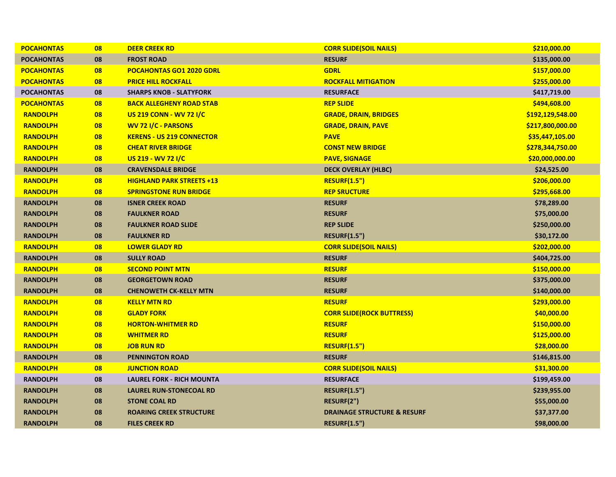| <b>POCAHONTAS</b> | 08 | <b>DEER CREEK RD</b>             | <b>CORR SLIDE(SOIL NAILS)</b>          | \$210,000.00     |
|-------------------|----|----------------------------------|----------------------------------------|------------------|
| <b>POCAHONTAS</b> | 08 | <b>FROST ROAD</b>                | <b>RESURF</b>                          | \$135,000.00     |
| <b>POCAHONTAS</b> | 08 | <b>POCAHONTAS GO1 2020 GDRL</b>  | <b>GDRL</b>                            | \$157,000.00     |
| <b>POCAHONTAS</b> | 08 | <b>PRICE HILL ROCKFALL</b>       | <b>ROCKFALL MITIGATION</b>             | \$255,000.00     |
| <b>POCAHONTAS</b> | 08 | <b>SHARPS KNOB - SLATYFORK</b>   | <b>RESURFACE</b>                       | \$417,719.00     |
| <b>POCAHONTAS</b> | 08 | <b>BACK ALLEGHENY ROAD STAB</b>  | <b>REP SLIDE</b>                       | \$494,608.00     |
| <b>RANDOLPH</b>   | 08 | <b>US 219 CONN - WV 72 I/C</b>   | <b>GRADE, DRAIN, BRIDGES</b>           | \$192,129,548.00 |
| <b>RANDOLPH</b>   | 08 | <b>WV 72 I/C - PARSONS</b>       | <b>GRADE, DRAIN, PAVE</b>              | \$217,800,000.00 |
| <b>RANDOLPH</b>   | 08 | <b>KERENS - US 219 CONNECTOR</b> | <b>PAVE</b>                            | \$35,447,105.00  |
| <b>RANDOLPH</b>   | 08 | <b>CHEAT RIVER BRIDGE</b>        | <b>CONST NEW BRIDGE</b>                | \$278,344,750.00 |
| <b>RANDOLPH</b>   | 08 | US 219 - WV 72 I/C               | <b>PAVE, SIGNAGE</b>                   | \$20,000,000.00  |
| <b>RANDOLPH</b>   | 08 | <b>CRAVENSDALE BRIDGE</b>        | <b>DECK OVERLAY (HLBC)</b>             | \$24,525.00      |
| <b>RANDOLPH</b>   | 08 | <b>HIGHLAND PARK STREETS +13</b> | <b>RESURF(1.5")</b>                    | \$206,000.00     |
| <b>RANDOLPH</b>   | 08 | <b>SPRINGSTONE RUN BRIDGE</b>    | <b>REP SRUCTURE</b>                    | \$295,668.00     |
| <b>RANDOLPH</b>   | 08 | <b>ISNER CREEK ROAD</b>          | <b>RESURF</b>                          | \$78,289.00      |
| <b>RANDOLPH</b>   | 08 | <b>FAULKNER ROAD</b>             | <b>RESURF</b>                          | \$75,000.00      |
| <b>RANDOLPH</b>   | 08 | <b>FAULKNER ROAD SLIDE</b>       | <b>REP SLIDE</b>                       | \$250,000.00     |
| <b>RANDOLPH</b>   | 08 | <b>FAULKNER RD</b>               | <b>RESURF(1.5")</b>                    | \$30,172.00      |
| <b>RANDOLPH</b>   | 08 | <b>LOWER GLADY RD</b>            | <b>CORR SLIDE(SOIL NAILS)</b>          | \$202,000.00     |
| <b>RANDOLPH</b>   | 08 | <b>SULLY ROAD</b>                | <b>RESURF</b>                          | \$404,725.00     |
| <b>RANDOLPH</b>   | 08 | <b>SECOND POINT MTN</b>          | <b>RESURF</b>                          | \$150,000.00     |
| <b>RANDOLPH</b>   | 08 | <b>GEORGETOWN ROAD</b>           | <b>RESURF</b>                          | \$375,000.00     |
| <b>RANDOLPH</b>   | 08 | <b>CHENOWETH CK-KELLY MTN</b>    | <b>RESURF</b>                          | \$140,000.00     |
| <b>RANDOLPH</b>   | 08 | <b>KELLY MTN RD</b>              | <b>RESURF</b>                          | \$293,000.00     |
| <b>RANDOLPH</b>   | 08 | <b>GLADY FORK</b>                | <b>CORR SLIDE(ROCK BUTTRESS)</b>       | \$40,000.00      |
| <b>RANDOLPH</b>   | 08 | <b>HORTON-WHITMER RD</b>         | <b>RESURF</b>                          | \$150,000.00     |
| <b>RANDOLPH</b>   | 08 | <b>WHITMER RD</b>                | <b>RESURF</b>                          | \$125,000.00     |
| <b>RANDOLPH</b>   | 08 | <b>JOB RUN RD</b>                | <b>RESURF(1.5")</b>                    | \$28,000.00      |
| <b>RANDOLPH</b>   | 08 | <b>PENNINGTON ROAD</b>           | <b>RESURF</b>                          | \$146,815.00     |
| <b>RANDOLPH</b>   | 08 | <b>JUNCTION ROAD</b>             | <b>CORR SLIDE(SOIL NAILS)</b>          | \$31,300.00      |
| <b>RANDOLPH</b>   | 08 | <b>LAUREL FORK - RICH MOUNTA</b> | <b>RESURFACE</b>                       | \$199,459.00     |
| <b>RANDOLPH</b>   | 08 | <b>LAUREL RUN-STONECOAL RD</b>   | <b>RESURF(1.5")</b>                    | \$239,955.00     |
| <b>RANDOLPH</b>   | 08 | <b>STONE COAL RD</b>             | RESURF(2")                             | \$55,000.00      |
| <b>RANDOLPH</b>   | 08 | <b>ROARING CREEK STRUCTURE</b>   | <b>DRAINAGE STRUCTURE &amp; RESURF</b> | \$37,377.00      |
| <b>RANDOLPH</b>   | 08 | <b>FILES CREEK RD</b>            | <b>RESURF(1.5")</b>                    | \$98,000.00      |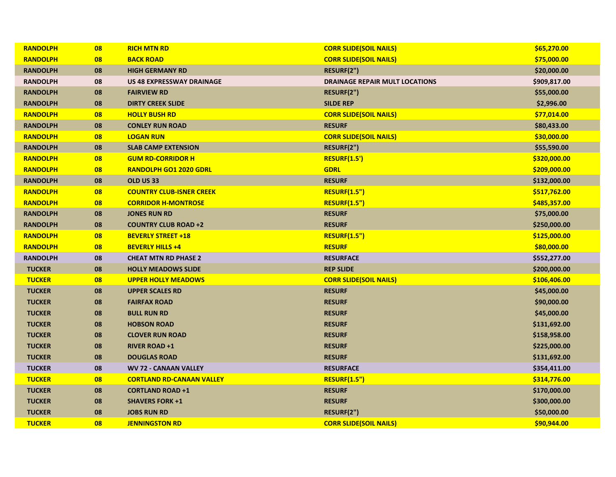| <b>RANDOLPH</b> | 08 | <b>RICH MTN RD</b>               | <b>CORR SLIDE(SOIL NAILS)</b>         | \$65,270.00  |
|-----------------|----|----------------------------------|---------------------------------------|--------------|
| <b>RANDOLPH</b> | 08 | <b>BACK ROAD</b>                 | <b>CORR SLIDE(SOIL NAILS)</b>         | \$75,000.00  |
| <b>RANDOLPH</b> | 08 | <b>HIGH GERMANY RD</b>           | RESURF(2")                            | \$20,000.00  |
| <b>RANDOLPH</b> | 08 | <b>US 48 EXPRESSWAY DRAINAGE</b> | <b>DRAINAGE REPAIR MULT LOCATIONS</b> | \$909,817.00 |
| <b>RANDOLPH</b> | 08 | <b>FAIRVIEW RD</b>               | RESURF(2")                            | \$55,000.00  |
| <b>RANDOLPH</b> | 08 | <b>DIRTY CREEK SLIDE</b>         | <b>SILDE REP</b>                      | \$2,996.00   |
| <b>RANDOLPH</b> | 08 | <b>HOLLY BUSH RD</b>             | <b>CORR SLIDE(SOIL NAILS)</b>         | \$77,014.00  |
| <b>RANDOLPH</b> | 08 | <b>CONLEY RUN ROAD</b>           | <b>RESURF</b>                         | \$80,433.00  |
| <b>RANDOLPH</b> | 08 | <b>LOGAN RUN</b>                 | <b>CORR SLIDE(SOIL NAILS)</b>         | \$30,000.00  |
| <b>RANDOLPH</b> | 08 | <b>SLAB CAMP EXTENSION</b>       | RESURF(2")                            | \$55,590.00  |
| <b>RANDOLPH</b> | 08 | <b>GUM RD-CORRIDOR H</b>         | <b>RESURF(1.5')</b>                   | \$320,000.00 |
| <b>RANDOLPH</b> | 08 | <b>RANDOLPH GO1 2020 GDRL</b>    | <b>GDRL</b>                           | \$209,000.00 |
| <b>RANDOLPH</b> | 08 | OLD US 33                        | <b>RESURF</b>                         | \$132,000.00 |
| <b>RANDOLPH</b> | 08 | <b>COUNTRY CLUB-ISNER CREEK</b>  | <b>RESURF(1.5")</b>                   | \$517,762.00 |
| <b>RANDOLPH</b> | 08 | <b>CORRIDOR H-MONTROSE</b>       | <b>RESURF(1.5")</b>                   | \$485,357.00 |
| <b>RANDOLPH</b> | 08 | <b>JONES RUN RD</b>              | <b>RESURF</b>                         | \$75,000.00  |
| <b>RANDOLPH</b> | 08 | <b>COUNTRY CLUB ROAD +2</b>      | <b>RESURF</b>                         | \$250,000.00 |
| <b>RANDOLPH</b> | 08 | <b>BEVERLY STREET +18</b>        | <b>RESURF(1.5")</b>                   | \$125,000.00 |
| <b>RANDOLPH</b> | 08 | <b>BEVERLY HILLS +4</b>          | <b>RESURF</b>                         | \$80,000.00  |
| <b>RANDOLPH</b> | 08 | <b>CHEAT MTN RD PHASE 2</b>      | <b>RESURFACE</b>                      | \$552,277.00 |
| <b>TUCKER</b>   | 08 | <b>HOLLY MEADOWS SLIDE</b>       | <b>REP SLIDE</b>                      | \$200,000.00 |
| <b>TUCKER</b>   | 08 | <b>UPPER HOLLY MEADOWS</b>       | <b>CORR SLIDE(SOIL NAILS)</b>         | \$106,406.00 |
| <b>TUCKER</b>   | 08 | <b>UPPER SCALES RD</b>           | <b>RESURF</b>                         | \$45,000.00  |
| <b>TUCKER</b>   | 08 | <b>FAIRFAX ROAD</b>              | <b>RESURF</b>                         | \$90,000.00  |
| <b>TUCKER</b>   | 08 | <b>BULL RUN RD</b>               | <b>RESURF</b>                         | \$45,000.00  |
| <b>TUCKER</b>   | 08 | <b>HOBSON ROAD</b>               | <b>RESURF</b>                         | \$131,692.00 |
| <b>TUCKER</b>   | 08 | <b>CLOVER RUN ROAD</b>           | <b>RESURF</b>                         | \$158,958.00 |
| <b>TUCKER</b>   | 08 | <b>RIVER ROAD+1</b>              | <b>RESURF</b>                         | \$225,000.00 |
| <b>TUCKER</b>   | 08 | <b>DOUGLAS ROAD</b>              | <b>RESURF</b>                         | \$131,692.00 |
| <b>TUCKER</b>   | 08 | <b>WV 72 - CANAAN VALLEY</b>     | <b>RESURFACE</b>                      | \$354,411.00 |
| <b>TUCKER</b>   | 08 | <b>CORTLAND RD-CANAAN VALLEY</b> | <b>RESURF(1.5")</b>                   | \$314,776.00 |
| <b>TUCKER</b>   | 08 | <b>CORTLAND ROAD +1</b>          | <b>RESURF</b>                         | \$170,000.00 |
| <b>TUCKER</b>   | 08 | <b>SHAVERS FORK +1</b>           | <b>RESURF</b>                         | \$300,000.00 |
| <b>TUCKER</b>   | 08 | <b>JOBS RUN RD</b>               | RESURF(2")                            | \$50,000.00  |
| <b>TUCKER</b>   | 08 | <b>JENNINGSTON RD</b>            | <b>CORR SLIDE(SOIL NAILS)</b>         | \$90,944.00  |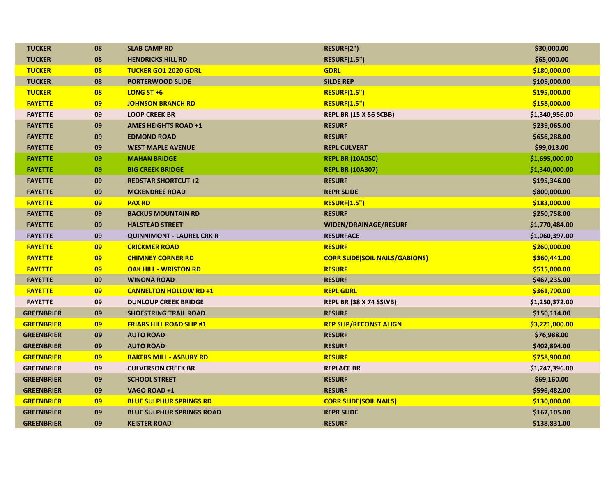| <b>TUCKER</b>     | 08 | <b>SLAB CAMP RD</b>              | RESURF(2")                            | \$30,000.00    |
|-------------------|----|----------------------------------|---------------------------------------|----------------|
| <b>TUCKER</b>     | 08 | <b>HENDRICKS HILL RD</b>         | <b>RESURF(1.5")</b>                   | \$65,000.00    |
| <b>TUCKER</b>     | 08 | <b>TUCKER GO1 2020 GDRL</b>      | <b>GDRL</b>                           | \$180,000.00   |
| <b>TUCKER</b>     | 08 | <b>PORTERWOOD SLIDE</b>          | <b>SILDE REP</b>                      | \$105,000.00   |
| <b>TUCKER</b>     | 08 | <b>LONG ST +6</b>                | <b>RESURF(1.5")</b>                   | \$195,000.00   |
| <b>FAYETTE</b>    | 09 | <b>JOHNSON BRANCH RD</b>         | <b>RESURF(1.5")</b>                   | \$158,000.00   |
| <b>FAYETTE</b>    | 09 | <b>LOOP CREEK BR</b>             | <b>REPL BR (15 X 56 SCBB)</b>         | \$1,340,956.00 |
| <b>FAYETTE</b>    | 09 | <b>AMES HEIGHTS ROAD +1</b>      | <b>RESURF</b>                         | \$239,065.00   |
| <b>FAYETTE</b>    | 09 | <b>EDMOND ROAD</b>               | <b>RESURF</b>                         | \$656,288.00   |
| <b>FAYETTE</b>    | 09 | <b>WEST MAPLE AVENUE</b>         | <b>REPL CULVERT</b>                   | \$99,013.00    |
| <b>FAYETTE</b>    | 09 | <b>MAHAN BRIDGE</b>              | <b>REPL BR (10A050)</b>               | \$1,695,000.00 |
| <b>FAYETTE</b>    | 09 | <b>BIG CREEK BRIDGE</b>          | <b>REPL BR (10A307)</b>               | \$1,340,000.00 |
| <b>FAYETTE</b>    | 09 | <b>REDSTAR SHORTCUT +2</b>       | <b>RESURF</b>                         | \$195,346.00   |
| <b>FAYETTE</b>    | 09 | <b>MCKENDREE ROAD</b>            | <b>REPR SLIDE</b>                     | \$800,000.00   |
| <b>FAYETTE</b>    | 09 | <b>PAX RD</b>                    | <b>RESURF(1.5")</b>                   | \$183,000.00   |
| <b>FAYETTE</b>    | 09 | <b>BACKUS MOUNTAIN RD</b>        | <b>RESURF</b>                         | \$250,758.00   |
| <b>FAYETTE</b>    | 09 | <b>HALSTEAD STREET</b>           | WIDEN/DRAINAGE/RESURF                 | \$1,770,484.00 |
| <b>FAYETTE</b>    | 09 | <b>QUINNIMONT - LAUREL CRK R</b> | <b>RESURFACE</b>                      | \$1,060,397.00 |
| <b>FAYETTE</b>    | 09 | <b>CRICKMER ROAD</b>             | <b>RESURF</b>                         | \$260,000.00   |
| <b>FAYETTE</b>    | 09 | <b>CHIMNEY CORNER RD</b>         | <b>CORR SLIDE(SOIL NAILS/GABIONS)</b> | \$360,441.00   |
| <b>FAYETTE</b>    | 09 | <b>OAK HILL - WRISTON RD</b>     | <b>RESURF</b>                         | \$515,000.00   |
| <b>FAYETTE</b>    | 09 | <b>WINONA ROAD</b>               | <b>RESURF</b>                         | \$467,235.00   |
| <b>FAYETTE</b>    | 09 | <b>CANNELTON HOLLOW RD +1</b>    | <b>REPL GDRL</b>                      | \$361,700.00   |
| <b>FAYETTE</b>    | 09 | <b>DUNLOUP CREEK BRIDGE</b>      | <b>REPL BR (38 X 74 SSWB)</b>         | \$1,250,372.00 |
| <b>GREENBRIER</b> | 09 | <b>SHOESTRING TRAIL ROAD</b>     | <b>RESURF</b>                         | \$150,114.00   |
| <b>GREENBRIER</b> | 09 | <b>FRIARS HILL ROAD SLIP #1</b>  | <b>REP SLIP/RECONST ALIGN</b>         | \$3,221,000.00 |
| <b>GREENBRIER</b> | 09 | <b>AUTO ROAD</b>                 | <b>RESURF</b>                         | \$76,988.00    |
| <b>GREENBRIER</b> | 09 | <b>AUTO ROAD</b>                 | <b>RESURF</b>                         | \$402,894.00   |
| <b>GREENBRIER</b> | 09 | <b>BAKERS MILL - ASBURY RD</b>   | <b>RESURF</b>                         | \$758,900.00   |
| <b>GREENBRIER</b> | 09 | <b>CULVERSON CREEK BR</b>        | <b>REPLACE BR</b>                     | \$1,247,396.00 |
| <b>GREENBRIER</b> | 09 | <b>SCHOOL STREET</b>             | <b>RESURF</b>                         | \$69,160.00    |
| <b>GREENBRIER</b> | 09 | VAGO ROAD +1                     | <b>RESURF</b>                         | \$596,482.00   |
| <b>GREENBRIER</b> | 09 | <b>BLUE SULPHUR SPRINGS RD</b>   | <b>CORR SLIDE(SOIL NAILS)</b>         | \$130,000.00   |
| <b>GREENBRIER</b> | 09 | <b>BLUE SULPHUR SPRINGS ROAD</b> | <b>REPR SLIDE</b>                     | \$167,105.00   |
| <b>GREENBRIER</b> | 09 | <b>KEISTER ROAD</b>              | <b>RESURF</b>                         | \$138,831.00   |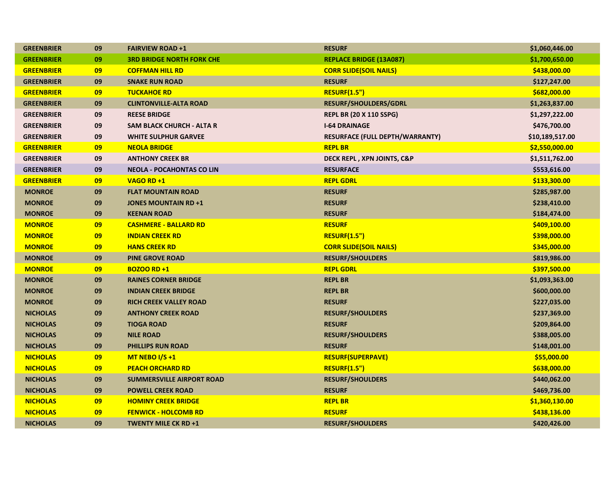| <b>GREENBRIER</b> | 09 | <b>FAIRVIEW ROAD+1</b>           | <b>RESURF</b>                          | \$1,060,446.00  |
|-------------------|----|----------------------------------|----------------------------------------|-----------------|
| <b>GREENBRIER</b> | 09 | <b>3RD BRIDGE NORTH FORK CHE</b> | <b>REPLACE BRIDGE (13A087)</b>         | \$1,700,650.00  |
| <b>GREENBRIER</b> | 09 | <b>COFFMAN HILL RD</b>           | <b>CORR SLIDE(SOIL NAILS)</b>          | \$438,000.00    |
| <b>GREENBRIER</b> | 09 | <b>SNAKE RUN ROAD</b>            | <b>RESURF</b>                          | \$127,247.00    |
| <b>GREENBRIER</b> | 09 | <b>TUCKAHOE RD</b>               | <b>RESURF(1.5")</b>                    | \$682,000.00    |
| <b>GREENBRIER</b> | 09 | <b>CLINTONVILLE-ALTA ROAD</b>    | <b>RESURF/SHOULDERS/GDRL</b>           | \$1,263,837.00  |
| <b>GREENBRIER</b> | 09 | <b>REESE BRIDGE</b>              | <b>REPL BR (20 X 110 SSPG)</b>         | \$1,297,222.00  |
| <b>GREENBRIER</b> | 09 | <b>SAM BLACK CHURCH - ALTA R</b> | <b>I-64 DRAINAGE</b>                   | \$476,700.00    |
| <b>GREENBRIER</b> | 09 | <b>WHITE SULPHUR GARVEE</b>      | <b>RESURFACE (FULL DEPTH/WARRANTY)</b> | \$10,189,517.00 |
| <b>GREENBRIER</b> | 09 | <b>NEOLA BRIDGE</b>              | <b>REPL BR</b>                         | \$2,550,000.00  |
| <b>GREENBRIER</b> | 09 | <b>ANTHONY CREEK BR</b>          | DECK REPL, XPN JOINTS, C&P             | \$1,511,762.00  |
| <b>GREENBRIER</b> | 09 | <b>NEOLA - POCAHONTAS CO LIN</b> | <b>RESURFACE</b>                       | \$553,616.00    |
| <b>GREENBRIER</b> | 09 | VAGO RD+1                        | <b>REPL GDRL</b>                       | \$133,300.00    |
| <b>MONROE</b>     | 09 | <b>FLAT MOUNTAIN ROAD</b>        | <b>RESURF</b>                          | \$285,987.00    |
| <b>MONROE</b>     | 09 | <b>JONES MOUNTAIN RD +1</b>      | <b>RESURF</b>                          | \$238,410.00    |
| <b>MONROE</b>     | 09 | <b>KEENAN ROAD</b>               | <b>RESURF</b>                          | \$184,474.00    |
| <b>MONROE</b>     | 09 | <b>CASHMERE - BALLARD RD</b>     | <b>RESURF</b>                          | \$409,100.00    |
| <b>MONROE</b>     | 09 | <b>INDIAN CREEK RD</b>           | <b>RESURF(1.5")</b>                    | \$398,000.00    |
| <b>MONROE</b>     | 09 | <b>HANS CREEK RD</b>             | <b>CORR SLIDE(SOIL NAILS)</b>          | \$345,000.00    |
| <b>MONROE</b>     | 09 | <b>PINE GROVE ROAD</b>           | <b>RESURF/SHOULDERS</b>                | \$819,986.00    |
| <b>MONROE</b>     | 09 | <b>BOZOO RD +1</b>               | <b>REPL GDRL</b>                       | \$397,500.00    |
| <b>MONROE</b>     | 09 | <b>RAINES CORNER BRIDGE</b>      | <b>REPL BR</b>                         | \$1,093,363.00  |
| <b>MONROE</b>     | 09 | <b>INDIAN CREEK BRIDGE</b>       | <b>REPL BR</b>                         | \$600,000.00    |
| <b>MONROE</b>     | 09 | <b>RICH CREEK VALLEY ROAD</b>    | <b>RESURF</b>                          | \$227,035.00    |
| <b>NICHOLAS</b>   | 09 | <b>ANTHONY CREEK ROAD</b>        | <b>RESURF/SHOULDERS</b>                | \$237,369.00    |
| <b>NICHOLAS</b>   | 09 | <b>TIOGA ROAD</b>                | <b>RESURF</b>                          | \$209,864.00    |
| <b>NICHOLAS</b>   | 09 | <b>NILE ROAD</b>                 | <b>RESURF/SHOULDERS</b>                | \$388,005.00    |
| <b>NICHOLAS</b>   | 09 | <b>PHILLIPS RUN ROAD</b>         | <b>RESURF</b>                          | \$148,001.00    |
| <b>NICHOLAS</b>   | 09 | MT NEBO I/S +1                   | <b>RESURF(SUPERPAVE)</b>               | \$55,000.00     |
| <b>NICHOLAS</b>   | 09 | <b>PEACH ORCHARD RD</b>          | <b>RESURF(1.5")</b>                    | \$638,000.00    |
| <b>NICHOLAS</b>   | 09 | <b>SUMMERSVILLE AIRPORT ROAD</b> | <b>RESURF/SHOULDERS</b>                | \$440,062.00    |
| <b>NICHOLAS</b>   | 09 | <b>POWELL CREEK ROAD</b>         | <b>RESURF</b>                          | \$469,736.00    |
| <b>NICHOLAS</b>   | 09 | <b>HOMINY CREEK BRIDGE</b>       | <b>REPL BR</b>                         | \$1,360,130.00  |
| <b>NICHOLAS</b>   | 09 | <b>FENWICK - HOLCOMB RD</b>      | <b>RESURF</b>                          | \$438,136.00    |
| <b>NICHOLAS</b>   | 09 | <b>TWENTY MILE CK RD +1</b>      | <b>RESURF/SHOULDERS</b>                | \$420,426.00    |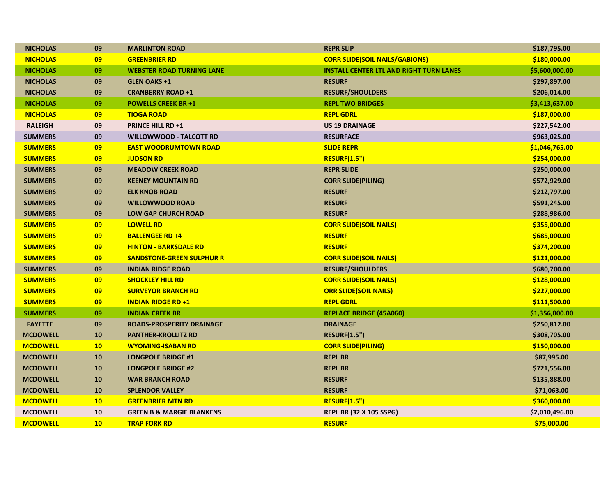| <b>NICHOLAS</b> | 09        | <b>MARLINTON ROAD</b>                | <b>REPR SLIP</b>                               | \$187,795.00   |
|-----------------|-----------|--------------------------------------|------------------------------------------------|----------------|
| <b>NICHOLAS</b> | 09        | <b>GREENBRIER RD</b>                 | <b>CORR SLIDE(SOIL NAILS/GABIONS)</b>          | \$180,000.00   |
| <b>NICHOLAS</b> | 09        | <b>WEBSTER ROAD TURNING LANE</b>     | <b>INSTALL CENTER LTL AND RIGHT TURN LANES</b> | \$5,600,000.00 |
| <b>NICHOLAS</b> | 09        | <b>GLEN OAKS +1</b>                  | <b>RESURF</b>                                  | \$297,897.00   |
| <b>NICHOLAS</b> | 09        | <b>CRANBERRY ROAD +1</b>             | <b>RESURF/SHOULDERS</b>                        | \$206,014.00   |
| <b>NICHOLAS</b> | 09        | <b>POWELLS CREEK BR +1</b>           | <b>REPL TWO BRIDGES</b>                        | \$3,413,637.00 |
| <b>NICHOLAS</b> | 09        | <b>TIOGA ROAD</b>                    | <b>REPL GDRL</b>                               | \$187,000.00   |
| <b>RALEIGH</b>  | 09        | <b>PRINCE HILL RD +1</b>             | <b>US 19 DRAINAGE</b>                          | \$227,542.00   |
| <b>SUMMERS</b>  | 09        | WILLOWWOOD - TALCOTT RD              | <b>RESURFACE</b>                               | \$963,025.00   |
| <b>SUMMERS</b>  | 09        | <b>EAST WOODRUMTOWN ROAD</b>         | <b>SLIDE REPR</b>                              | \$1,046,765.00 |
| <b>SUMMERS</b>  | 09        | <b>JUDSON RD</b>                     | <b>RESURF(1.5")</b>                            | \$254,000.00   |
| <b>SUMMERS</b>  | 09        | <b>MEADOW CREEK ROAD</b>             | <b>REPR SLIDE</b>                              | \$250,000.00   |
| <b>SUMMERS</b>  | 09        | <b>KEENEY MOUNTAIN RD</b>            | <b>CORR SLIDE(PILING)</b>                      | \$572,929.00   |
| <b>SUMMERS</b>  | 09        | <b>ELK KNOB ROAD</b>                 | <b>RESURF</b>                                  | \$212,797.00   |
| <b>SUMMERS</b>  | 09        | <b>WILLOWWOOD ROAD</b>               | <b>RESURF</b>                                  | \$591,245.00   |
| <b>SUMMERS</b>  | 09        | <b>LOW GAP CHURCH ROAD</b>           | <b>RESURF</b>                                  | \$288,986.00   |
| <b>SUMMERS</b>  | 09        | <b>LOWELL RD</b>                     | <b>CORR SLIDE(SOIL NAILS)</b>                  | \$355,000.00   |
| <b>SUMMERS</b>  | 09        | <b>BALLENGEE RD +4</b>               | <b>RESURF</b>                                  | \$685,000.00   |
| <b>SUMMERS</b>  | 09        | <b>HINTON - BARKSDALE RD</b>         | <b>RESURF</b>                                  | \$374,200.00   |
| <b>SUMMERS</b>  | 09        | <b>SANDSTONE-GREEN SULPHUR R</b>     | <b>CORR SLIDE(SOIL NAILS)</b>                  | \$121,000.00   |
| <b>SUMMERS</b>  | 09        | <b>INDIAN RIDGE ROAD</b>             | <b>RESURF/SHOULDERS</b>                        | \$680,700.00   |
| <b>SUMMERS</b>  | 09        | <b>SHOCKLEY HILL RD</b>              | <b>CORR SLIDE(SOIL NAILS)</b>                  | \$128,000.00   |
| <b>SUMMERS</b>  | 09        | <b>SURVEYOR BRANCH RD</b>            | <b>ORR SLIDE(SOIL NAILS)</b>                   | \$227,000.00   |
| <b>SUMMERS</b>  | 09        | <b>INDIAN RIDGE RD +1</b>            | <b>REPL GDRL</b>                               | \$111,500.00   |
| <b>SUMMERS</b>  | 09        | <b>INDIAN CREEK BR</b>               | <b>REPLACE BRIDGE (45A060)</b>                 | \$1,356,000.00 |
| <b>FAYETTE</b>  | 09        | <b>ROADS-PROSPERITY DRAINAGE</b>     | <b>DRAINAGE</b>                                | \$250,812.00   |
| <b>MCDOWELL</b> | 10        | <b>PANTHER-KROLLITZ RD</b>           | <b>RESURF(1.5")</b>                            | \$308,705.00   |
| <b>MCDOWELL</b> | 10        | <b>WYOMING-ISABAN RD</b>             | <b>CORR SLIDE(PILING)</b>                      | \$150,000.00   |
| <b>MCDOWELL</b> | 10        | <b>LONGPOLE BRIDGE #1</b>            | <b>REPL BR</b>                                 | \$87,995.00    |
| <b>MCDOWELL</b> | 10        | <b>LONGPOLE BRIDGE #2</b>            | <b>REPL BR</b>                                 | \$721,556.00   |
| <b>MCDOWELL</b> | 10        | <b>WAR BRANCH ROAD</b>               | <b>RESURF</b>                                  | \$135,888.00   |
| <b>MCDOWELL</b> | 10        | <b>SPLENDOR VALLEY</b>               | <b>RESURF</b>                                  | \$71,063.00    |
| <b>MCDOWELL</b> | <b>10</b> | <b>GREENBRIER MTN RD</b>             | <b>RESURF(1.5")</b>                            | \$360,000.00   |
| <b>MCDOWELL</b> | 10        | <b>GREEN B &amp; MARGIE BLANKENS</b> | <b>REPL BR (32 X 105 SSPG)</b>                 | \$2,010,496.00 |
| <b>MCDOWELL</b> | 10        | <b>TRAP FORK RD</b>                  | <b>RESURF</b>                                  | \$75,000.00    |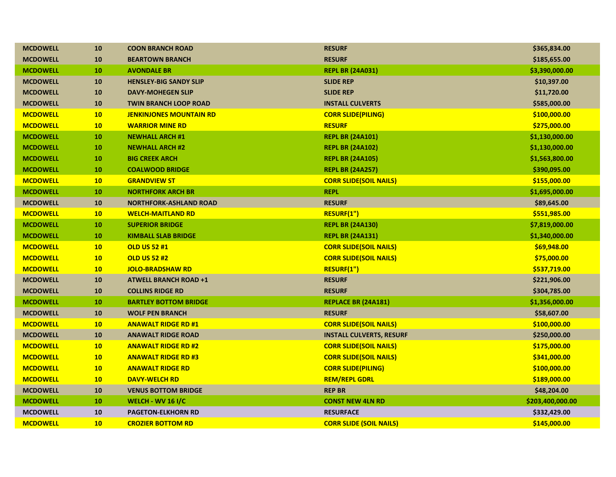| <b>MCDOWELL</b> | 10        | <b>COON BRANCH ROAD</b>        | <b>RESURF</b>                   | \$365,834.00     |
|-----------------|-----------|--------------------------------|---------------------------------|------------------|
| <b>MCDOWELL</b> | 10        | <b>BEARTOWN BRANCH</b>         | <b>RESURF</b>                   | \$185,655.00     |
| <b>MCDOWELL</b> | 10        | <b>AVONDALE BR</b>             | <b>REPL BR (24A031)</b>         | \$3,390,000.00   |
| <b>MCDOWELL</b> | <b>10</b> | <b>HENSLEY-BIG SANDY SLIP</b>  | <b>SLIDE REP</b>                | \$10,397.00      |
| <b>MCDOWELL</b> | 10        | <b>DAVY-MOHEGEN SLIP</b>       | <b>SLIDE REP</b>                | \$11,720.00      |
| <b>MCDOWELL</b> | 10        | <b>TWIN BRANCH LOOP ROAD</b>   | <b>INSTALL CULVERTS</b>         | \$585,000.00     |
| <b>MCDOWELL</b> | 10        | <b>JENKINJONES MOUNTAIN RD</b> | <b>CORR SLIDE(PILING)</b>       | \$100,000.00     |
| <b>MCDOWELL</b> | 10        | <b>WARRIOR MINE RD</b>         | <b>RESURF</b>                   | \$275,000.00     |
| <b>MCDOWELL</b> | 10        | <b>NEWHALL ARCH #1</b>         | <b>REPL BR (24A101)</b>         | \$1,130,000.00   |
| <b>MCDOWELL</b> | 10        | <b>NEWHALL ARCH #2</b>         | <b>REPL BR (24A102)</b>         | \$1,130,000.00   |
| <b>MCDOWELL</b> | 10        | <b>BIG CREEK ARCH</b>          | <b>REPL BR (24A105)</b>         | \$1,563,800.00   |
| <b>MCDOWELL</b> | 10        | <b>COALWOOD BRIDGE</b>         | <b>REPL BR (24A257)</b>         | \$390,095.00     |
| <b>MCDOWELL</b> | 10        | <b>GRANDVIEW ST</b>            | <b>CORR SLIDE(SOIL NAILS)</b>   | \$155,000.00     |
| <b>MCDOWELL</b> | 10        | <b>NORTHFORK ARCH BR</b>       | <b>REPL</b>                     | \$1,695,000.00   |
| <b>MCDOWELL</b> | 10        | <b>NORTHFORK-ASHLAND ROAD</b>  | <b>RESURF</b>                   | \$89,645.00      |
| <b>MCDOWELL</b> | 10        | <b>WELCH-MAITLAND RD</b>       | RESURF(1")                      | \$551,985.00     |
| <b>MCDOWELL</b> | 10        | <b>SUPERIOR BRIDGE</b>         | <b>REPL BR (24A130)</b>         | \$7,819,000.00   |
| <b>MCDOWELL</b> | 10        | <b>KIMBALL SLAB BRIDGE</b>     | <b>REPL BR (24A131)</b>         | \$1,340,000.00   |
| <b>MCDOWELL</b> | 10        | <b>OLD US 52 #1</b>            | <b>CORR SLIDE(SOIL NAILS)</b>   | \$69,948.00      |
| <b>MCDOWELL</b> | 10        | <b>OLD US 52 #2</b>            | <b>CORR SLIDE(SOIL NAILS)</b>   | \$75,000.00      |
| <b>MCDOWELL</b> | 10        | <b>JOLO-BRADSHAW RD</b>        | RESURF(1")                      | \$537,719.00     |
| <b>MCDOWELL</b> | 10        | <b>ATWELL BRANCH ROAD +1</b>   | <b>RESURF</b>                   | \$221,906.00     |
| <b>MCDOWELL</b> | 10        | <b>COLLINS RIDGE RD</b>        | <b>RESURF</b>                   | \$304,785.00     |
| <b>MCDOWELL</b> | 10        | <b>BARTLEY BOTTOM BRIDGE</b>   | <b>REPLACE BR (24A181)</b>      | \$1,356,000.00   |
| <b>MCDOWELL</b> | 10        | <b>WOLF PEN BRANCH</b>         | <b>RESURF</b>                   | \$58,607.00      |
| <b>MCDOWELL</b> | 10        | <b>ANAWALT RIDGE RD #1</b>     | <b>CORR SLIDE(SOIL NAILS)</b>   | \$100,000.00     |
| <b>MCDOWELL</b> | 10        | <b>ANAWALT RIDGE ROAD</b>      | <b>INSTALL CULVERTS, RESURF</b> | \$250,000.00     |
| <b>MCDOWELL</b> | 10        | <b>ANAWALT RIDGE RD #2</b>     | <b>CORR SLIDE (SOIL NAILS)</b>  | \$175,000.00     |
| <b>MCDOWELL</b> | 10        | <b>ANAWALT RIDGE RD #3</b>     | <b>CORR SLIDE(SOIL NAILS)</b>   | \$341,000.00     |
| <b>MCDOWELL</b> | 10        | <b>ANAWALT RIDGE RD</b>        | <b>CORR SLIDE(PILING)</b>       | \$100,000.00     |
| <b>MCDOWELL</b> | 10        | <b>DAVY-WELCH RD</b>           | <b>REM/REPL GDRL</b>            | \$189,000.00     |
| <b>MCDOWELL</b> | 10        | <b>VENUS BOTTOM BRIDGE</b>     | <b>REP BR</b>                   | \$48,204.00      |
| <b>MCDOWELL</b> | 10        | <b>WELCH - WV 16 I/C</b>       | <b>CONST NEW 4LN RD</b>         | \$203,400,000.00 |
| <b>MCDOWELL</b> | 10        | <b>PAGETON-ELKHORN RD</b>      | <b>RESURFACE</b>                | \$332,429.00     |
| <b>MCDOWELL</b> | 10        | <b>CROZIER BOTTOM RD</b>       | <b>CORR SLIDE (SOIL NAILS)</b>  | \$145,000.00     |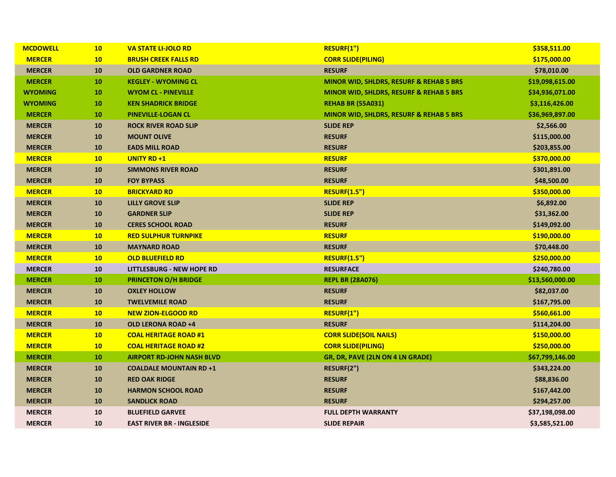| <b>MCDOWELL</b> | 10 | <b>VA STATE LI-JOLO RD</b>       | RESURF(1")                                         | \$358,511.00    |
|-----------------|----|----------------------------------|----------------------------------------------------|-----------------|
| <b>MERCER</b>   | 10 | <b>BRUSH CREEK FALLS RD</b>      | <b>CORR SLIDE(PILING)</b>                          | \$175,000.00    |
| <b>MERCER</b>   | 10 | <b>OLD GARDNER ROAD</b>          | <b>RESURF</b>                                      | \$78,010.00     |
| <b>MERCER</b>   | 10 | <b>KEGLEY - WYOMING CL</b>       | <b>MINOR WID, SHLDRS, RESURF &amp; REHAB 5 BRS</b> | \$19,098,615.00 |
| <b>WYOMING</b>  | 10 | <b>WYOM CL - PINEVILLE</b>       | MINOR WID, SHLDRS, RESURF & REHAB 5 BRS            | \$34,936,071.00 |
| <b>WYOMING</b>  | 10 | <b>KEN SHADRICK BRIDGE</b>       | <b>REHAB BR (55A031)</b>                           | \$3,116,426.00  |
| <b>MERCER</b>   | 10 | <b>PINEVILLE-LOGAN CL</b>        | <b>MINOR WID, SHLDRS, RESURF &amp; REHAB 5 BRS</b> | \$36,969,897.00 |
| <b>MERCER</b>   | 10 | <b>ROCK RIVER ROAD SLIP</b>      | <b>SLIDE REP</b>                                   | \$2,566.00      |
| <b>MERCER</b>   | 10 | <b>MOUNT OLIVE</b>               | <b>RESURF</b>                                      | \$115,000.00    |
| <b>MERCER</b>   | 10 | <b>EADS MILL ROAD</b>            | <b>RESURF</b>                                      | \$203,855.00    |
| <b>MERCER</b>   | 10 | <b>UNITY RD +1</b>               | <b>RESURF</b>                                      | \$370,000.00    |
| <b>MERCER</b>   | 10 | <b>SIMMONS RIVER ROAD</b>        | <b>RESURF</b>                                      | \$301,891.00    |
| <b>MERCER</b>   | 10 | <b>FOY BYPASS</b>                | <b>RESURF</b>                                      | \$48,500.00     |
| <b>MERCER</b>   | 10 | <b>BRICKYARD RD</b>              | <b>RESURF(1.5")</b>                                | \$350,000.00    |
| <b>MERCER</b>   | 10 | <b>LILLY GROVE SLIP</b>          | <b>SLIDE REP</b>                                   | \$6,892.00      |
| <b>MERCER</b>   | 10 | <b>GARDNER SLIP</b>              | <b>SLIDE REP</b>                                   | \$31,362.00     |
| <b>MERCER</b>   | 10 | <b>CERES SCHOOL ROAD</b>         | <b>RESURF</b>                                      | \$149,092.00    |
| <b>MERCER</b>   | 10 | <b>RED SULPHUR TURNPIKE</b>      | <b>RESURF</b>                                      | \$190,000.00    |
| <b>MERCER</b>   | 10 | <b>MAYNARD ROAD</b>              | <b>RESURF</b>                                      | \$70,448.00     |
| <b>MERCER</b>   | 10 | <b>OLD BLUEFIELD RD</b>          | <b>RESURF(1.5")</b>                                | \$250,000.00    |
| <b>MERCER</b>   | 10 | LITTLESBURG - NEW HOPE RD        | <b>RESURFACE</b>                                   | \$240,780.00    |
| <b>MERCER</b>   | 10 | <b>PRINCETON O/H BRIDGE</b>      | <b>REPL BR (28A076)</b>                            | \$13,560,000.00 |
| <b>MERCER</b>   | 10 | <b>OXLEY HOLLOW</b>              | <b>RESURF</b>                                      | \$82,037.00     |
| <b>MERCER</b>   | 10 | <b>TWELVEMILE ROAD</b>           | <b>RESURF</b>                                      | \$167,795.00    |
| <b>MERCER</b>   | 10 | <b>NEW ZION-ELGOOD RD</b>        | RESURF(1")                                         | \$560,661.00    |
| <b>MERCER</b>   | 10 | OLD LERONA ROAD +4               | <b>RESURF</b>                                      | \$114,204.00    |
| <b>MERCER</b>   | 10 | <b>COAL HERITAGE ROAD #1</b>     | <b>CORR SLIDE(SOIL NAILS)</b>                      | \$150,000.00    |
| <b>MERCER</b>   | 10 | <b>COAL HERITAGE ROAD #2</b>     | <b>CORR SLIDE(PILING)</b>                          | \$250,000.00    |
| <b>MERCER</b>   | 10 | <b>AIRPORT RD-JOHN NASH BLVD</b> | GR, DR, PAVE (2LN ON 4 LN GRADE)                   | \$67,799,146.00 |
| <b>MERCER</b>   | 10 | <b>COALDALE MOUNTAIN RD +1</b>   | RESURF(2")                                         | \$343,224.00    |
| <b>MERCER</b>   | 10 | <b>RED OAK RIDGE</b>             | <b>RESURF</b>                                      | \$88,836.00     |
| <b>MERCER</b>   | 10 | <b>HARMON SCHOOL ROAD</b>        | <b>RESURF</b>                                      | \$167,442.00    |
| <b>MERCER</b>   | 10 | <b>SANDLICK ROAD</b>             | <b>RESURF</b>                                      | \$294,257.00    |
| <b>MERCER</b>   | 10 | <b>BLUEFIELD GARVEE</b>          | <b>FULL DEPTH WARRANTY</b>                         | \$37,198,098.00 |
| <b>MERCER</b>   | 10 | <b>EAST RIVER BR - INGLESIDE</b> | <b>SLIDE REPAIR</b>                                | \$3,585,521.00  |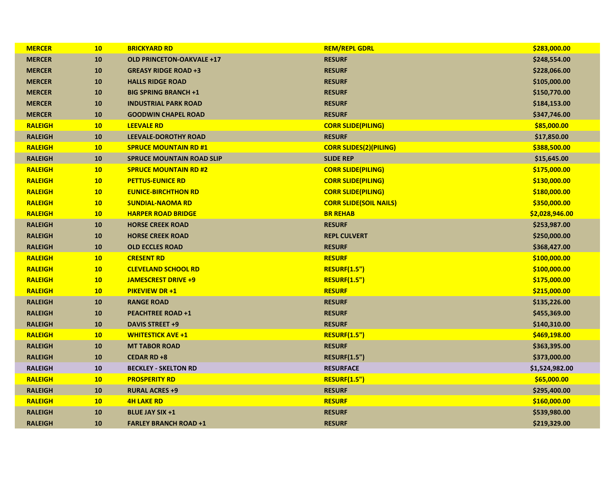| <b>MERCER</b>  | 10              | <b>BRICKYARD RD</b>              | <b>REM/REPL GDRL</b>          | \$283,000.00   |
|----------------|-----------------|----------------------------------|-------------------------------|----------------|
| <b>MERCER</b>  | 10              | <b>OLD PRINCETON-OAKVALE +17</b> | <b>RESURF</b>                 | \$248,554.00   |
| <b>MERCER</b>  | 10              | <b>GREASY RIDGE ROAD +3</b>      | <b>RESURF</b>                 | \$228,066.00   |
| <b>MERCER</b>  | 10              | <b>HALLS RIDGE ROAD</b>          | <b>RESURF</b>                 | \$105,000.00   |
| <b>MERCER</b>  | 10              | <b>BIG SPRING BRANCH +1</b>      | <b>RESURF</b>                 | \$150,770.00   |
| <b>MERCER</b>  | 10              | <b>INDUSTRIAL PARK ROAD</b>      | <b>RESURF</b>                 | \$184,153.00   |
| <b>MERCER</b>  | 10              | <b>GOODWIN CHAPEL ROAD</b>       | <b>RESURF</b>                 | \$347,746.00   |
| <b>RALEIGH</b> | 10              | <b>LEEVALE RD</b>                | <b>CORR SLIDE(PILING)</b>     | \$85,000.00    |
| <b>RALEIGH</b> | 10              | <b>LEEVALE-DOROTHY ROAD</b>      | <b>RESURF</b>                 | \$17,850.00    |
| <b>RALEIGH</b> | 10 <sub>1</sub> | <b>SPRUCE MOUNTAIN RD #1</b>     | <b>CORR SLIDES(2)(PILING)</b> | \$388,500.00   |
| <b>RALEIGH</b> | 10              | <b>SPRUCE MOUNTAIN ROAD SLIP</b> | <b>SLIDE REP</b>              | \$15,645.00    |
| <b>RALEIGH</b> | 10              | <b>SPRUCE MOUNTAIN RD #2</b>     | <b>CORR SLIDE(PILING)</b>     | \$175,000.00   |
| <b>RALEIGH</b> | 10              | <b>PETTUS-EUNICE RD</b>          | <b>CORR SLIDE(PILING)</b>     | \$130,000.00   |
| <b>RALEIGH</b> | 10              | <b>EUNICE-BIRCHTHON RD</b>       | <b>CORR SLIDE(PILING)</b>     | \$180,000.00   |
| <b>RALEIGH</b> | 10              | <b>SUNDIAL-NAOMA RD</b>          | <b>CORR SLIDE(SOIL NAILS)</b> | \$350,000.00   |
| <b>RALEIGH</b> | 10              | <b>HARPER ROAD BRIDGE</b>        | <b>BR REHAB</b>               | \$2,028,946.00 |
| <b>RALEIGH</b> | 10              | <b>HORSE CREEK ROAD</b>          | <b>RESURF</b>                 | \$253,987.00   |
| <b>RALEIGH</b> | 10              | <b>HORSE CREEK ROAD</b>          | <b>REPL CULVERT</b>           | \$250,000.00   |
| <b>RALEIGH</b> | 10              | <b>OLD ECCLES ROAD</b>           | <b>RESURF</b>                 | \$368,427.00   |
| <b>RALEIGH</b> | <b>10</b>       | <b>CRESENT RD</b>                | <b>RESURF</b>                 | \$100,000.00   |
| <b>RALEIGH</b> | 10              | <b>CLEVELAND SCHOOL RD</b>       | <b>RESURF(1.5")</b>           | \$100,000.00   |
| <b>RALEIGH</b> | 10              | <b>JAMESCREST DRIVE +9</b>       | <b>RESURF(1.5")</b>           | \$175,000.00   |
| <b>RALEIGH</b> | 10              | <b>PIKEVIEW DR +1</b>            | <b>RESURF</b>                 | \$215,000.00   |
| <b>RALEIGH</b> | ${\bf 10}$      | <b>RANGE ROAD</b>                | <b>RESURF</b>                 | \$135,226.00   |
| <b>RALEIGH</b> | 10              | <b>PEACHTREE ROAD +1</b>         | <b>RESURF</b>                 | \$455,369.00   |
| <b>RALEIGH</b> | ${\bf 10}$      | <b>DAVIS STREET +9</b>           | <b>RESURF</b>                 | \$140,310.00   |
| <b>RALEIGH</b> | 10              | <b>WHITESTICK AVE +1</b>         | <b>RESURF(1.5")</b>           | \$469,198.00   |
| <b>RALEIGH</b> | 10              | <b>MT TABOR ROAD</b>             | <b>RESURF</b>                 | \$363,395.00   |
| <b>RALEIGH</b> | 10              | <b>CEDAR RD +8</b>               | <b>RESURF(1.5")</b>           | \$373,000.00   |
| <b>RALEIGH</b> | 10              | <b>BECKLEY - SKELTON RD</b>      | <b>RESURFACE</b>              | \$1,524,982.00 |
| <b>RALEIGH</b> | 10              | <b>PROSPERITY RD</b>             | <b>RESURF(1.5")</b>           | \$65,000.00    |
| <b>RALEIGH</b> | 10              | <b>RURAL ACRES +9</b>            | <b>RESURF</b>                 | \$295,400.00   |
| <b>RALEIGH</b> | 10              | <b>4H LAKE RD</b>                | <b>RESURF</b>                 | \$160,000.00   |
| <b>RALEIGH</b> | 10              | <b>BLUE JAY SIX +1</b>           | <b>RESURF</b>                 | \$539,980.00   |
| <b>RALEIGH</b> | 10              | <b>FARLEY BRANCH ROAD +1</b>     | <b>RESURF</b>                 | \$219,329.00   |